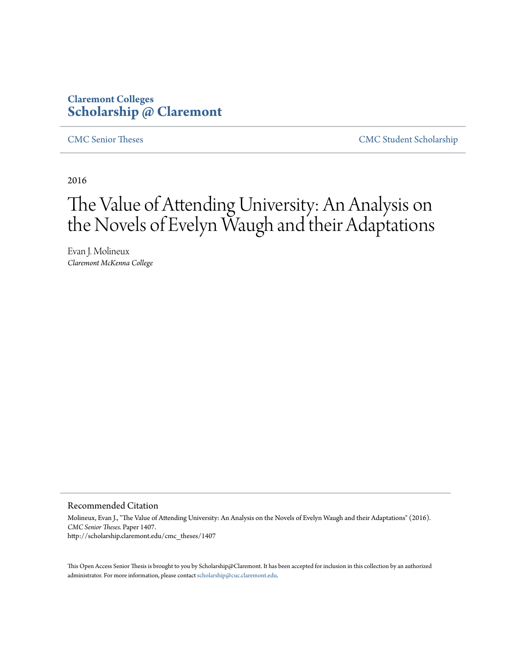## **Claremont Colleges [Scholarship @ Claremont](http://scholarship.claremont.edu)**

[CMC Senior Theses](http://scholarship.claremont.edu/cmc_theses) [CMC Student Scholarship](http://scholarship.claremont.edu/cmc_student)

2016

# The Value of Attending University: An Analysis on the Novels of Evelyn Waugh and their Adaptations

Evan J. Molineux *Claremont McKenna College*

#### Recommended Citation

Molineux, Evan J., "The Value of Attending University: An Analysis on the Novels of Evelyn Waugh and their Adaptations" (2016). *CMC Senior Theses.* Paper 1407. http://scholarship.claremont.edu/cmc\_theses/1407

This Open Access Senior Thesis is brought to you by Scholarship@Claremont. It has been accepted for inclusion in this collection by an authorized administrator. For more information, please contact [scholarship@cuc.claremont.edu.](mailto:scholarship@cuc.claremont.edu)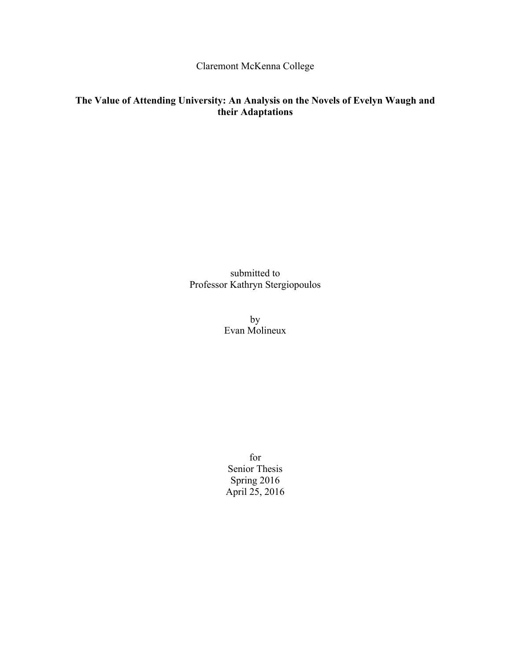Claremont McKenna College

### **The Value of Attending University: An Analysis on the Novels of Evelyn Waugh and their Adaptations**

submitted to Professor Kathryn Stergiopoulos

> by Evan Molineux

for Senior Thesis Spring 2016 April 25, 2016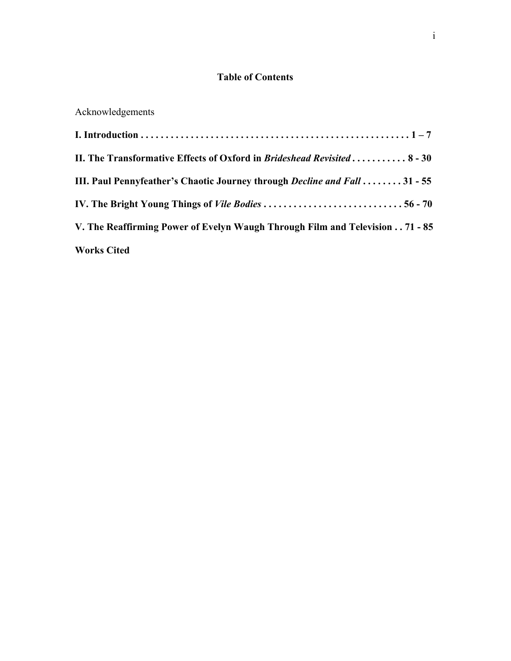### **Table of Contents**

# Acknowledgements

| II. The Transformative Effects of Oxford in Brideshead Revisited 8 - 30          |
|----------------------------------------------------------------------------------|
| III. Paul Pennyfeather's Chaotic Journey through <i>Decline and Fall</i> 31 - 55 |
| IV. The Bright Young Things of <i>Vile Bodies</i> 56 - 70                        |
| V. The Reaffirming Power of Evelyn Waugh Through Film and Television 71 - 85     |
| <b>Works Cited</b>                                                               |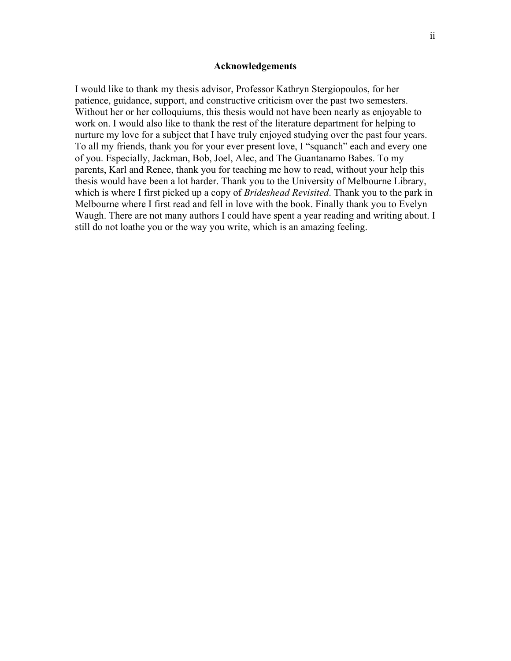#### **Acknowledgements**

I would like to thank my thesis advisor, Professor Kathryn Stergiopoulos, for her patience, guidance, support, and constructive criticism over the past two semesters. Without her or her colloquiums, this thesis would not have been nearly as enjoyable to work on. I would also like to thank the rest of the literature department for helping to nurture my love for a subject that I have truly enjoyed studying over the past four years. To all my friends, thank you for your ever present love, I "squanch" each and every one of you. Especially, Jackman, Bob, Joel, Alec, and The Guantanamo Babes. To my parents, Karl and Renee, thank you for teaching me how to read, without your help this thesis would have been a lot harder. Thank you to the University of Melbourne Library, which is where I first picked up a copy of *Brideshead Revisited*. Thank you to the park in Melbourne where I first read and fell in love with the book. Finally thank you to Evelyn Waugh. There are not many authors I could have spent a year reading and writing about. I still do not loathe you or the way you write, which is an amazing feeling.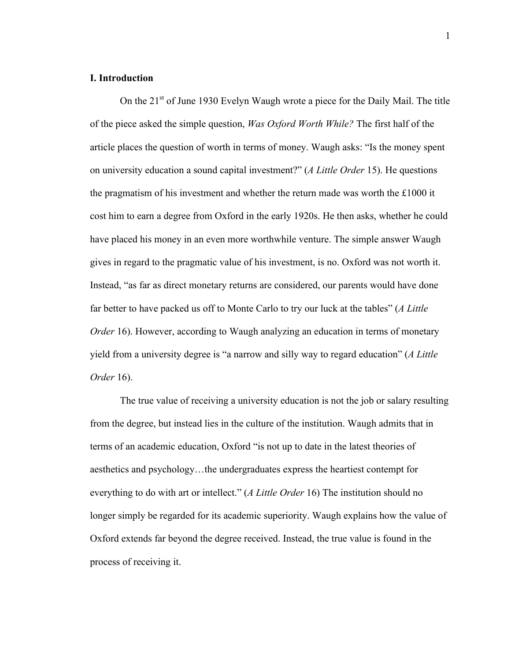### **I. Introduction**

On the 21<sup>st</sup> of June 1930 Evelyn Waugh wrote a piece for the Daily Mail. The title of the piece asked the simple question, *Was Oxford Worth While?* The first half of the article places the question of worth in terms of money. Waugh asks: "Is the money spent on university education a sound capital investment?" (*A Little Order* 15). He questions the pragmatism of his investment and whether the return made was worth the £1000 it cost him to earn a degree from Oxford in the early 1920s. He then asks, whether he could have placed his money in an even more worthwhile venture. The simple answer Waugh gives in regard to the pragmatic value of his investment, is no. Oxford was not worth it. Instead, "as far as direct monetary returns are considered, our parents would have done far better to have packed us off to Monte Carlo to try our luck at the tables" (*A Little Order* 16). However, according to Waugh analyzing an education in terms of monetary yield from a university degree is "a narrow and silly way to regard education" (*A Little Order* 16).

The true value of receiving a university education is not the job or salary resulting from the degree, but instead lies in the culture of the institution. Waugh admits that in terms of an academic education, Oxford "is not up to date in the latest theories of aesthetics and psychology…the undergraduates express the heartiest contempt for everything to do with art or intellect." (*A Little Order* 16) The institution should no longer simply be regarded for its academic superiority. Waugh explains how the value of Oxford extends far beyond the degree received. Instead, the true value is found in the process of receiving it.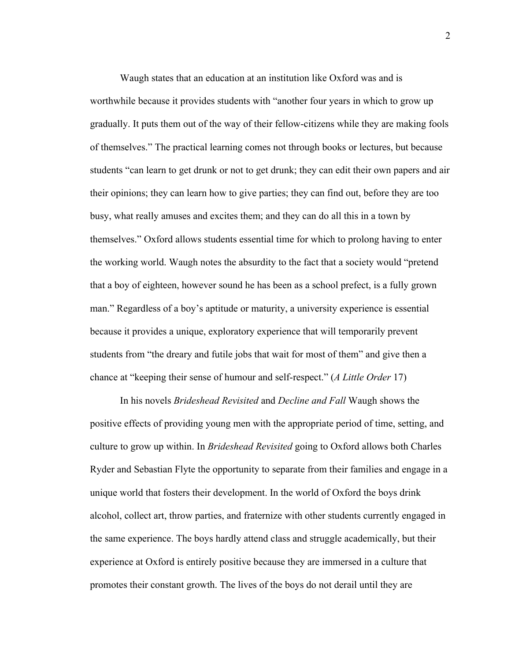Waugh states that an education at an institution like Oxford was and is worthwhile because it provides students with "another four years in which to grow up gradually. It puts them out of the way of their fellow-citizens while they are making fools of themselves." The practical learning comes not through books or lectures, but because students "can learn to get drunk or not to get drunk; they can edit their own papers and air their opinions; they can learn how to give parties; they can find out, before they are too busy, what really amuses and excites them; and they can do all this in a town by themselves." Oxford allows students essential time for which to prolong having to enter the working world. Waugh notes the absurdity to the fact that a society would "pretend that a boy of eighteen, however sound he has been as a school prefect, is a fully grown man." Regardless of a boy's aptitude or maturity, a university experience is essential because it provides a unique, exploratory experience that will temporarily prevent students from "the dreary and futile jobs that wait for most of them" and give then a chance at "keeping their sense of humour and self-respect." (*A Little Order* 17)

In his novels *Brideshead Revisited* and *Decline and Fall* Waugh shows the positive effects of providing young men with the appropriate period of time, setting, and culture to grow up within. In *Brideshead Revisited* going to Oxford allows both Charles Ryder and Sebastian Flyte the opportunity to separate from their families and engage in a unique world that fosters their development. In the world of Oxford the boys drink alcohol, collect art, throw parties, and fraternize with other students currently engaged in the same experience. The boys hardly attend class and struggle academically, but their experience at Oxford is entirely positive because they are immersed in a culture that promotes their constant growth. The lives of the boys do not derail until they are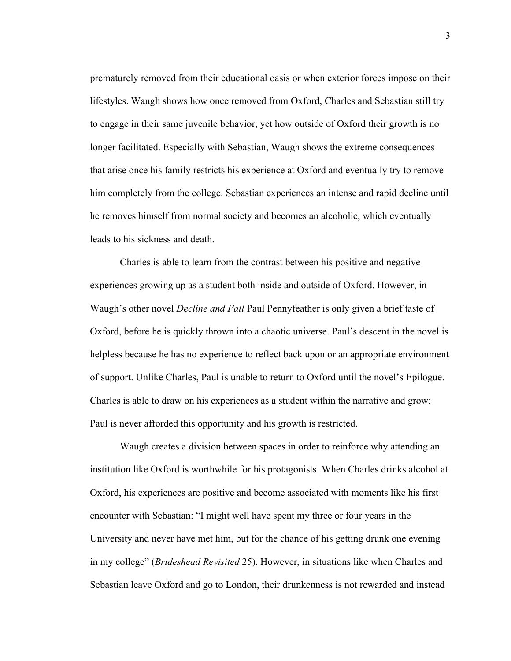prematurely removed from their educational oasis or when exterior forces impose on their lifestyles. Waugh shows how once removed from Oxford, Charles and Sebastian still try to engage in their same juvenile behavior, yet how outside of Oxford their growth is no longer facilitated. Especially with Sebastian, Waugh shows the extreme consequences that arise once his family restricts his experience at Oxford and eventually try to remove him completely from the college. Sebastian experiences an intense and rapid decline until he removes himself from normal society and becomes an alcoholic, which eventually leads to his sickness and death.

Charles is able to learn from the contrast between his positive and negative experiences growing up as a student both inside and outside of Oxford. However, in Waugh's other novel *Decline and Fall* Paul Pennyfeather is only given a brief taste of Oxford, before he is quickly thrown into a chaotic universe. Paul's descent in the novel is helpless because he has no experience to reflect back upon or an appropriate environment of support. Unlike Charles, Paul is unable to return to Oxford until the novel's Epilogue. Charles is able to draw on his experiences as a student within the narrative and grow; Paul is never afforded this opportunity and his growth is restricted.

Waugh creates a division between spaces in order to reinforce why attending an institution like Oxford is worthwhile for his protagonists. When Charles drinks alcohol at Oxford, his experiences are positive and become associated with moments like his first encounter with Sebastian: "I might well have spent my three or four years in the University and never have met him, but for the chance of his getting drunk one evening in my college" (*Brideshead Revisited* 25). However, in situations like when Charles and Sebastian leave Oxford and go to London, their drunkenness is not rewarded and instead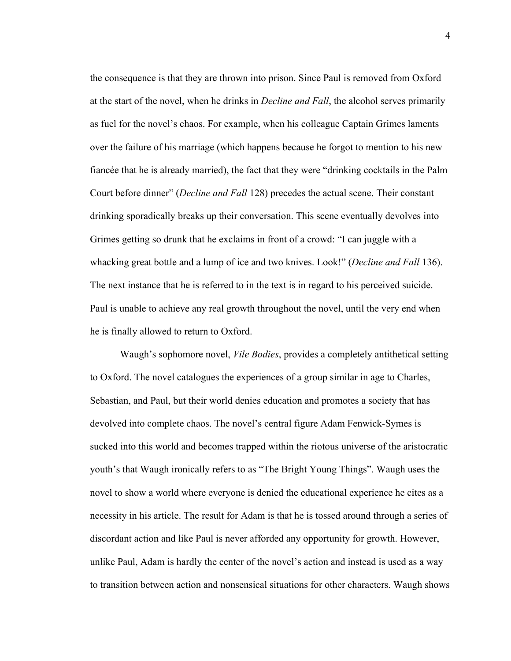the consequence is that they are thrown into prison. Since Paul is removed from Oxford at the start of the novel, when he drinks in *Decline and Fall*, the alcohol serves primarily as fuel for the novel's chaos. For example, when his colleague Captain Grimes laments over the failure of his marriage (which happens because he forgot to mention to his new fiancée that he is already married), the fact that they were "drinking cocktails in the Palm Court before dinner" (*Decline and Fall* 128) precedes the actual scene. Their constant drinking sporadically breaks up their conversation. This scene eventually devolves into Grimes getting so drunk that he exclaims in front of a crowd: "I can juggle with a whacking great bottle and a lump of ice and two knives. Look!" (*Decline and Fall* 136). The next instance that he is referred to in the text is in regard to his perceived suicide. Paul is unable to achieve any real growth throughout the novel, until the very end when he is finally allowed to return to Oxford.

Waugh's sophomore novel, *Vile Bodies*, provides a completely antithetical setting to Oxford. The novel catalogues the experiences of a group similar in age to Charles, Sebastian, and Paul, but their world denies education and promotes a society that has devolved into complete chaos. The novel's central figure Adam Fenwick-Symes is sucked into this world and becomes trapped within the riotous universe of the aristocratic youth's that Waugh ironically refers to as "The Bright Young Things". Waugh uses the novel to show a world where everyone is denied the educational experience he cites as a necessity in his article. The result for Adam is that he is tossed around through a series of discordant action and like Paul is never afforded any opportunity for growth. However, unlike Paul, Adam is hardly the center of the novel's action and instead is used as a way to transition between action and nonsensical situations for other characters. Waugh shows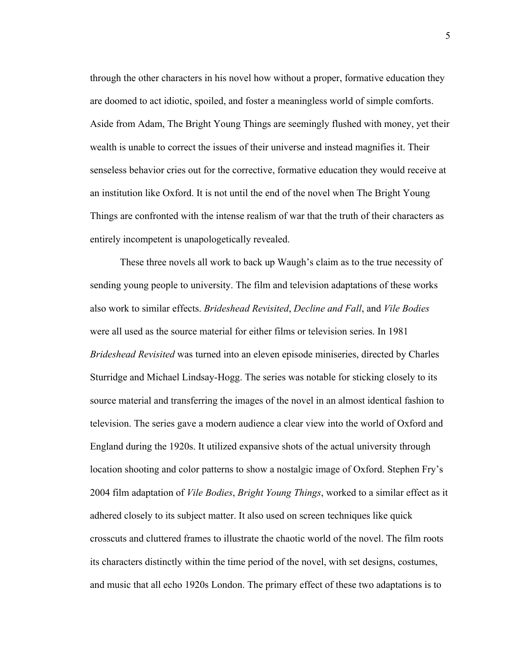through the other characters in his novel how without a proper, formative education they are doomed to act idiotic, spoiled, and foster a meaningless world of simple comforts. Aside from Adam, The Bright Young Things are seemingly flushed with money, yet their wealth is unable to correct the issues of their universe and instead magnifies it. Their senseless behavior cries out for the corrective, formative education they would receive at an institution like Oxford. It is not until the end of the novel when The Bright Young Things are confronted with the intense realism of war that the truth of their characters as entirely incompetent is unapologetically revealed.

These three novels all work to back up Waugh's claim as to the true necessity of sending young people to university. The film and television adaptations of these works also work to similar effects. *Brideshead Revisited*, *Decline and Fall*, and *Vile Bodies*  were all used as the source material for either films or television series. In 1981 *Brideshead Revisited* was turned into an eleven episode miniseries, directed by Charles Sturridge and Michael Lindsay-Hogg. The series was notable for sticking closely to its source material and transferring the images of the novel in an almost identical fashion to television. The series gave a modern audience a clear view into the world of Oxford and England during the 1920s. It utilized expansive shots of the actual university through location shooting and color patterns to show a nostalgic image of Oxford. Stephen Fry's 2004 film adaptation of *Vile Bodies*, *Bright Young Things*, worked to a similar effect as it adhered closely to its subject matter. It also used on screen techniques like quick crosscuts and cluttered frames to illustrate the chaotic world of the novel. The film roots its characters distinctly within the time period of the novel, with set designs, costumes, and music that all echo 1920s London. The primary effect of these two adaptations is to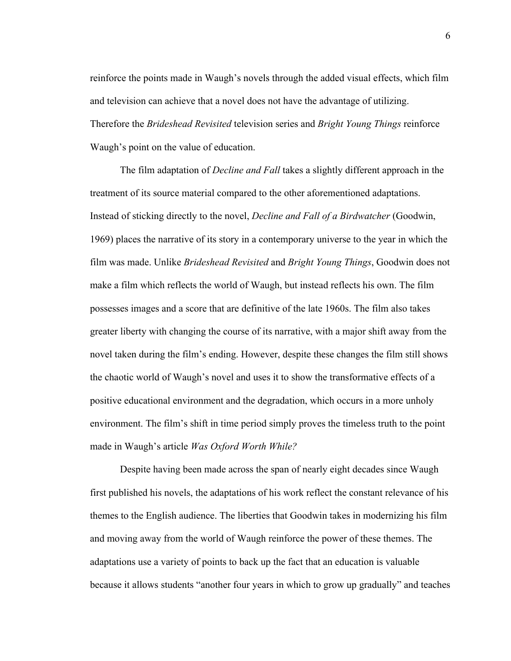reinforce the points made in Waugh's novels through the added visual effects, which film and television can achieve that a novel does not have the advantage of utilizing. Therefore the *Brideshead Revisited* television series and *Bright Young Things* reinforce Waugh's point on the value of education.

The film adaptation of *Decline and Fall* takes a slightly different approach in the treatment of its source material compared to the other aforementioned adaptations. Instead of sticking directly to the novel, *Decline and Fall of a Birdwatcher* (Goodwin, 1969) places the narrative of its story in a contemporary universe to the year in which the film was made. Unlike *Brideshead Revisited* and *Bright Young Things*, Goodwin does not make a film which reflects the world of Waugh, but instead reflects his own. The film possesses images and a score that are definitive of the late 1960s. The film also takes greater liberty with changing the course of its narrative, with a major shift away from the novel taken during the film's ending. However, despite these changes the film still shows the chaotic world of Waugh's novel and uses it to show the transformative effects of a positive educational environment and the degradation, which occurs in a more unholy environment. The film's shift in time period simply proves the timeless truth to the point made in Waugh's article *Was Oxford Worth While?* 

Despite having been made across the span of nearly eight decades since Waugh first published his novels, the adaptations of his work reflect the constant relevance of his themes to the English audience. The liberties that Goodwin takes in modernizing his film and moving away from the world of Waugh reinforce the power of these themes. The adaptations use a variety of points to back up the fact that an education is valuable because it allows students "another four years in which to grow up gradually" and teaches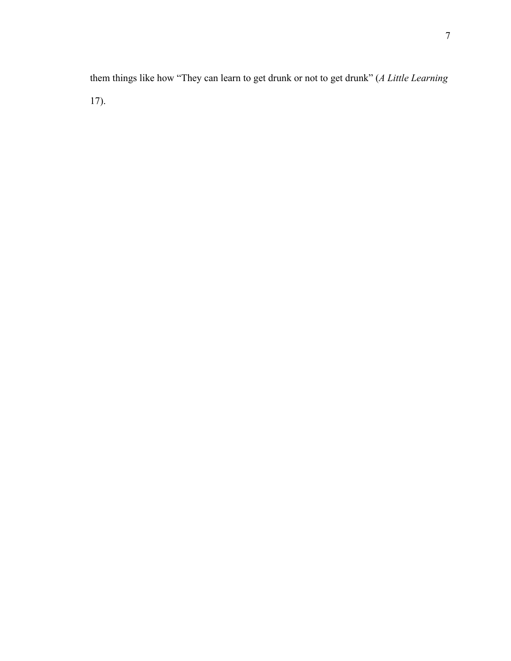them things like how "They can learn to get drunk or not to get drunk" (*A Little Learning*  17).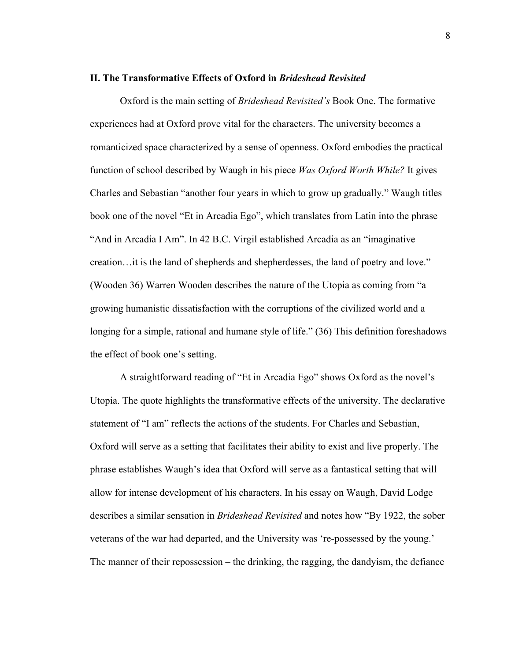### **II. The Transformative Effects of Oxford in** *Brideshead Revisited*

Oxford is the main setting of *Brideshead Revisited's* Book One. The formative experiences had at Oxford prove vital for the characters. The university becomes a romanticized space characterized by a sense of openness. Oxford embodies the practical function of school described by Waugh in his piece *Was Oxford Worth While?* It gives Charles and Sebastian "another four years in which to grow up gradually." Waugh titles book one of the novel "Et in Arcadia Ego", which translates from Latin into the phrase "And in Arcadia I Am". In 42 B.C. Virgil established Arcadia as an "imaginative creation…it is the land of shepherds and shepherdesses, the land of poetry and love." (Wooden 36) Warren Wooden describes the nature of the Utopia as coming from "a growing humanistic dissatisfaction with the corruptions of the civilized world and a longing for a simple, rational and humane style of life." (36) This definition foreshadows the effect of book one's setting.

A straightforward reading of "Et in Arcadia Ego" shows Oxford as the novel's Utopia. The quote highlights the transformative effects of the university. The declarative statement of "I am" reflects the actions of the students. For Charles and Sebastian, Oxford will serve as a setting that facilitates their ability to exist and live properly. The phrase establishes Waugh's idea that Oxford will serve as a fantastical setting that will allow for intense development of his characters. In his essay on Waugh, David Lodge describes a similar sensation in *Brideshead Revisited* and notes how "By 1922, the sober veterans of the war had departed, and the University was 're-possessed by the young.' The manner of their repossession – the drinking, the ragging, the dandyism, the defiance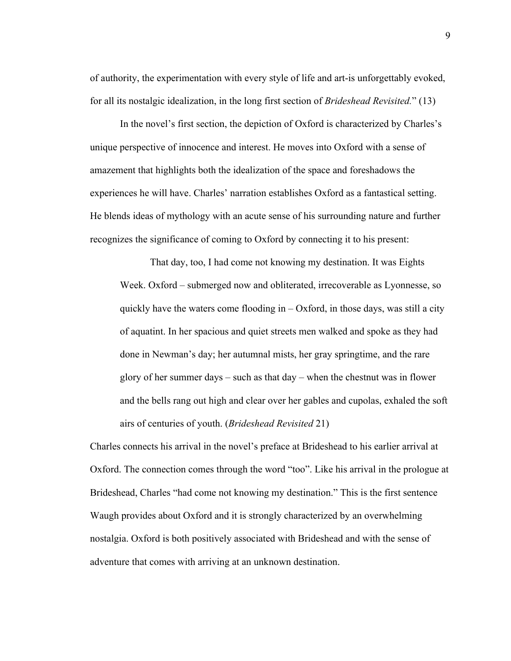of authority, the experimentation with every style of life and art-is unforgettably evoked, for all its nostalgic idealization, in the long first section of *Brideshead Revisited.*" (13)

In the novel's first section, the depiction of Oxford is characterized by Charles's unique perspective of innocence and interest. He moves into Oxford with a sense of amazement that highlights both the idealization of the space and foreshadows the experiences he will have. Charles' narration establishes Oxford as a fantastical setting. He blends ideas of mythology with an acute sense of his surrounding nature and further recognizes the significance of coming to Oxford by connecting it to his present:

That day, too, I had come not knowing my destination. It was Eights Week. Oxford – submerged now and obliterated, irrecoverable as Lyonnesse, so quickly have the waters come flooding in  $-$  Oxford, in those days, was still a city of aquatint. In her spacious and quiet streets men walked and spoke as they had done in Newman's day; her autumnal mists, her gray springtime, and the rare glory of her summer days – such as that day – when the chestnut was in flower and the bells rang out high and clear over her gables and cupolas, exhaled the soft airs of centuries of youth. (*Brideshead Revisited* 21)

Charles connects his arrival in the novel's preface at Brideshead to his earlier arrival at Oxford. The connection comes through the word "too". Like his arrival in the prologue at Brideshead, Charles "had come not knowing my destination." This is the first sentence Waugh provides about Oxford and it is strongly characterized by an overwhelming nostalgia. Oxford is both positively associated with Brideshead and with the sense of adventure that comes with arriving at an unknown destination.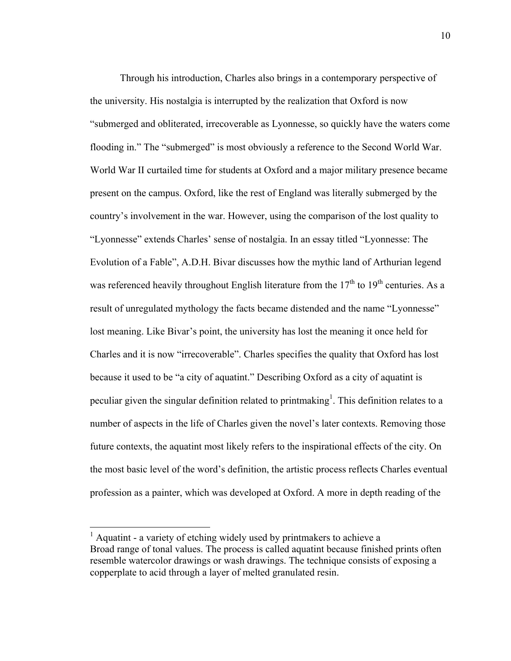Through his introduction, Charles also brings in a contemporary perspective of the university. His nostalgia is interrupted by the realization that Oxford is now "submerged and obliterated, irrecoverable as Lyonnesse, so quickly have the waters come flooding in." The "submerged" is most obviously a reference to the Second World War. World War II curtailed time for students at Oxford and a major military presence became present on the campus. Oxford, like the rest of England was literally submerged by the country's involvement in the war. However, using the comparison of the lost quality to "Lyonnesse" extends Charles' sense of nostalgia. In an essay titled "Lyonnesse: The Evolution of a Fable", A.D.H. Bivar discusses how the mythic land of Arthurian legend was referenced heavily throughout English literature from the  $17<sup>th</sup>$  to  $19<sup>th</sup>$  centuries. As a result of unregulated mythology the facts became distended and the name "Lyonnesse" lost meaning. Like Bivar's point, the university has lost the meaning it once held for Charles and it is now "irrecoverable". Charles specifies the quality that Oxford has lost because it used to be "a city of aquatint." Describing Oxford as a city of aquatint is peculiar given the singular definition related to printmaking<sup>1</sup>. This definition relates to a number of aspects in the life of Charles given the novel's later contexts. Removing those future contexts, the aquatint most likely refers to the inspirational effects of the city. On the most basic level of the word's definition, the artistic process reflects Charles eventual profession as a painter, which was developed at Oxford. A more in depth reading of the

 <sup>1</sup> Aquatint - a variety of etching widely used by printmakers to achieve a Broad range of tonal values. The process is called aquatint because finished prints often resemble watercolor drawings or wash drawings. The technique consists of exposing a copperplate to acid through a layer of melted granulated resin.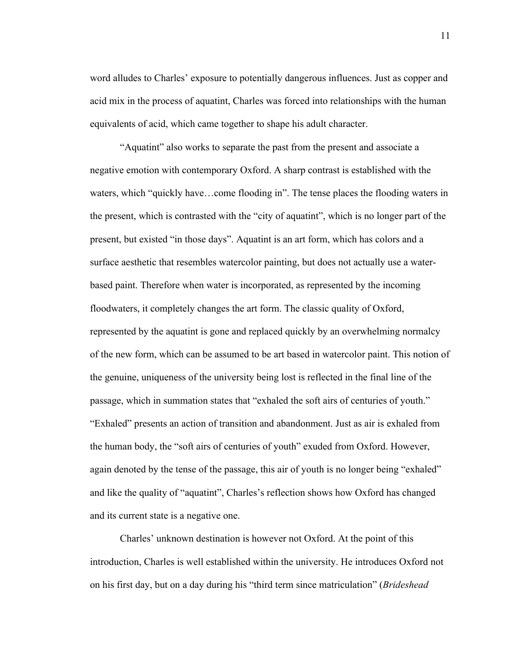word alludes to Charles' exposure to potentially dangerous influences. Just as copper and acid mix in the process of aquatint, Charles was forced into relationships with the human equivalents of acid, which came together to shape his adult character.

"Aquatint" also works to separate the past from the present and associate a negative emotion with contemporary Oxford. A sharp contrast is established with the waters, which "quickly have…come flooding in". The tense places the flooding waters in the present, which is contrasted with the "city of aquatint", which is no longer part of the present, but existed "in those days". Aquatint is an art form, which has colors and a surface aesthetic that resembles watercolor painting, but does not actually use a waterbased paint. Therefore when water is incorporated, as represented by the incoming floodwaters, it completely changes the art form. The classic quality of Oxford, represented by the aquatint is gone and replaced quickly by an overwhelming normalcy of the new form, which can be assumed to be art based in watercolor paint. This notion of the genuine, uniqueness of the university being lost is reflected in the final line of the passage, which in summation states that "exhaled the soft airs of centuries of youth." "Exhaled" presents an action of transition and abandonment. Just as air is exhaled from the human body, the "soft airs of centuries of youth" exuded from Oxford. However, again denoted by the tense of the passage, this air of youth is no longer being "exhaled" and like the quality of "aquatint", Charles's reflection shows how Oxford has changed and its current state is a negative one.

Charles' unknown destination is however not Oxford. At the point of this introduction, Charles is well established within the university. He introduces Oxford not on his first day, but on a day during his "third term since matriculation" (*Brideshead* 

11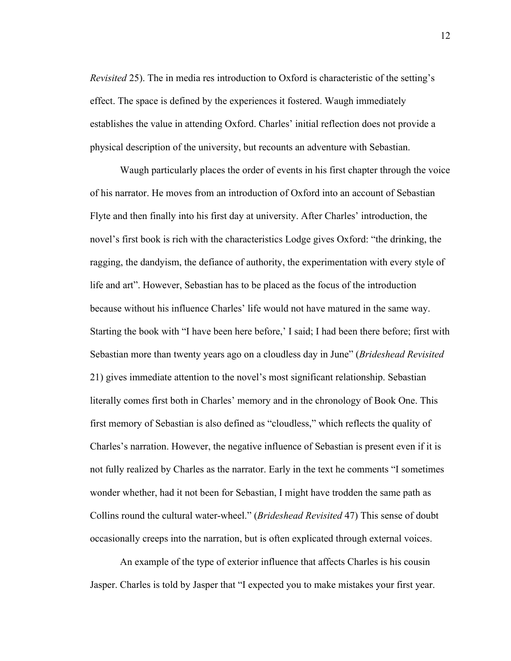*Revisited* 25). The in media res introduction to Oxford is characteristic of the setting's effect. The space is defined by the experiences it fostered. Waugh immediately establishes the value in attending Oxford. Charles' initial reflection does not provide a physical description of the university, but recounts an adventure with Sebastian.

Waugh particularly places the order of events in his first chapter through the voice of his narrator. He moves from an introduction of Oxford into an account of Sebastian Flyte and then finally into his first day at university. After Charles' introduction, the novel's first book is rich with the characteristics Lodge gives Oxford: "the drinking, the ragging, the dandyism, the defiance of authority, the experimentation with every style of life and art". However, Sebastian has to be placed as the focus of the introduction because without his influence Charles' life would not have matured in the same way. Starting the book with "I have been here before,' I said; I had been there before; first with Sebastian more than twenty years ago on a cloudless day in June" (*Brideshead Revisited*  21) gives immediate attention to the novel's most significant relationship. Sebastian literally comes first both in Charles' memory and in the chronology of Book One. This first memory of Sebastian is also defined as "cloudless," which reflects the quality of Charles's narration. However, the negative influence of Sebastian is present even if it is not fully realized by Charles as the narrator. Early in the text he comments "I sometimes wonder whether, had it not been for Sebastian, I might have trodden the same path as Collins round the cultural water-wheel." (*Brideshead Revisited* 47) This sense of doubt occasionally creeps into the narration, but is often explicated through external voices.

An example of the type of exterior influence that affects Charles is his cousin Jasper. Charles is told by Jasper that "I expected you to make mistakes your first year.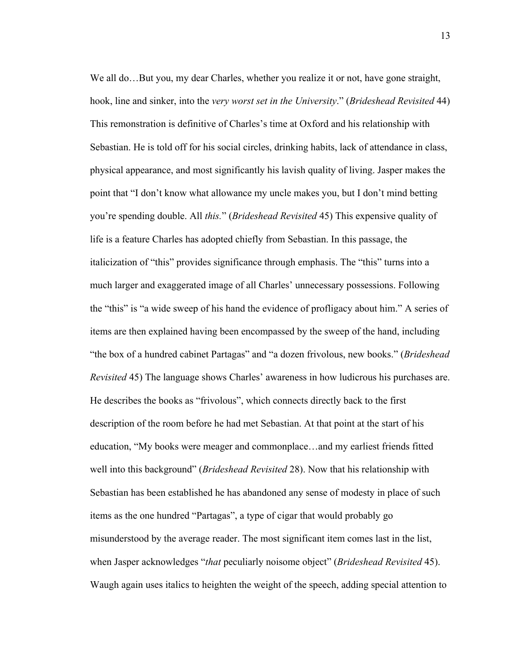We all do...But you, my dear Charles, whether you realize it or not, have gone straight, hook, line and sinker, into the *very worst set in the University*." (*Brideshead Revisited* 44) This remonstration is definitive of Charles's time at Oxford and his relationship with Sebastian. He is told off for his social circles, drinking habits, lack of attendance in class, physical appearance, and most significantly his lavish quality of living. Jasper makes the point that "I don't know what allowance my uncle makes you, but I don't mind betting you're spending double. All *this.*" (*Brideshead Revisited* 45) This expensive quality of life is a feature Charles has adopted chiefly from Sebastian. In this passage, the italicization of "this" provides significance through emphasis. The "this" turns into a much larger and exaggerated image of all Charles' unnecessary possessions. Following the "this" is "a wide sweep of his hand the evidence of profligacy about him." A series of items are then explained having been encompassed by the sweep of the hand, including "the box of a hundred cabinet Partagas" and "a dozen frivolous, new books." (*Brideshead Revisited* 45) The language shows Charles' awareness in how ludicrous his purchases are. He describes the books as "frivolous", which connects directly back to the first description of the room before he had met Sebastian. At that point at the start of his education, "My books were meager and commonplace…and my earliest friends fitted well into this background" (*Brideshead Revisited* 28). Now that his relationship with Sebastian has been established he has abandoned any sense of modesty in place of such items as the one hundred "Partagas", a type of cigar that would probably go misunderstood by the average reader. The most significant item comes last in the list, when Jasper acknowledges "*that* peculiarly noisome object" (*Brideshead Revisited* 45). Waugh again uses italics to heighten the weight of the speech, adding special attention to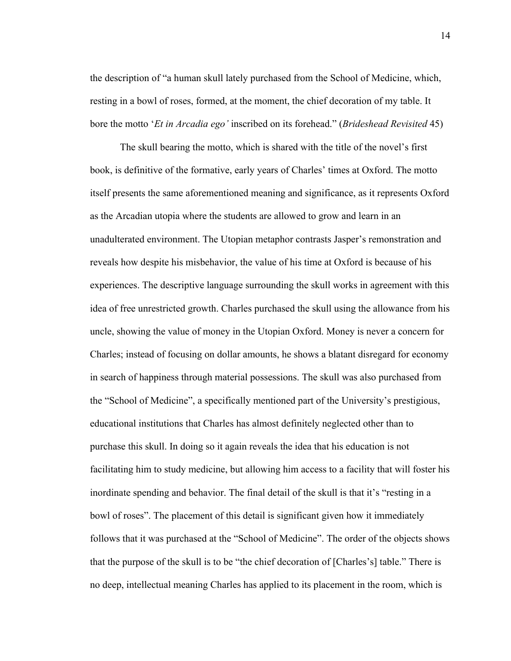the description of "a human skull lately purchased from the School of Medicine, which, resting in a bowl of roses, formed, at the moment, the chief decoration of my table. It bore the motto '*Et in Arcadia ego'* inscribed on its forehead." (*Brideshead Revisited* 45)

The skull bearing the motto, which is shared with the title of the novel's first book, is definitive of the formative, early years of Charles' times at Oxford. The motto itself presents the same aforementioned meaning and significance, as it represents Oxford as the Arcadian utopia where the students are allowed to grow and learn in an unadulterated environment. The Utopian metaphor contrasts Jasper's remonstration and reveals how despite his misbehavior, the value of his time at Oxford is because of his experiences. The descriptive language surrounding the skull works in agreement with this idea of free unrestricted growth. Charles purchased the skull using the allowance from his uncle, showing the value of money in the Utopian Oxford. Money is never a concern for Charles; instead of focusing on dollar amounts, he shows a blatant disregard for economy in search of happiness through material possessions. The skull was also purchased from the "School of Medicine", a specifically mentioned part of the University's prestigious, educational institutions that Charles has almost definitely neglected other than to purchase this skull. In doing so it again reveals the idea that his education is not facilitating him to study medicine, but allowing him access to a facility that will foster his inordinate spending and behavior. The final detail of the skull is that it's "resting in a bowl of roses". The placement of this detail is significant given how it immediately follows that it was purchased at the "School of Medicine". The order of the objects shows that the purpose of the skull is to be "the chief decoration of [Charles's] table." There is no deep, intellectual meaning Charles has applied to its placement in the room, which is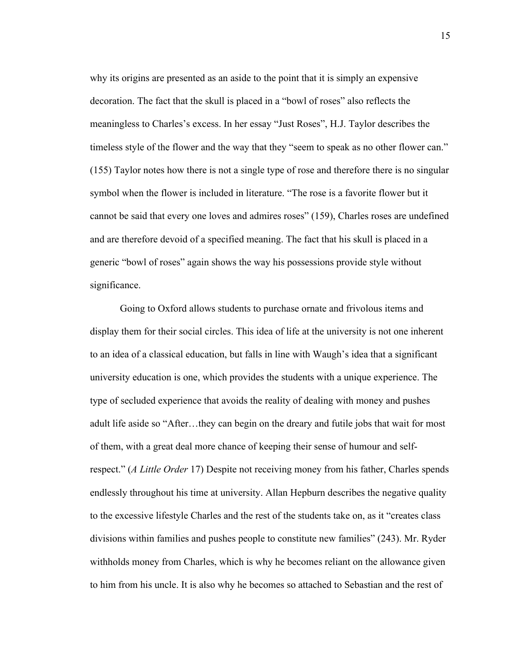why its origins are presented as an aside to the point that it is simply an expensive decoration. The fact that the skull is placed in a "bowl of roses" also reflects the meaningless to Charles's excess. In her essay "Just Roses", H.J. Taylor describes the timeless style of the flower and the way that they "seem to speak as no other flower can." (155) Taylor notes how there is not a single type of rose and therefore there is no singular symbol when the flower is included in literature. "The rose is a favorite flower but it cannot be said that every one loves and admires roses" (159), Charles roses are undefined and are therefore devoid of a specified meaning. The fact that his skull is placed in a generic "bowl of roses" again shows the way his possessions provide style without significance.

Going to Oxford allows students to purchase ornate and frivolous items and display them for their social circles. This idea of life at the university is not one inherent to an idea of a classical education, but falls in line with Waugh's idea that a significant university education is one, which provides the students with a unique experience. The type of secluded experience that avoids the reality of dealing with money and pushes adult life aside so "After…they can begin on the dreary and futile jobs that wait for most of them, with a great deal more chance of keeping their sense of humour and selfrespect." (*A Little Order* 17) Despite not receiving money from his father, Charles spends endlessly throughout his time at university. Allan Hepburn describes the negative quality to the excessive lifestyle Charles and the rest of the students take on, as it "creates class divisions within families and pushes people to constitute new families" (243). Mr. Ryder withholds money from Charles, which is why he becomes reliant on the allowance given to him from his uncle. It is also why he becomes so attached to Sebastian and the rest of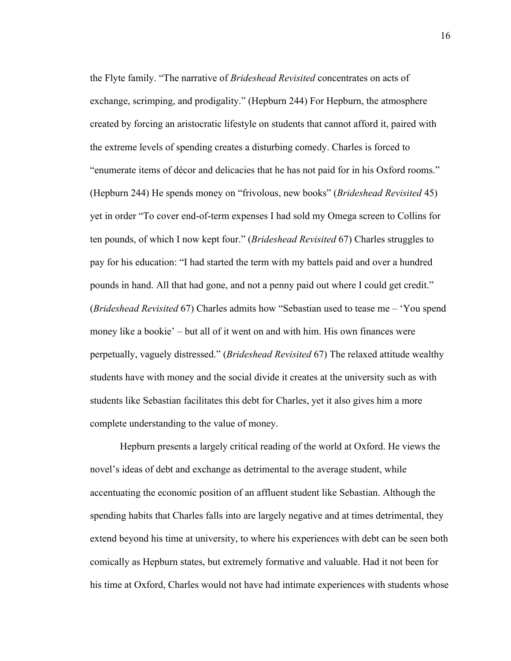the Flyte family. "The narrative of *Brideshead Revisited* concentrates on acts of exchange, scrimping, and prodigality." (Hepburn 244) For Hepburn, the atmosphere created by forcing an aristocratic lifestyle on students that cannot afford it, paired with the extreme levels of spending creates a disturbing comedy. Charles is forced to "enumerate items of décor and delicacies that he has not paid for in his Oxford rooms." (Hepburn 244) He spends money on "frivolous, new books" (*Brideshead Revisited* 45) yet in order "To cover end-of-term expenses I had sold my Omega screen to Collins for ten pounds, of which I now kept four." (*Brideshead Revisited* 67) Charles struggles to pay for his education: "I had started the term with my battels paid and over a hundred pounds in hand. All that had gone, and not a penny paid out where I could get credit." (*Brideshead Revisited* 67) Charles admits how "Sebastian used to tease me – 'You spend money like a bookie' – but all of it went on and with him. His own finances were perpetually, vaguely distressed." (*Brideshead Revisited* 67) The relaxed attitude wealthy students have with money and the social divide it creates at the university such as with students like Sebastian facilitates this debt for Charles, yet it also gives him a more complete understanding to the value of money.

Hepburn presents a largely critical reading of the world at Oxford. He views the novel's ideas of debt and exchange as detrimental to the average student, while accentuating the economic position of an affluent student like Sebastian. Although the spending habits that Charles falls into are largely negative and at times detrimental, they extend beyond his time at university, to where his experiences with debt can be seen both comically as Hepburn states, but extremely formative and valuable. Had it not been for his time at Oxford, Charles would not have had intimate experiences with students whose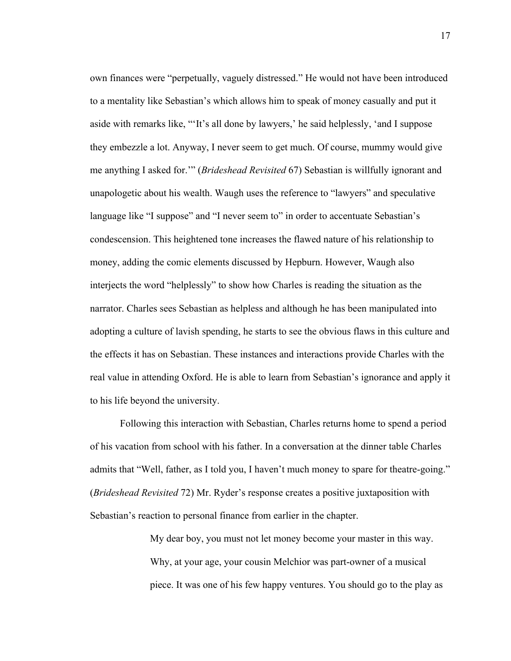own finances were "perpetually, vaguely distressed." He would not have been introduced to a mentality like Sebastian's which allows him to speak of money casually and put it aside with remarks like, "'It's all done by lawyers,' he said helplessly, 'and I suppose they embezzle a lot. Anyway, I never seem to get much. Of course, mummy would give me anything I asked for.'" (*Brideshead Revisited* 67) Sebastian is willfully ignorant and unapologetic about his wealth. Waugh uses the reference to "lawyers" and speculative language like "I suppose" and "I never seem to" in order to accentuate Sebastian's condescension. This heightened tone increases the flawed nature of his relationship to money, adding the comic elements discussed by Hepburn. However, Waugh also interjects the word "helplessly" to show how Charles is reading the situation as the narrator. Charles sees Sebastian as helpless and although he has been manipulated into adopting a culture of lavish spending, he starts to see the obvious flaws in this culture and the effects it has on Sebastian. These instances and interactions provide Charles with the real value in attending Oxford. He is able to learn from Sebastian's ignorance and apply it to his life beyond the university.

Following this interaction with Sebastian, Charles returns home to spend a period of his vacation from school with his father. In a conversation at the dinner table Charles admits that "Well, father, as I told you, I haven't much money to spare for theatre-going." (*Brideshead Revisited* 72) Mr. Ryder's response creates a positive juxtaposition with Sebastian's reaction to personal finance from earlier in the chapter.

> My dear boy, you must not let money become your master in this way. Why, at your age, your cousin Melchior was part-owner of a musical piece. It was one of his few happy ventures. You should go to the play as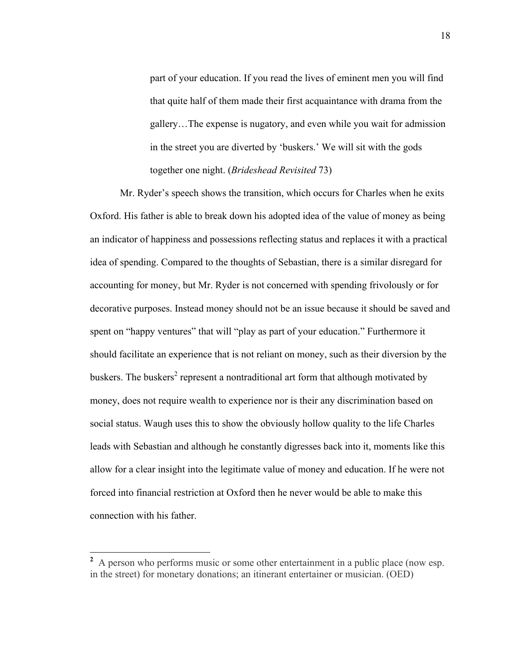part of your education. If you read the lives of eminent men you will find that quite half of them made their first acquaintance with drama from the gallery…The expense is nugatory, and even while you wait for admission in the street you are diverted by 'buskers.' We will sit with the gods together one night. (*Brideshead Revisited* 73)

Mr. Ryder's speech shows the transition, which occurs for Charles when he exits Oxford. His father is able to break down his adopted idea of the value of money as being an indicator of happiness and possessions reflecting status and replaces it with a practical idea of spending. Compared to the thoughts of Sebastian, there is a similar disregard for accounting for money, but Mr. Ryder is not concerned with spending frivolously or for decorative purposes. Instead money should not be an issue because it should be saved and spent on "happy ventures" that will "play as part of your education." Furthermore it should facilitate an experience that is not reliant on money, such as their diversion by the buskers. The buskers<sup>2</sup> represent a nontraditional art form that although motivated by money, does not require wealth to experience nor is their any discrimination based on social status. Waugh uses this to show the obviously hollow quality to the life Charles leads with Sebastian and although he constantly digresses back into it, moments like this allow for a clear insight into the legitimate value of money and education. If he were not forced into financial restriction at Oxford then he never would be able to make this connection with his father.

<sup>&</sup>lt;sup>2</sup> A person who performs music or some other entertainment in a public place (now esp. in the street) for monetary donations; an itinerant entertainer or musician. (OED)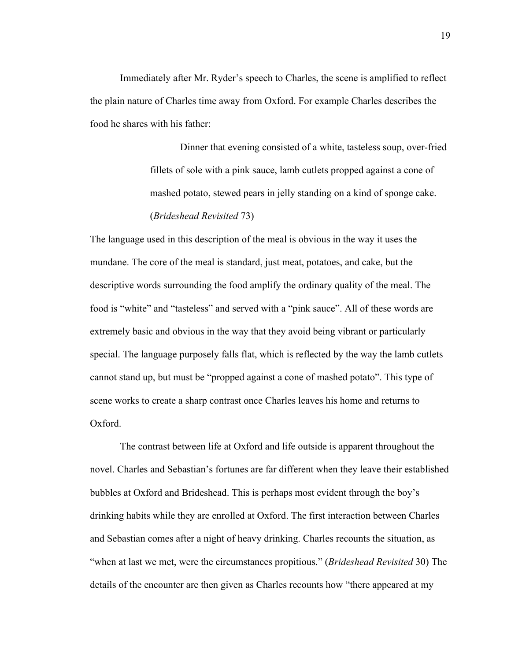Immediately after Mr. Ryder's speech to Charles, the scene is amplified to reflect the plain nature of Charles time away from Oxford. For example Charles describes the food he shares with his father:

> Dinner that evening consisted of a white, tasteless soup, over-fried fillets of sole with a pink sauce, lamb cutlets propped against a cone of mashed potato, stewed pears in jelly standing on a kind of sponge cake. (*Brideshead Revisited* 73)

The language used in this description of the meal is obvious in the way it uses the mundane. The core of the meal is standard, just meat, potatoes, and cake, but the descriptive words surrounding the food amplify the ordinary quality of the meal. The food is "white" and "tasteless" and served with a "pink sauce". All of these words are extremely basic and obvious in the way that they avoid being vibrant or particularly special. The language purposely falls flat, which is reflected by the way the lamb cutlets cannot stand up, but must be "propped against a cone of mashed potato". This type of scene works to create a sharp contrast once Charles leaves his home and returns to Oxford.

The contrast between life at Oxford and life outside is apparent throughout the novel. Charles and Sebastian's fortunes are far different when they leave their established bubbles at Oxford and Brideshead. This is perhaps most evident through the boy's drinking habits while they are enrolled at Oxford. The first interaction between Charles and Sebastian comes after a night of heavy drinking. Charles recounts the situation, as "when at last we met, were the circumstances propitious." (*Brideshead Revisited* 30) The details of the encounter are then given as Charles recounts how "there appeared at my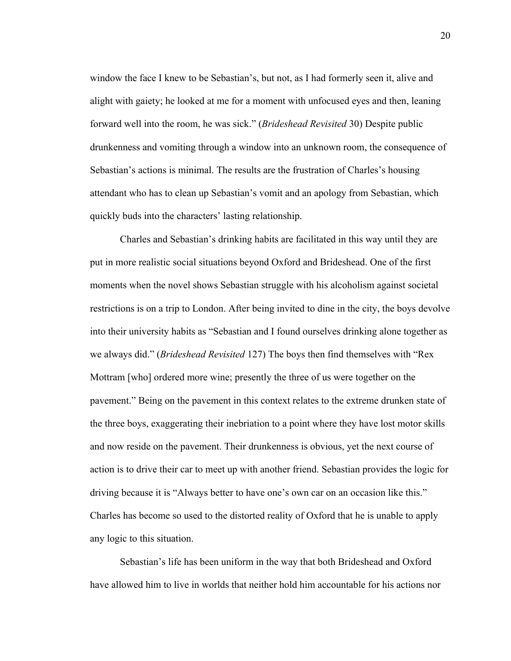window the face I knew to be Sebastian's, but not, as I had formerly seen it, alive and alight with gaiety; he looked at me for a moment with unfocused eyes and then, leaning forward well into the room, he was sick." (*Brideshead Revisited* 30) Despite public drunkenness and vomiting through a window into an unknown room, the consequence of Sebastian's actions is minimal. The results are the frustration of Charles's housing attendant who has to clean up Sebastian's vomit and an apology from Sebastian, which quickly buds into the characters' lasting relationship.

Charles and Sebastian's drinking habits are facilitated in this way until they are put in more realistic social situations beyond Oxford and Brideshead. One of the first moments when the novel shows Sebastian struggle with his alcoholism against societal restrictions is on a trip to London. After being invited to dine in the city, the boys devolve into their university habits as "Sebastian and I found ourselves drinking alone together as we always did." (*Brideshead Revisited* 127) The boys then find themselves with "Rex Mottram [who] ordered more wine; presently the three of us were together on the pavement." Being on the pavement in this context relates to the extreme drunken state of the three boys, exaggerating their inebriation to a point where they have lost motor skills and now reside on the pavement. Their drunkenness is obvious, yet the next course of action is to drive their car to meet up with another friend. Sebastian provides the logic for driving because it is "Always better to have one's own car on an occasion like this." Charles has become so used to the distorted reality of Oxford that he is unable to apply any logic to this situation.

Sebastian's life has been uniform in the way that both Brideshead and Oxford have allowed him to live in worlds that neither hold him accountable for his actions nor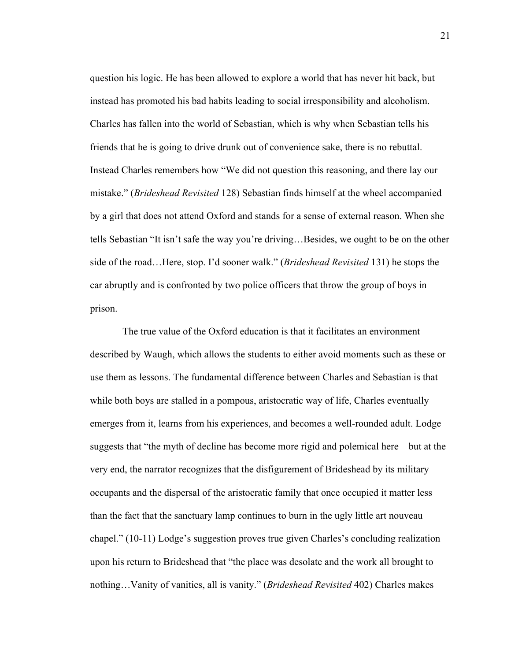question his logic. He has been allowed to explore a world that has never hit back, but instead has promoted his bad habits leading to social irresponsibility and alcoholism. Charles has fallen into the world of Sebastian, which is why when Sebastian tells his friends that he is going to drive drunk out of convenience sake, there is no rebuttal. Instead Charles remembers how "We did not question this reasoning, and there lay our mistake." (*Brideshead Revisited* 128) Sebastian finds himself at the wheel accompanied by a girl that does not attend Oxford and stands for a sense of external reason. When she tells Sebastian "It isn't safe the way you're driving…Besides, we ought to be on the other side of the road…Here, stop. I'd sooner walk." (*Brideshead Revisited* 131) he stops the car abruptly and is confronted by two police officers that throw the group of boys in prison.

The true value of the Oxford education is that it facilitates an environment described by Waugh, which allows the students to either avoid moments such as these or use them as lessons. The fundamental difference between Charles and Sebastian is that while both boys are stalled in a pompous, aristocratic way of life, Charles eventually emerges from it, learns from his experiences, and becomes a well-rounded adult. Lodge suggests that "the myth of decline has become more rigid and polemical here – but at the very end, the narrator recognizes that the disfigurement of Brideshead by its military occupants and the dispersal of the aristocratic family that once occupied it matter less than the fact that the sanctuary lamp continues to burn in the ugly little art nouveau chapel." (10-11) Lodge's suggestion proves true given Charles's concluding realization upon his return to Brideshead that "the place was desolate and the work all brought to nothing…Vanity of vanities, all is vanity." (*Brideshead Revisited* 402) Charles makes

21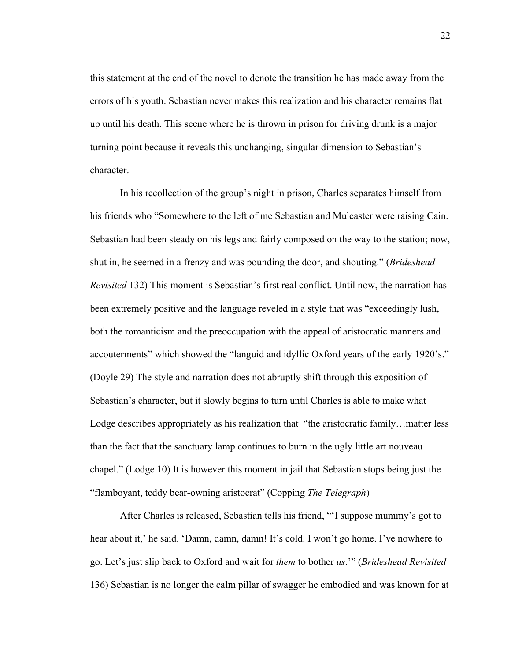this statement at the end of the novel to denote the transition he has made away from the errors of his youth. Sebastian never makes this realization and his character remains flat up until his death. This scene where he is thrown in prison for driving drunk is a major turning point because it reveals this unchanging, singular dimension to Sebastian's character.

In his recollection of the group's night in prison, Charles separates himself from his friends who "Somewhere to the left of me Sebastian and Mulcaster were raising Cain. Sebastian had been steady on his legs and fairly composed on the way to the station; now, shut in, he seemed in a frenzy and was pounding the door, and shouting." (*Brideshead Revisited* 132) This moment is Sebastian's first real conflict. Until now, the narration has been extremely positive and the language reveled in a style that was "exceedingly lush, both the romanticism and the preoccupation with the appeal of aristocratic manners and accouterments" which showed the "languid and idyllic Oxford years of the early 1920's." (Doyle 29) The style and narration does not abruptly shift through this exposition of Sebastian's character, but it slowly begins to turn until Charles is able to make what Lodge describes appropriately as his realization that "the aristocratic family... matter less than the fact that the sanctuary lamp continues to burn in the ugly little art nouveau chapel." (Lodge 10) It is however this moment in jail that Sebastian stops being just the "flamboyant, teddy bear-owning aristocrat" (Copping *The Telegraph*)

After Charles is released, Sebastian tells his friend, "'I suppose mummy's got to hear about it,' he said. 'Damn, damn, damn! It's cold. I won't go home. I've nowhere to go. Let's just slip back to Oxford and wait for *them* to bother *us*.'" (*Brideshead Revisited*  136) Sebastian is no longer the calm pillar of swagger he embodied and was known for at

22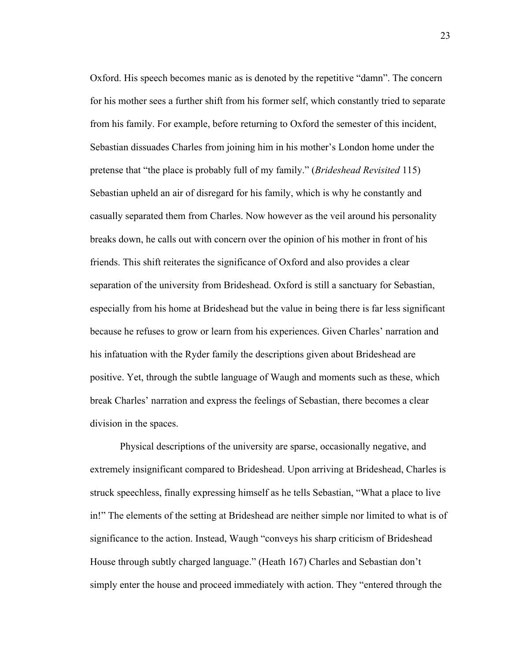Oxford. His speech becomes manic as is denoted by the repetitive "damn". The concern for his mother sees a further shift from his former self, which constantly tried to separate from his family. For example, before returning to Oxford the semester of this incident, Sebastian dissuades Charles from joining him in his mother's London home under the pretense that "the place is probably full of my family." (*Brideshead Revisited* 115) Sebastian upheld an air of disregard for his family, which is why he constantly and casually separated them from Charles. Now however as the veil around his personality breaks down, he calls out with concern over the opinion of his mother in front of his friends. This shift reiterates the significance of Oxford and also provides a clear separation of the university from Brideshead. Oxford is still a sanctuary for Sebastian, especially from his home at Brideshead but the value in being there is far less significant because he refuses to grow or learn from his experiences. Given Charles' narration and his infatuation with the Ryder family the descriptions given about Brideshead are positive. Yet, through the subtle language of Waugh and moments such as these, which break Charles' narration and express the feelings of Sebastian, there becomes a clear division in the spaces.

Physical descriptions of the university are sparse, occasionally negative, and extremely insignificant compared to Brideshead. Upon arriving at Brideshead, Charles is struck speechless, finally expressing himself as he tells Sebastian, "What a place to live in!" The elements of the setting at Brideshead are neither simple nor limited to what is of significance to the action. Instead, Waugh "conveys his sharp criticism of Brideshead House through subtly charged language." (Heath 167) Charles and Sebastian don't simply enter the house and proceed immediately with action. They "entered through the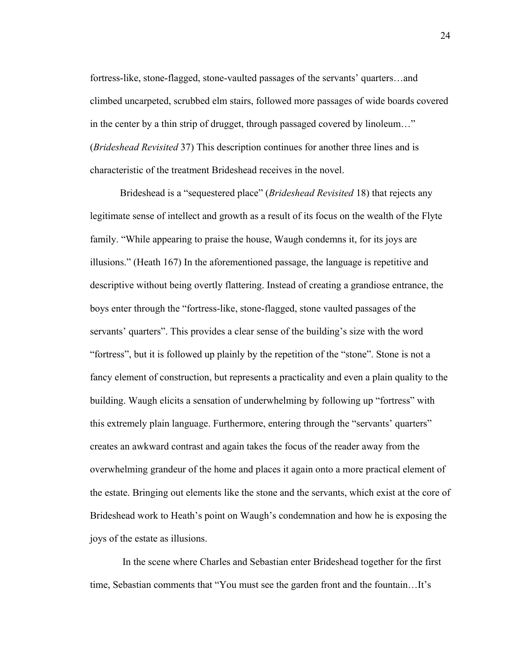fortress-like, stone-flagged, stone-vaulted passages of the servants' quarters…and climbed uncarpeted, scrubbed elm stairs, followed more passages of wide boards covered in the center by a thin strip of drugget, through passaged covered by linoleum…" (*Brideshead Revisited* 37) This description continues for another three lines and is characteristic of the treatment Brideshead receives in the novel.

Brideshead is a "sequestered place" (*Brideshead Revisited* 18) that rejects any legitimate sense of intellect and growth as a result of its focus on the wealth of the Flyte family. "While appearing to praise the house, Waugh condemns it, for its joys are illusions." (Heath 167) In the aforementioned passage, the language is repetitive and descriptive without being overtly flattering. Instead of creating a grandiose entrance, the boys enter through the "fortress-like, stone-flagged, stone vaulted passages of the servants' quarters". This provides a clear sense of the building's size with the word "fortress", but it is followed up plainly by the repetition of the "stone". Stone is not a fancy element of construction, but represents a practicality and even a plain quality to the building. Waugh elicits a sensation of underwhelming by following up "fortress" with this extremely plain language. Furthermore, entering through the "servants' quarters" creates an awkward contrast and again takes the focus of the reader away from the overwhelming grandeur of the home and places it again onto a more practical element of the estate. Bringing out elements like the stone and the servants, which exist at the core of Brideshead work to Heath's point on Waugh's condemnation and how he is exposing the joys of the estate as illusions.

In the scene where Charles and Sebastian enter Brideshead together for the first time, Sebastian comments that "You must see the garden front and the fountain…It's

24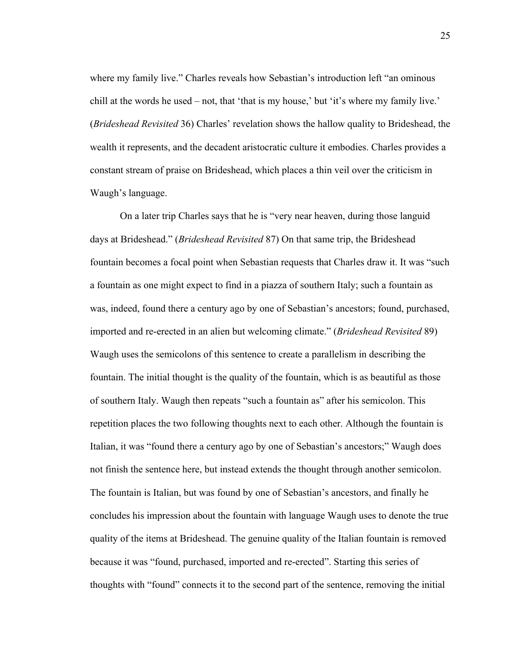where my family live." Charles reveals how Sebastian's introduction left "an ominous" chill at the words he used – not, that 'that is my house,' but 'it's where my family live.' (*Brideshead Revisited* 36) Charles' revelation shows the hallow quality to Brideshead, the wealth it represents, and the decadent aristocratic culture it embodies. Charles provides a constant stream of praise on Brideshead, which places a thin veil over the criticism in Waugh's language.

On a later trip Charles says that he is "very near heaven, during those languid days at Brideshead." (*Brideshead Revisited* 87) On that same trip, the Brideshead fountain becomes a focal point when Sebastian requests that Charles draw it. It was "such a fountain as one might expect to find in a piazza of southern Italy; such a fountain as was, indeed, found there a century ago by one of Sebastian's ancestors; found, purchased, imported and re-erected in an alien but welcoming climate." (*Brideshead Revisited* 89) Waugh uses the semicolons of this sentence to create a parallelism in describing the fountain. The initial thought is the quality of the fountain, which is as beautiful as those of southern Italy. Waugh then repeats "such a fountain as" after his semicolon. This repetition places the two following thoughts next to each other. Although the fountain is Italian, it was "found there a century ago by one of Sebastian's ancestors;" Waugh does not finish the sentence here, but instead extends the thought through another semicolon. The fountain is Italian, but was found by one of Sebastian's ancestors, and finally he concludes his impression about the fountain with language Waugh uses to denote the true quality of the items at Brideshead. The genuine quality of the Italian fountain is removed because it was "found, purchased, imported and re-erected". Starting this series of thoughts with "found" connects it to the second part of the sentence, removing the initial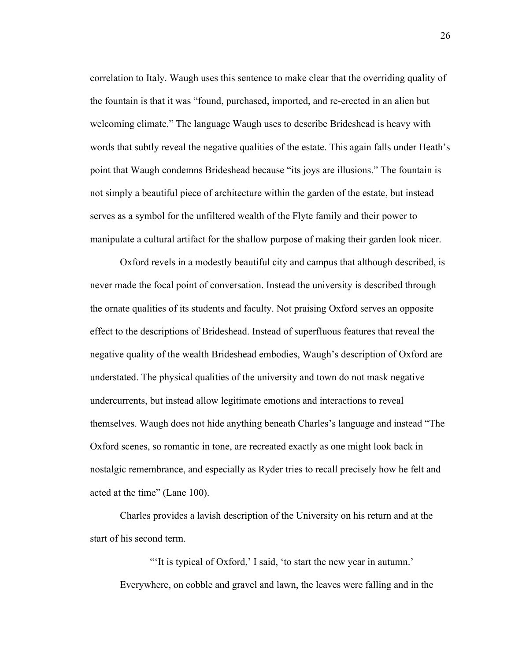correlation to Italy. Waugh uses this sentence to make clear that the overriding quality of the fountain is that it was "found, purchased, imported, and re-erected in an alien but welcoming climate." The language Waugh uses to describe Brideshead is heavy with words that subtly reveal the negative qualities of the estate. This again falls under Heath's point that Waugh condemns Brideshead because "its joys are illusions." The fountain is not simply a beautiful piece of architecture within the garden of the estate, but instead serves as a symbol for the unfiltered wealth of the Flyte family and their power to manipulate a cultural artifact for the shallow purpose of making their garden look nicer.

Oxford revels in a modestly beautiful city and campus that although described, is never made the focal point of conversation. Instead the university is described through the ornate qualities of its students and faculty. Not praising Oxford serves an opposite effect to the descriptions of Brideshead. Instead of superfluous features that reveal the negative quality of the wealth Brideshead embodies, Waugh's description of Oxford are understated. The physical qualities of the university and town do not mask negative undercurrents, but instead allow legitimate emotions and interactions to reveal themselves. Waugh does not hide anything beneath Charles's language and instead "The Oxford scenes, so romantic in tone, are recreated exactly as one might look back in nostalgic remembrance, and especially as Ryder tries to recall precisely how he felt and acted at the time" (Lane 100).

Charles provides a lavish description of the University on his return and at the start of his second term.

"It is typical of Oxford,' I said, 'to start the new year in autumn.' Everywhere, on cobble and gravel and lawn, the leaves were falling and in the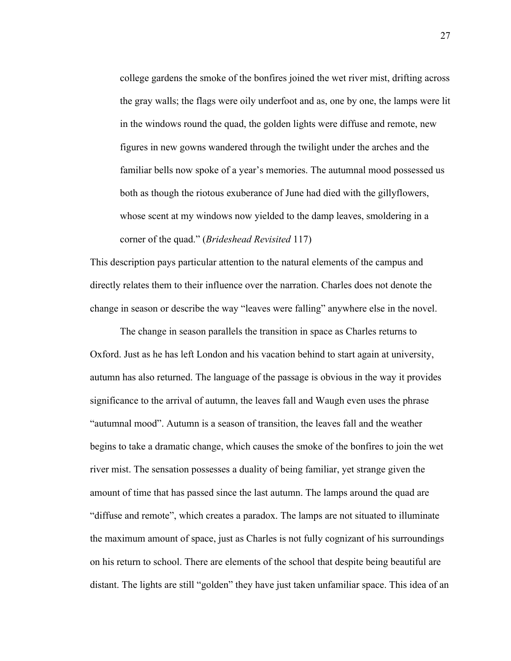college gardens the smoke of the bonfires joined the wet river mist, drifting across the gray walls; the flags were oily underfoot and as, one by one, the lamps were lit in the windows round the quad, the golden lights were diffuse and remote, new figures in new gowns wandered through the twilight under the arches and the familiar bells now spoke of a year's memories. The autumnal mood possessed us both as though the riotous exuberance of June had died with the gillyflowers, whose scent at my windows now yielded to the damp leaves, smoldering in a corner of the quad." (*Brideshead Revisited* 117)

This description pays particular attention to the natural elements of the campus and directly relates them to their influence over the narration. Charles does not denote the change in season or describe the way "leaves were falling" anywhere else in the novel.

The change in season parallels the transition in space as Charles returns to Oxford. Just as he has left London and his vacation behind to start again at university, autumn has also returned. The language of the passage is obvious in the way it provides significance to the arrival of autumn, the leaves fall and Waugh even uses the phrase "autumnal mood". Autumn is a season of transition, the leaves fall and the weather begins to take a dramatic change, which causes the smoke of the bonfires to join the wet river mist. The sensation possesses a duality of being familiar, yet strange given the amount of time that has passed since the last autumn. The lamps around the quad are "diffuse and remote", which creates a paradox. The lamps are not situated to illuminate the maximum amount of space, just as Charles is not fully cognizant of his surroundings on his return to school. There are elements of the school that despite being beautiful are distant. The lights are still "golden" they have just taken unfamiliar space. This idea of an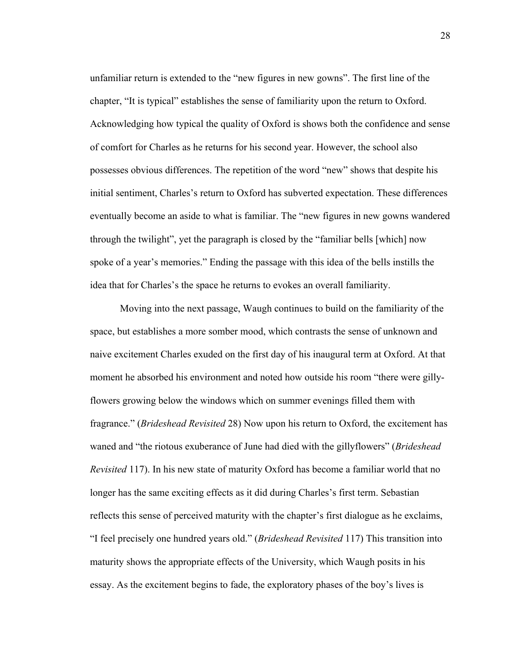unfamiliar return is extended to the "new figures in new gowns". The first line of the chapter, "It is typical" establishes the sense of familiarity upon the return to Oxford. Acknowledging how typical the quality of Oxford is shows both the confidence and sense of comfort for Charles as he returns for his second year. However, the school also possesses obvious differences. The repetition of the word "new" shows that despite his initial sentiment, Charles's return to Oxford has subverted expectation. These differences eventually become an aside to what is familiar. The "new figures in new gowns wandered through the twilight", yet the paragraph is closed by the "familiar bells [which] now spoke of a year's memories." Ending the passage with this idea of the bells instills the idea that for Charles's the space he returns to evokes an overall familiarity.

Moving into the next passage, Waugh continues to build on the familiarity of the space, but establishes a more somber mood, which contrasts the sense of unknown and naive excitement Charles exuded on the first day of his inaugural term at Oxford. At that moment he absorbed his environment and noted how outside his room "there were gillyflowers growing below the windows which on summer evenings filled them with fragrance." (*Brideshead Revisited* 28) Now upon his return to Oxford, the excitement has waned and "the riotous exuberance of June had died with the gillyflowers" (*Brideshead Revisited* 117). In his new state of maturity Oxford has become a familiar world that no longer has the same exciting effects as it did during Charles's first term. Sebastian reflects this sense of perceived maturity with the chapter's first dialogue as he exclaims, "I feel precisely one hundred years old." (*Brideshead Revisited* 117) This transition into maturity shows the appropriate effects of the University, which Waugh posits in his essay. As the excitement begins to fade, the exploratory phases of the boy's lives is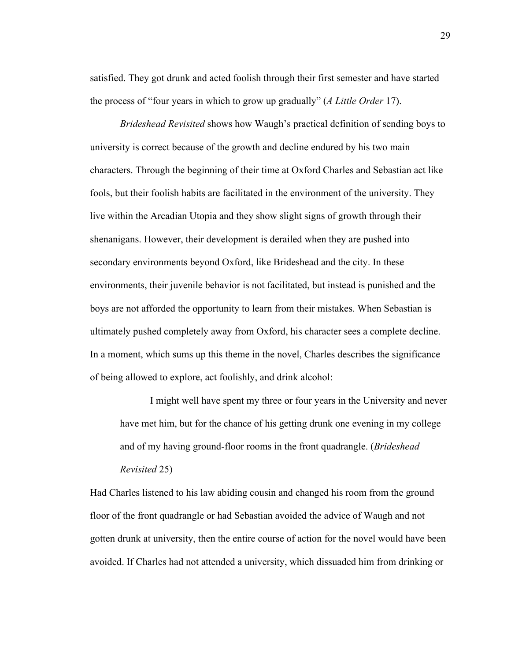satisfied. They got drunk and acted foolish through their first semester and have started the process of "four years in which to grow up gradually" (*A Little Order* 17).

*Brideshead Revisited* shows how Waugh's practical definition of sending boys to university is correct because of the growth and decline endured by his two main characters. Through the beginning of their time at Oxford Charles and Sebastian act like fools, but their foolish habits are facilitated in the environment of the university. They live within the Arcadian Utopia and they show slight signs of growth through their shenanigans. However, their development is derailed when they are pushed into secondary environments beyond Oxford, like Brideshead and the city. In these environments, their juvenile behavior is not facilitated, but instead is punished and the boys are not afforded the opportunity to learn from their mistakes. When Sebastian is ultimately pushed completely away from Oxford, his character sees a complete decline. In a moment, which sums up this theme in the novel, Charles describes the significance of being allowed to explore, act foolishly, and drink alcohol:

I might well have spent my three or four years in the University and never have met him, but for the chance of his getting drunk one evening in my college and of my having ground-floor rooms in the front quadrangle. (*Brideshead Revisited* 25)

Had Charles listened to his law abiding cousin and changed his room from the ground floor of the front quadrangle or had Sebastian avoided the advice of Waugh and not gotten drunk at university, then the entire course of action for the novel would have been avoided. If Charles had not attended a university, which dissuaded him from drinking or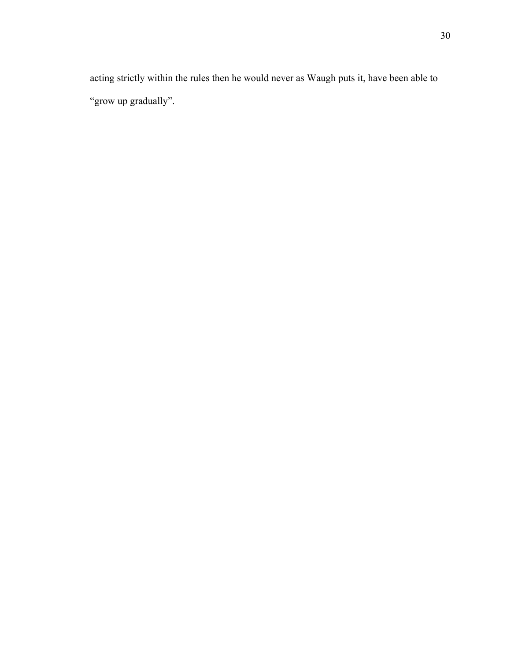acting strictly within the rules then he would never as Waugh puts it, have been able to "grow up gradually".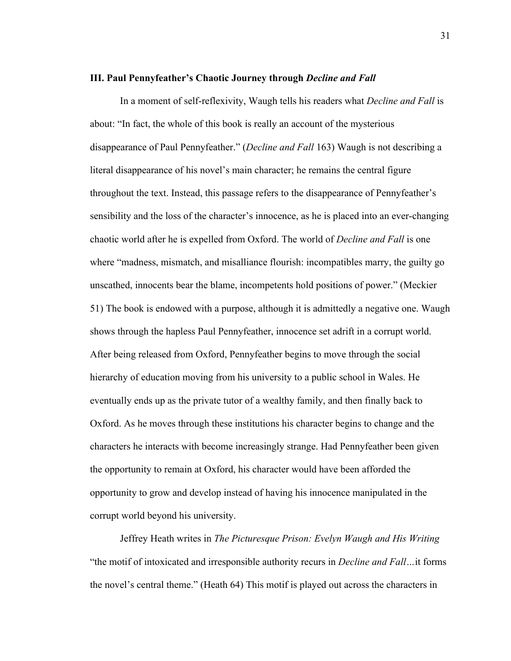### **III. Paul Pennyfeather's Chaotic Journey through** *Decline and Fall*

In a moment of self-reflexivity, Waugh tells his readers what *Decline and Fall* is about: "In fact, the whole of this book is really an account of the mysterious disappearance of Paul Pennyfeather." (*Decline and Fall* 163) Waugh is not describing a literal disappearance of his novel's main character; he remains the central figure throughout the text. Instead, this passage refers to the disappearance of Pennyfeather's sensibility and the loss of the character's innocence, as he is placed into an ever-changing chaotic world after he is expelled from Oxford. The world of *Decline and Fall* is one where "madness, mismatch, and misalliance flourish: incompatibles marry, the guilty go unscathed, innocents bear the blame, incompetents hold positions of power." (Meckier 51) The book is endowed with a purpose, although it is admittedly a negative one. Waugh shows through the hapless Paul Pennyfeather, innocence set adrift in a corrupt world. After being released from Oxford, Pennyfeather begins to move through the social hierarchy of education moving from his university to a public school in Wales. He eventually ends up as the private tutor of a wealthy family, and then finally back to Oxford. As he moves through these institutions his character begins to change and the characters he interacts with become increasingly strange. Had Pennyfeather been given the opportunity to remain at Oxford, his character would have been afforded the opportunity to grow and develop instead of having his innocence manipulated in the corrupt world beyond his university.

Jeffrey Heath writes in *The Picturesque Prison: Evelyn Waugh and His Writing* "the motif of intoxicated and irresponsible authority recurs in *Decline and Fall…*it forms the novel's central theme." (Heath 64) This motif is played out across the characters in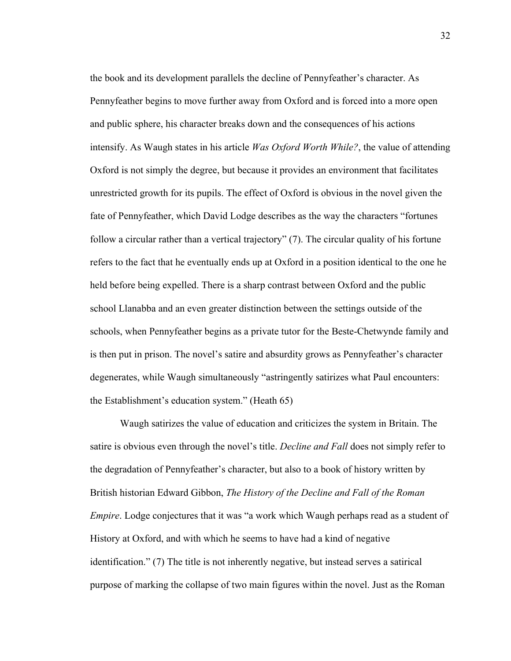the book and its development parallels the decline of Pennyfeather's character. As Pennyfeather begins to move further away from Oxford and is forced into a more open and public sphere, his character breaks down and the consequences of his actions intensify. As Waugh states in his article *Was Oxford Worth While?*, the value of attending Oxford is not simply the degree, but because it provides an environment that facilitates unrestricted growth for its pupils. The effect of Oxford is obvious in the novel given the fate of Pennyfeather, which David Lodge describes as the way the characters "fortunes follow a circular rather than a vertical trajectory" (7). The circular quality of his fortune refers to the fact that he eventually ends up at Oxford in a position identical to the one he held before being expelled. There is a sharp contrast between Oxford and the public school Llanabba and an even greater distinction between the settings outside of the schools, when Pennyfeather begins as a private tutor for the Beste-Chetwynde family and is then put in prison. The novel's satire and absurdity grows as Pennyfeather's character degenerates, while Waugh simultaneously "astringently satirizes what Paul encounters: the Establishment's education system." (Heath 65)

Waugh satirizes the value of education and criticizes the system in Britain. The satire is obvious even through the novel's title. *Decline and Fall* does not simply refer to the degradation of Pennyfeather's character, but also to a book of history written by British historian Edward Gibbon, *The History of the Decline and Fall of the Roman Empire*. Lodge conjectures that it was "a work which Waugh perhaps read as a student of History at Oxford, and with which he seems to have had a kind of negative identification." (7) The title is not inherently negative, but instead serves a satirical purpose of marking the collapse of two main figures within the novel. Just as the Roman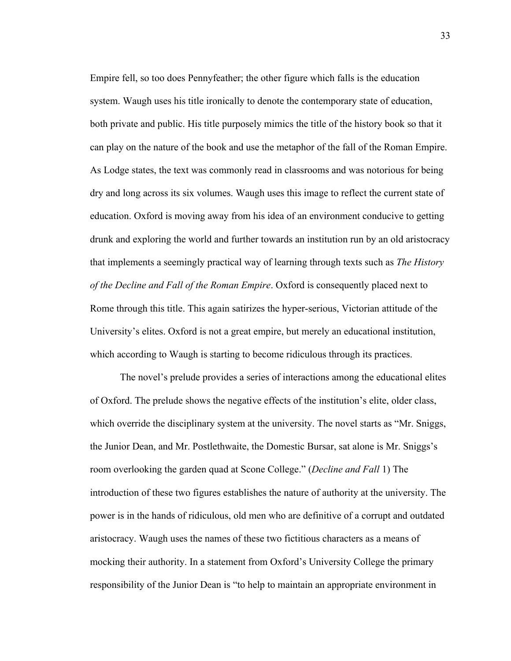Empire fell, so too does Pennyfeather; the other figure which falls is the education system. Waugh uses his title ironically to denote the contemporary state of education, both private and public. His title purposely mimics the title of the history book so that it can play on the nature of the book and use the metaphor of the fall of the Roman Empire. As Lodge states, the text was commonly read in classrooms and was notorious for being dry and long across its six volumes. Waugh uses this image to reflect the current state of education. Oxford is moving away from his idea of an environment conducive to getting drunk and exploring the world and further towards an institution run by an old aristocracy that implements a seemingly practical way of learning through texts such as *The History of the Decline and Fall of the Roman Empire*. Oxford is consequently placed next to Rome through this title. This again satirizes the hyper-serious, Victorian attitude of the University's elites. Oxford is not a great empire, but merely an educational institution, which according to Waugh is starting to become ridiculous through its practices.

The novel's prelude provides a series of interactions among the educational elites of Oxford. The prelude shows the negative effects of the institution's elite, older class, which override the disciplinary system at the university. The novel starts as "Mr. Sniggs, the Junior Dean, and Mr. Postlethwaite, the Domestic Bursar, sat alone is Mr. Sniggs's room overlooking the garden quad at Scone College." (*Decline and Fall* 1) The introduction of these two figures establishes the nature of authority at the university. The power is in the hands of ridiculous, old men who are definitive of a corrupt and outdated aristocracy. Waugh uses the names of these two fictitious characters as a means of mocking their authority. In a statement from Oxford's University College the primary responsibility of the Junior Dean is "to help to maintain an appropriate environment in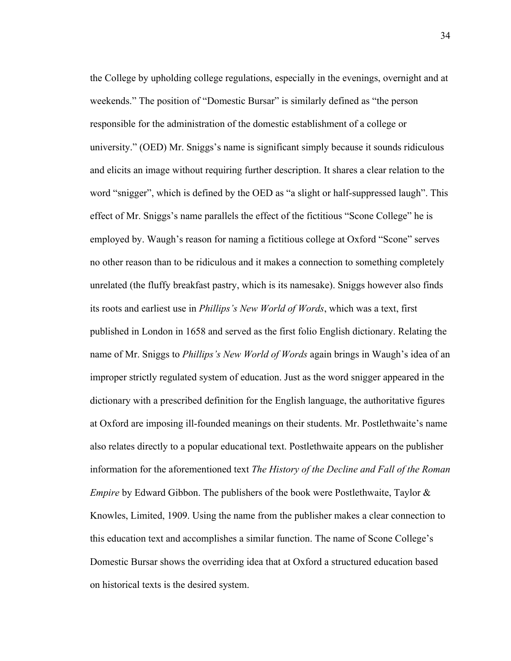the College by upholding college regulations, especially in the evenings, overnight and at weekends." The position of "Domestic Bursar" is similarly defined as "the person responsible for the administration of the domestic establishment of a college or university." (OED) Mr. Sniggs's name is significant simply because it sounds ridiculous and elicits an image without requiring further description. It shares a clear relation to the word "snigger", which is defined by the OED as "a slight or half-suppressed laugh". This effect of Mr. Sniggs's name parallels the effect of the fictitious "Scone College" he is employed by. Waugh's reason for naming a fictitious college at Oxford "Scone" serves no other reason than to be ridiculous and it makes a connection to something completely unrelated (the fluffy breakfast pastry, which is its namesake). Sniggs however also finds its roots and earliest use in *Phillips's New World of Words*, which was a text, first published in London in 1658 and served as the first folio English dictionary. Relating the name of Mr. Sniggs to *Phillips's New World of Words* again brings in Waugh's idea of an improper strictly regulated system of education. Just as the word snigger appeared in the dictionary with a prescribed definition for the English language, the authoritative figures at Oxford are imposing ill-founded meanings on their students. Mr. Postlethwaite's name also relates directly to a popular educational text. Postlethwaite appears on the publisher information for the aforementioned text *The History of the Decline and Fall of the Roman Empire* by Edward Gibbon. The publishers of the book were Postlethwaite, Taylor & Knowles, Limited, 1909. Using the name from the publisher makes a clear connection to this education text and accomplishes a similar function. The name of Scone College's Domestic Bursar shows the overriding idea that at Oxford a structured education based on historical texts is the desired system.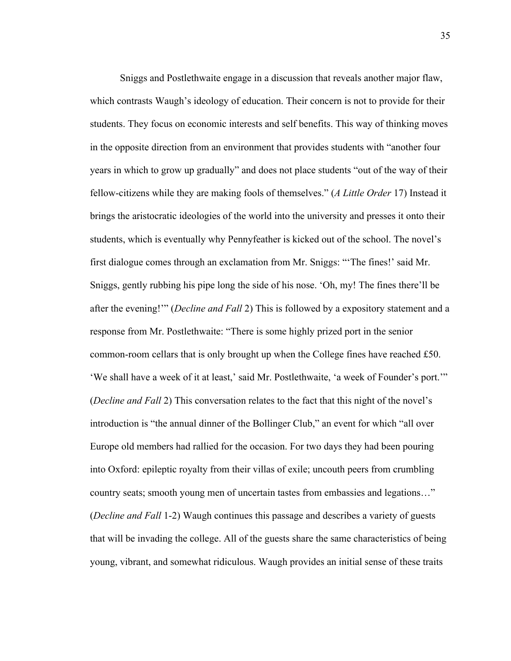Sniggs and Postlethwaite engage in a discussion that reveals another major flaw, which contrasts Waugh's ideology of education. Their concern is not to provide for their students. They focus on economic interests and self benefits. This way of thinking moves in the opposite direction from an environment that provides students with "another four years in which to grow up gradually" and does not place students "out of the way of their fellow-citizens while they are making fools of themselves." (*A Little Order* 17) Instead it brings the aristocratic ideologies of the world into the university and presses it onto their students, which is eventually why Pennyfeather is kicked out of the school. The novel's first dialogue comes through an exclamation from Mr. Sniggs: "'The fines!' said Mr. Sniggs, gently rubbing his pipe long the side of his nose. 'Oh, my! The fines there'll be after the evening!'" (*Decline and Fall* 2) This is followed by a expository statement and a response from Mr. Postlethwaite: "There is some highly prized port in the senior common-room cellars that is only brought up when the College fines have reached £50. 'We shall have a week of it at least,' said Mr. Postlethwaite, 'a week of Founder's port.'" (*Decline and Fall* 2) This conversation relates to the fact that this night of the novel's introduction is "the annual dinner of the Bollinger Club," an event for which "all over Europe old members had rallied for the occasion. For two days they had been pouring into Oxford: epileptic royalty from their villas of exile; uncouth peers from crumbling country seats; smooth young men of uncertain tastes from embassies and legations…" (*Decline and Fall* 1-2) Waugh continues this passage and describes a variety of guests that will be invading the college. All of the guests share the same characteristics of being young, vibrant, and somewhat ridiculous. Waugh provides an initial sense of these traits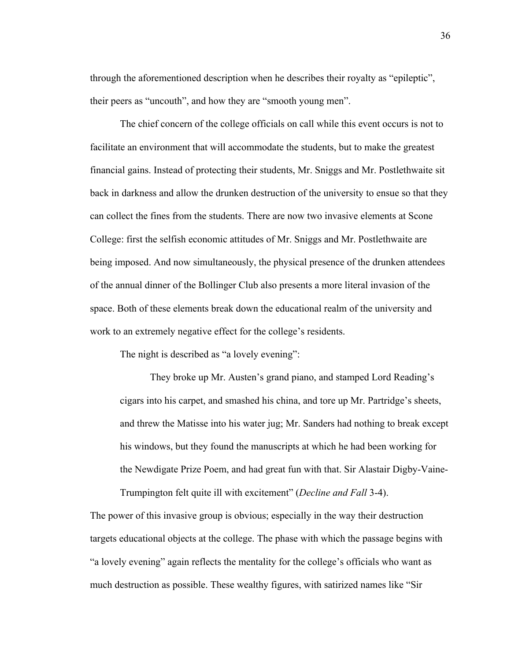through the aforementioned description when he describes their royalty as "epileptic", their peers as "uncouth", and how they are "smooth young men".

The chief concern of the college officials on call while this event occurs is not to facilitate an environment that will accommodate the students, but to make the greatest financial gains. Instead of protecting their students, Mr. Sniggs and Mr. Postlethwaite sit back in darkness and allow the drunken destruction of the university to ensue so that they can collect the fines from the students. There are now two invasive elements at Scone College: first the selfish economic attitudes of Mr. Sniggs and Mr. Postlethwaite are being imposed. And now simultaneously, the physical presence of the drunken attendees of the annual dinner of the Bollinger Club also presents a more literal invasion of the space. Both of these elements break down the educational realm of the university and work to an extremely negative effect for the college's residents.

The night is described as "a lovely evening":

They broke up Mr. Austen's grand piano, and stamped Lord Reading's cigars into his carpet, and smashed his china, and tore up Mr. Partridge's sheets, and threw the Matisse into his water jug; Mr. Sanders had nothing to break except his windows, but they found the manuscripts at which he had been working for the Newdigate Prize Poem, and had great fun with that. Sir Alastair Digby-Vaine-Trumpington felt quite ill with excitement" (*Decline and Fall* 3-4).

The power of this invasive group is obvious; especially in the way their destruction targets educational objects at the college. The phase with which the passage begins with "a lovely evening" again reflects the mentality for the college's officials who want as much destruction as possible. These wealthy figures, with satirized names like "Sir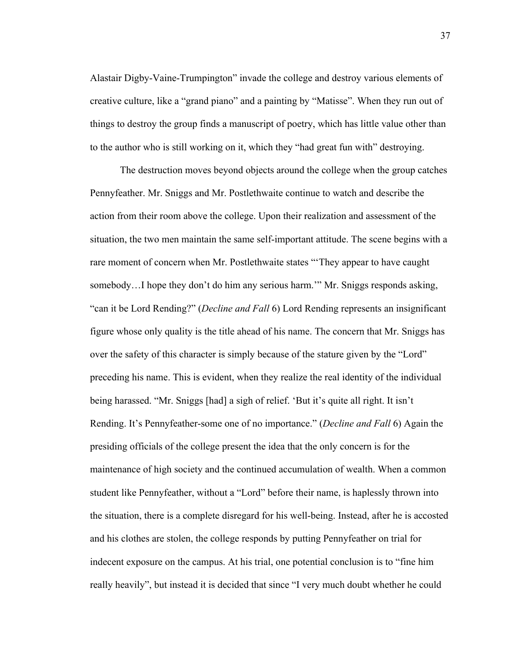Alastair Digby-Vaine-Trumpington" invade the college and destroy various elements of creative culture, like a "grand piano" and a painting by "Matisse". When they run out of things to destroy the group finds a manuscript of poetry, which has little value other than to the author who is still working on it, which they "had great fun with" destroying.

The destruction moves beyond objects around the college when the group catches Pennyfeather. Mr. Sniggs and Mr. Postlethwaite continue to watch and describe the action from their room above the college. Upon their realization and assessment of the situation, the two men maintain the same self-important attitude. The scene begins with a rare moment of concern when Mr. Postlethwaite states "'They appear to have caught somebody...I hope they don't do him any serious harm." Mr. Sniggs responds asking, "can it be Lord Rending?" (*Decline and Fall* 6) Lord Rending represents an insignificant figure whose only quality is the title ahead of his name. The concern that Mr. Sniggs has over the safety of this character is simply because of the stature given by the "Lord" preceding his name. This is evident, when they realize the real identity of the individual being harassed. "Mr. Sniggs [had] a sigh of relief. 'But it's quite all right. It isn't Rending. It's Pennyfeather-some one of no importance." (*Decline and Fall* 6) Again the presiding officials of the college present the idea that the only concern is for the maintenance of high society and the continued accumulation of wealth. When a common student like Pennyfeather, without a "Lord" before their name, is haplessly thrown into the situation, there is a complete disregard for his well-being. Instead, after he is accosted and his clothes are stolen, the college responds by putting Pennyfeather on trial for indecent exposure on the campus. At his trial, one potential conclusion is to "fine him really heavily", but instead it is decided that since "I very much doubt whether he could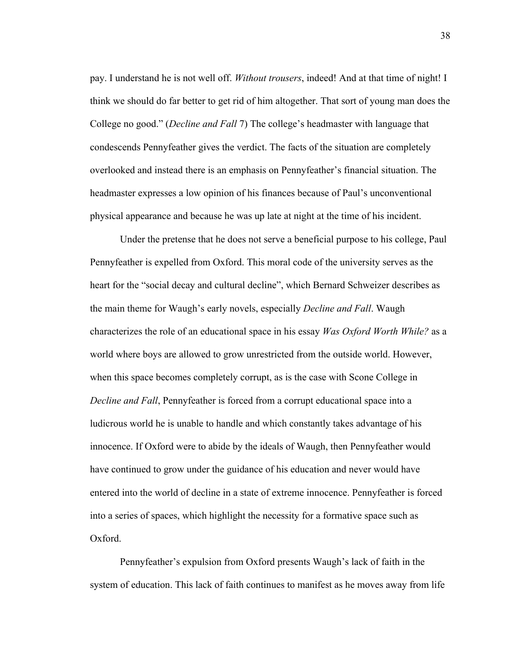pay. I understand he is not well off. *Without trousers*, indeed! And at that time of night! I think we should do far better to get rid of him altogether. That sort of young man does the College no good." (*Decline and Fall* 7) The college's headmaster with language that condescends Pennyfeather gives the verdict. The facts of the situation are completely overlooked and instead there is an emphasis on Pennyfeather's financial situation. The headmaster expresses a low opinion of his finances because of Paul's unconventional physical appearance and because he was up late at night at the time of his incident.

Under the pretense that he does not serve a beneficial purpose to his college, Paul Pennyfeather is expelled from Oxford. This moral code of the university serves as the heart for the "social decay and cultural decline", which Bernard Schweizer describes as the main theme for Waugh's early novels, especially *Decline and Fall*. Waugh characterizes the role of an educational space in his essay *Was Oxford Worth While?* as a world where boys are allowed to grow unrestricted from the outside world. However, when this space becomes completely corrupt, as is the case with Scone College in *Decline and Fall*, Pennyfeather is forced from a corrupt educational space into a ludicrous world he is unable to handle and which constantly takes advantage of his innocence. If Oxford were to abide by the ideals of Waugh, then Pennyfeather would have continued to grow under the guidance of his education and never would have entered into the world of decline in a state of extreme innocence. Pennyfeather is forced into a series of spaces, which highlight the necessity for a formative space such as Oxford.

Pennyfeather's expulsion from Oxford presents Waugh's lack of faith in the system of education. This lack of faith continues to manifest as he moves away from life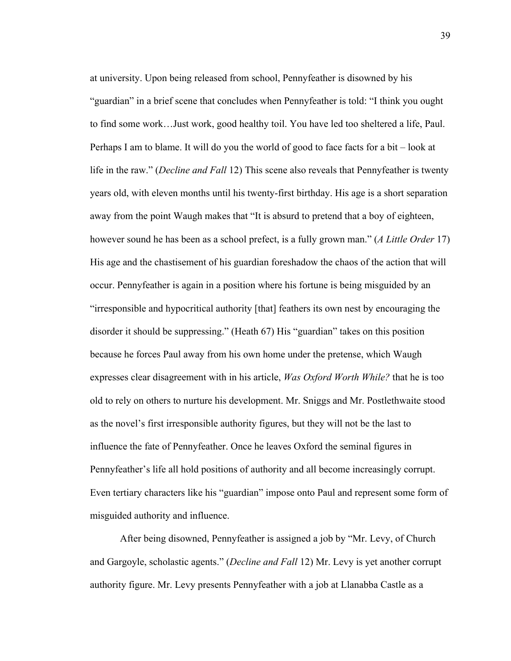at university. Upon being released from school, Pennyfeather is disowned by his "guardian" in a brief scene that concludes when Pennyfeather is told: "I think you ought to find some work…Just work, good healthy toil. You have led too sheltered a life, Paul. Perhaps I am to blame. It will do you the world of good to face facts for a bit – look at life in the raw." (*Decline and Fall* 12) This scene also reveals that Pennyfeather is twenty years old, with eleven months until his twenty-first birthday. His age is a short separation away from the point Waugh makes that "It is absurd to pretend that a boy of eighteen, however sound he has been as a school prefect, is a fully grown man." (*A Little Order* 17) His age and the chastisement of his guardian foreshadow the chaos of the action that will occur. Pennyfeather is again in a position where his fortune is being misguided by an "irresponsible and hypocritical authority [that] feathers its own nest by encouraging the disorder it should be suppressing." (Heath 67) His "guardian" takes on this position because he forces Paul away from his own home under the pretense, which Waugh expresses clear disagreement with in his article, *Was Oxford Worth While?* that he is too old to rely on others to nurture his development. Mr. Sniggs and Mr. Postlethwaite stood as the novel's first irresponsible authority figures, but they will not be the last to influence the fate of Pennyfeather. Once he leaves Oxford the seminal figures in Pennyfeather's life all hold positions of authority and all become increasingly corrupt. Even tertiary characters like his "guardian" impose onto Paul and represent some form of misguided authority and influence.

After being disowned, Pennyfeather is assigned a job by "Mr. Levy, of Church and Gargoyle, scholastic agents." (*Decline and Fall* 12) Mr. Levy is yet another corrupt authority figure. Mr. Levy presents Pennyfeather with a job at Llanabba Castle as a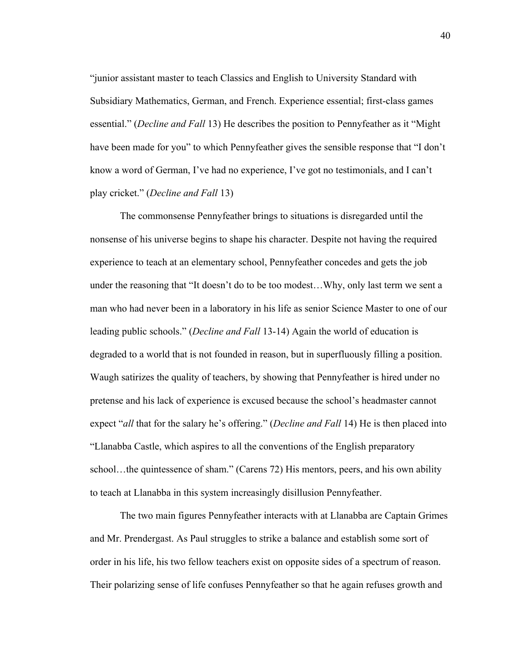"junior assistant master to teach Classics and English to University Standard with Subsidiary Mathematics, German, and French. Experience essential; first-class games essential." (*Decline and Fall* 13) He describes the position to Pennyfeather as it "Might have been made for you" to which Pennyfeather gives the sensible response that "I don't know a word of German, I've had no experience, I've got no testimonials, and I can't play cricket." (*Decline and Fall* 13)

The commonsense Pennyfeather brings to situations is disregarded until the nonsense of his universe begins to shape his character. Despite not having the required experience to teach at an elementary school, Pennyfeather concedes and gets the job under the reasoning that "It doesn't do to be too modest…Why, only last term we sent a man who had never been in a laboratory in his life as senior Science Master to one of our leading public schools." (*Decline and Fall* 13-14) Again the world of education is degraded to a world that is not founded in reason, but in superfluously filling a position. Waugh satirizes the quality of teachers, by showing that Pennyfeather is hired under no pretense and his lack of experience is excused because the school's headmaster cannot expect "*all* that for the salary he's offering." (*Decline and Fall* 14) He is then placed into "Llanabba Castle, which aspires to all the conventions of the English preparatory school…the quintessence of sham." (Carens 72) His mentors, peers, and his own ability to teach at Llanabba in this system increasingly disillusion Pennyfeather.

The two main figures Pennyfeather interacts with at Llanabba are Captain Grimes and Mr. Prendergast. As Paul struggles to strike a balance and establish some sort of order in his life, his two fellow teachers exist on opposite sides of a spectrum of reason. Their polarizing sense of life confuses Pennyfeather so that he again refuses growth and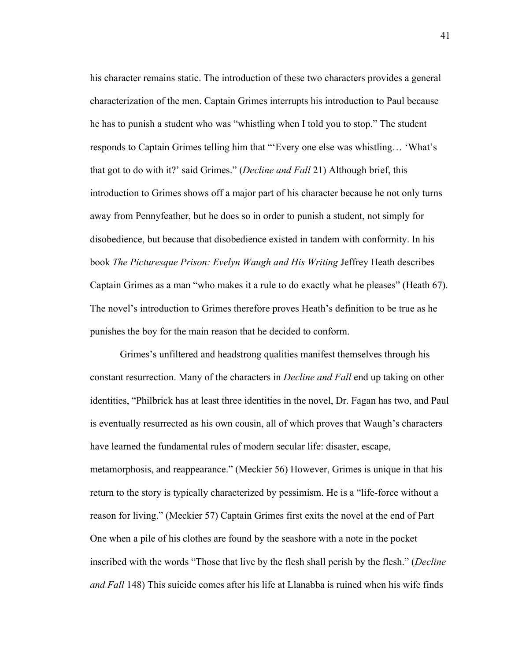his character remains static. The introduction of these two characters provides a general characterization of the men. Captain Grimes interrupts his introduction to Paul because he has to punish a student who was "whistling when I told you to stop." The student responds to Captain Grimes telling him that "'Every one else was whistling… 'What's that got to do with it?' said Grimes." (*Decline and Fall* 21) Although brief, this introduction to Grimes shows off a major part of his character because he not only turns away from Pennyfeather, but he does so in order to punish a student, not simply for disobedience, but because that disobedience existed in tandem with conformity. In his book *The Picturesque Prison: Evelyn Waugh and His Writing Jeffrey Heath describes* Captain Grimes as a man "who makes it a rule to do exactly what he pleases" (Heath 67). The novel's introduction to Grimes therefore proves Heath's definition to be true as he punishes the boy for the main reason that he decided to conform.

Grimes's unfiltered and headstrong qualities manifest themselves through his constant resurrection. Many of the characters in *Decline and Fall* end up taking on other identities, "Philbrick has at least three identities in the novel, Dr. Fagan has two, and Paul is eventually resurrected as his own cousin, all of which proves that Waugh's characters have learned the fundamental rules of modern secular life: disaster, escape, metamorphosis, and reappearance." (Meckier 56) However, Grimes is unique in that his return to the story is typically characterized by pessimism. He is a "life-force without a reason for living." (Meckier 57) Captain Grimes first exits the novel at the end of Part One when a pile of his clothes are found by the seashore with a note in the pocket inscribed with the words "Those that live by the flesh shall perish by the flesh." (*Decline and Fall* 148) This suicide comes after his life at Llanabba is ruined when his wife finds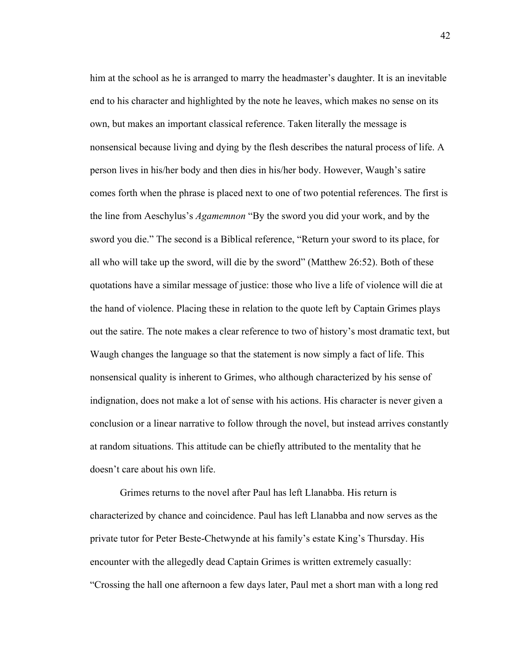him at the school as he is arranged to marry the headmaster's daughter. It is an inevitable end to his character and highlighted by the note he leaves, which makes no sense on its own, but makes an important classical reference. Taken literally the message is nonsensical because living and dying by the flesh describes the natural process of life. A person lives in his/her body and then dies in his/her body. However, Waugh's satire comes forth when the phrase is placed next to one of two potential references. The first is the line from Aeschylus's *Agamemnon* "By the sword you did your work, and by the sword you die." The second is a Biblical reference, "Return your sword to its place, for all who will take up the sword, will die by the sword" (Matthew 26:52). Both of these quotations have a similar message of justice: those who live a life of violence will die at the hand of violence. Placing these in relation to the quote left by Captain Grimes plays out the satire. The note makes a clear reference to two of history's most dramatic text, but Waugh changes the language so that the statement is now simply a fact of life. This nonsensical quality is inherent to Grimes, who although characterized by his sense of indignation, does not make a lot of sense with his actions. His character is never given a conclusion or a linear narrative to follow through the novel, but instead arrives constantly at random situations. This attitude can be chiefly attributed to the mentality that he doesn't care about his own life.

Grimes returns to the novel after Paul has left Llanabba. His return is characterized by chance and coincidence. Paul has left Llanabba and now serves as the private tutor for Peter Beste-Chetwynde at his family's estate King's Thursday. His encounter with the allegedly dead Captain Grimes is written extremely casually: "Crossing the hall one afternoon a few days later, Paul met a short man with a long red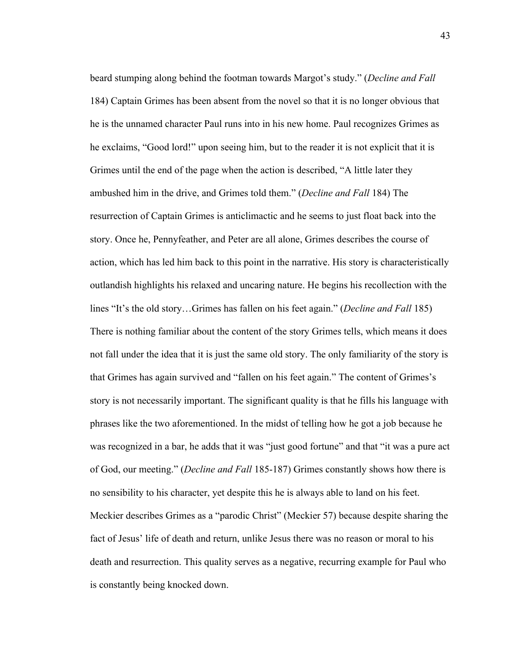beard stumping along behind the footman towards Margot's study." (*Decline and Fall*  184) Captain Grimes has been absent from the novel so that it is no longer obvious that he is the unnamed character Paul runs into in his new home. Paul recognizes Grimes as he exclaims, "Good lord!" upon seeing him, but to the reader it is not explicit that it is Grimes until the end of the page when the action is described, "A little later they ambushed him in the drive, and Grimes told them." (*Decline and Fall* 184) The resurrection of Captain Grimes is anticlimactic and he seems to just float back into the story. Once he, Pennyfeather, and Peter are all alone, Grimes describes the course of action, which has led him back to this point in the narrative. His story is characteristically outlandish highlights his relaxed and uncaring nature. He begins his recollection with the lines "It's the old story…Grimes has fallen on his feet again." (*Decline and Fall* 185) There is nothing familiar about the content of the story Grimes tells, which means it does not fall under the idea that it is just the same old story. The only familiarity of the story is that Grimes has again survived and "fallen on his feet again." The content of Grimes's story is not necessarily important. The significant quality is that he fills his language with phrases like the two aforementioned. In the midst of telling how he got a job because he was recognized in a bar, he adds that it was "just good fortune" and that "it was a pure act of God, our meeting." (*Decline and Fall* 185-187) Grimes constantly shows how there is no sensibility to his character, yet despite this he is always able to land on his feet. Meckier describes Grimes as a "parodic Christ" (Meckier 57) because despite sharing the fact of Jesus' life of death and return, unlike Jesus there was no reason or moral to his death and resurrection. This quality serves as a negative, recurring example for Paul who is constantly being knocked down.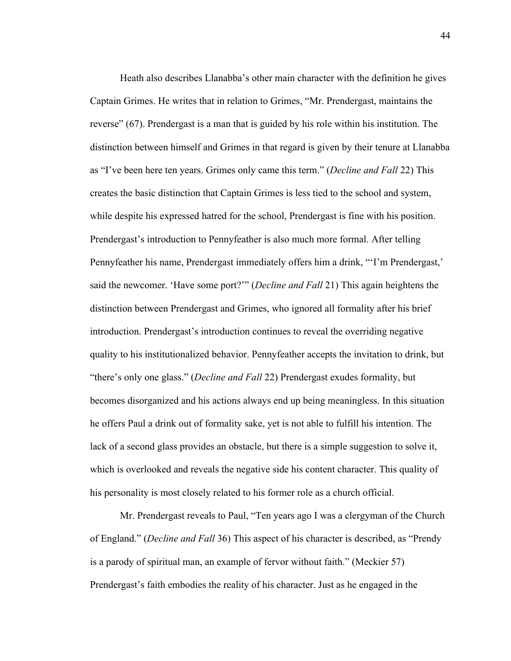Heath also describes Llanabba's other main character with the definition he gives Captain Grimes. He writes that in relation to Grimes, "Mr. Prendergast, maintains the reverse" (67). Prendergast is a man that is guided by his role within his institution. The distinction between himself and Grimes in that regard is given by their tenure at Llanabba as "I've been here ten years. Grimes only came this term." (*Decline and Fall* 22) This creates the basic distinction that Captain Grimes is less tied to the school and system, while despite his expressed hatred for the school, Prendergast is fine with his position. Prendergast's introduction to Pennyfeather is also much more formal. After telling Pennyfeather his name, Prendergast immediately offers him a drink, "'I'm Prendergast,' said the newcomer. 'Have some port?'" (*Decline and Fall* 21) This again heightens the distinction between Prendergast and Grimes, who ignored all formality after his brief introduction. Prendergast's introduction continues to reveal the overriding negative quality to his institutionalized behavior. Pennyfeather accepts the invitation to drink, but "there's only one glass." (*Decline and Fall* 22) Prendergast exudes formality, but becomes disorganized and his actions always end up being meaningless. In this situation he offers Paul a drink out of formality sake, yet is not able to fulfill his intention. The lack of a second glass provides an obstacle, but there is a simple suggestion to solve it, which is overlooked and reveals the negative side his content character. This quality of his personality is most closely related to his former role as a church official.

Mr. Prendergast reveals to Paul, "Ten years ago I was a clergyman of the Church of England." (*Decline and Fall* 36) This aspect of his character is described, as "Prendy is a parody of spiritual man, an example of fervor without faith." (Meckier 57) Prendergast's faith embodies the reality of his character. Just as he engaged in the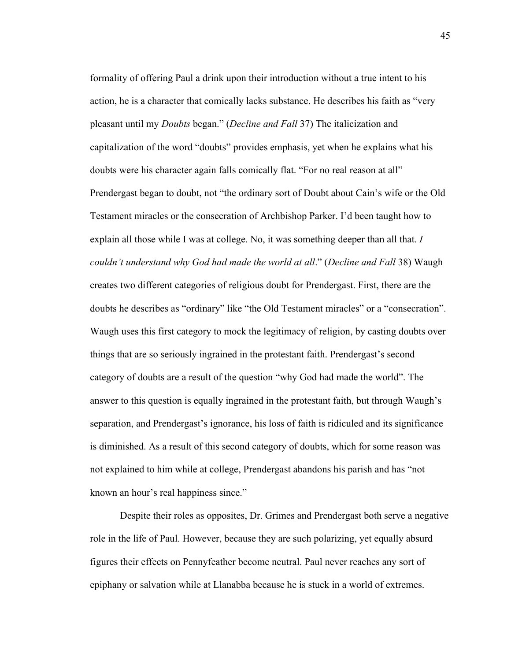formality of offering Paul a drink upon their introduction without a true intent to his action, he is a character that comically lacks substance. He describes his faith as "very pleasant until my *Doubts* began." (*Decline and Fall* 37) The italicization and capitalization of the word "doubts" provides emphasis, yet when he explains what his doubts were his character again falls comically flat. "For no real reason at all" Prendergast began to doubt, not "the ordinary sort of Doubt about Cain's wife or the Old Testament miracles or the consecration of Archbishop Parker. I'd been taught how to explain all those while I was at college. No, it was something deeper than all that. *I couldn't understand why God had made the world at all*." (*Decline and Fall* 38) Waugh creates two different categories of religious doubt for Prendergast. First, there are the doubts he describes as "ordinary" like "the Old Testament miracles" or a "consecration". Waugh uses this first category to mock the legitimacy of religion, by casting doubts over things that are so seriously ingrained in the protestant faith. Prendergast's second category of doubts are a result of the question "why God had made the world". The answer to this question is equally ingrained in the protestant faith, but through Waugh's separation, and Prendergast's ignorance, his loss of faith is ridiculed and its significance is diminished. As a result of this second category of doubts, which for some reason was not explained to him while at college, Prendergast abandons his parish and has "not known an hour's real happiness since."

Despite their roles as opposites, Dr. Grimes and Prendergast both serve a negative role in the life of Paul. However, because they are such polarizing, yet equally absurd figures their effects on Pennyfeather become neutral. Paul never reaches any sort of epiphany or salvation while at Llanabba because he is stuck in a world of extremes.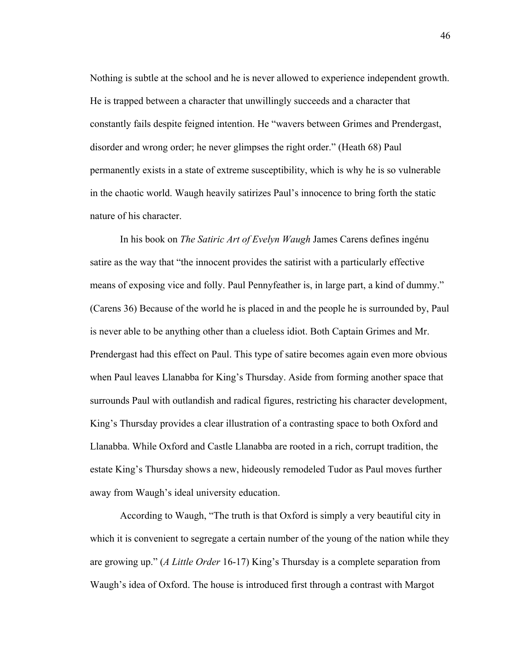Nothing is subtle at the school and he is never allowed to experience independent growth. He is trapped between a character that unwillingly succeeds and a character that constantly fails despite feigned intention. He "wavers between Grimes and Prendergast, disorder and wrong order; he never glimpses the right order." (Heath 68) Paul permanently exists in a state of extreme susceptibility, which is why he is so vulnerable in the chaotic world. Waugh heavily satirizes Paul's innocence to bring forth the static nature of his character.

In his book on *The Satiric Art of Evelyn Waugh* James Carens defines ingénu satire as the way that "the innocent provides the satirist with a particularly effective means of exposing vice and folly. Paul Pennyfeather is, in large part, a kind of dummy." (Carens 36) Because of the world he is placed in and the people he is surrounded by, Paul is never able to be anything other than a clueless idiot. Both Captain Grimes and Mr. Prendergast had this effect on Paul. This type of satire becomes again even more obvious when Paul leaves Llanabba for King's Thursday. Aside from forming another space that surrounds Paul with outlandish and radical figures, restricting his character development, King's Thursday provides a clear illustration of a contrasting space to both Oxford and Llanabba. While Oxford and Castle Llanabba are rooted in a rich, corrupt tradition, the estate King's Thursday shows a new, hideously remodeled Tudor as Paul moves further away from Waugh's ideal university education.

According to Waugh, "The truth is that Oxford is simply a very beautiful city in which it is convenient to segregate a certain number of the young of the nation while they are growing up." (*A Little Order* 16-17) King's Thursday is a complete separation from Waugh's idea of Oxford. The house is introduced first through a contrast with Margot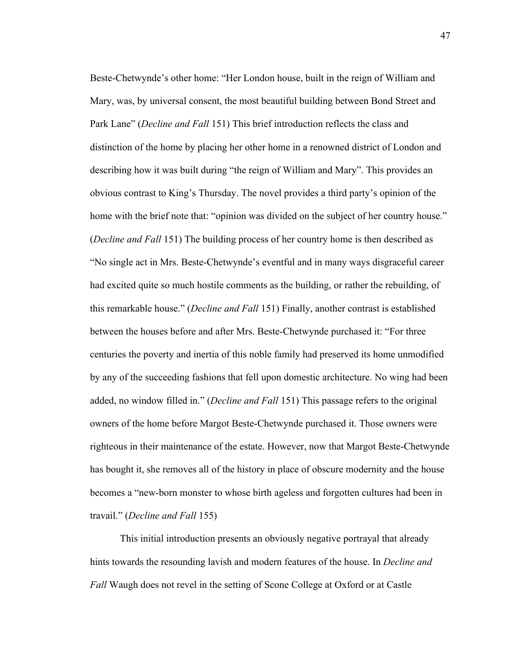Beste-Chetwynde's other home: "Her London house, built in the reign of William and Mary, was, by universal consent, the most beautiful building between Bond Street and Park Lane" (*Decline and Fall* 151) This brief introduction reflects the class and distinction of the home by placing her other home in a renowned district of London and describing how it was built during "the reign of William and Mary". This provides an obvious contrast to King's Thursday. The novel provides a third party's opinion of the home with the brief note that: "opinion was divided on the subject of her country house." (*Decline and Fall* 151) The building process of her country home is then described as "No single act in Mrs. Beste-Chetwynde's eventful and in many ways disgraceful career had excited quite so much hostile comments as the building, or rather the rebuilding, of this remarkable house." (*Decline and Fall* 151) Finally, another contrast is established between the houses before and after Mrs. Beste-Chetwynde purchased it: "For three centuries the poverty and inertia of this noble family had preserved its home unmodified by any of the succeeding fashions that fell upon domestic architecture. No wing had been added, no window filled in." (*Decline and Fall* 151) This passage refers to the original owners of the home before Margot Beste-Chetwynde purchased it. Those owners were righteous in their maintenance of the estate. However, now that Margot Beste-Chetwynde has bought it, she removes all of the history in place of obscure modernity and the house becomes a "new-born monster to whose birth ageless and forgotten cultures had been in travail." (*Decline and Fall* 155)

This initial introduction presents an obviously negative portrayal that already hints towards the resounding lavish and modern features of the house. In *Decline and Fall* Waugh does not revel in the setting of Scone College at Oxford or at Castle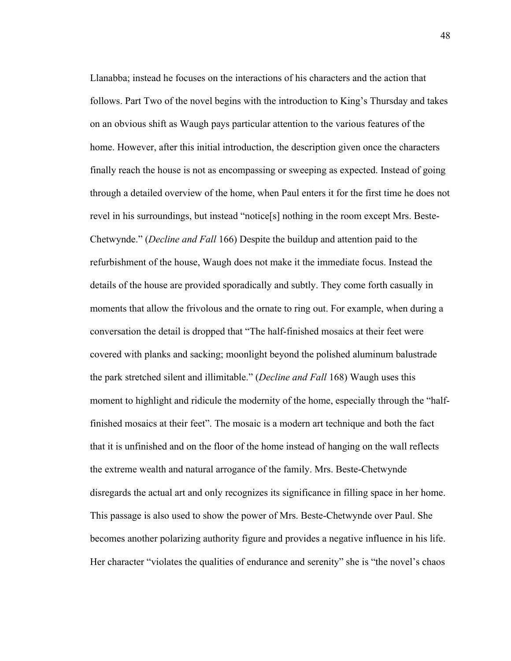Llanabba; instead he focuses on the interactions of his characters and the action that follows. Part Two of the novel begins with the introduction to King's Thursday and takes on an obvious shift as Waugh pays particular attention to the various features of the home. However, after this initial introduction, the description given once the characters finally reach the house is not as encompassing or sweeping as expected. Instead of going through a detailed overview of the home, when Paul enters it for the first time he does not revel in his surroundings, but instead "notice[s] nothing in the room except Mrs. Beste-Chetwynde." (*Decline and Fall* 166) Despite the buildup and attention paid to the refurbishment of the house, Waugh does not make it the immediate focus. Instead the details of the house are provided sporadically and subtly. They come forth casually in moments that allow the frivolous and the ornate to ring out. For example, when during a conversation the detail is dropped that "The half-finished mosaics at their feet were covered with planks and sacking; moonlight beyond the polished aluminum balustrade the park stretched silent and illimitable." (*Decline and Fall* 168) Waugh uses this moment to highlight and ridicule the modernity of the home, especially through the "halffinished mosaics at their feet". The mosaic is a modern art technique and both the fact that it is unfinished and on the floor of the home instead of hanging on the wall reflects the extreme wealth and natural arrogance of the family. Mrs. Beste-Chetwynde disregards the actual art and only recognizes its significance in filling space in her home. This passage is also used to show the power of Mrs. Beste-Chetwynde over Paul. She becomes another polarizing authority figure and provides a negative influence in his life. Her character "violates the qualities of endurance and serenity" she is "the novel's chaos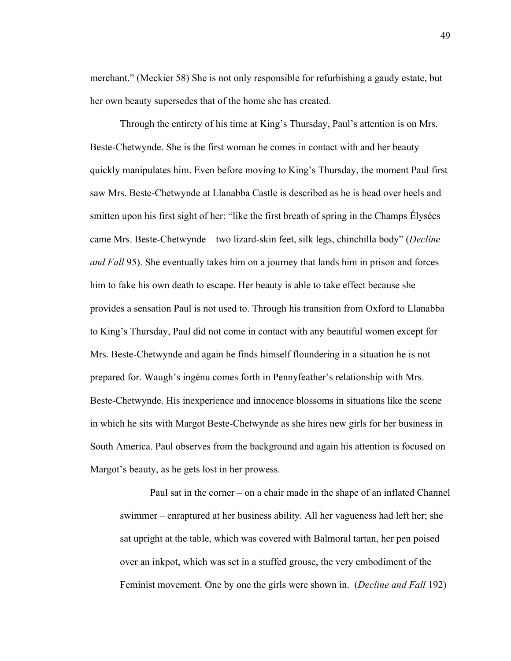merchant." (Meckier 58) She is not only responsible for refurbishing a gaudy estate, but her own beauty supersedes that of the home she has created.

Through the entirety of his time at King's Thursday, Paul's attention is on Mrs. Beste-Chetwynde. She is the first woman he comes in contact with and her beauty quickly manipulates him. Even before moving to King's Thursday, the moment Paul first saw Mrs. Beste-Chetwynde at Llanabba Castle is described as he is head over heels and smitten upon his first sight of her: "like the first breath of spring in the Champs Élysées came Mrs. Beste-Chetwynde – two lizard-skin feet, silk legs, chinchilla body" (*Decline and Fall* 95). She eventually takes him on a journey that lands him in prison and forces him to fake his own death to escape. Her beauty is able to take effect because she provides a sensation Paul is not used to. Through his transition from Oxford to Llanabba to King's Thursday, Paul did not come in contact with any beautiful women except for Mrs. Beste-Chetwynde and again he finds himself floundering in a situation he is not prepared for. Waugh's ingénu comes forth in Pennyfeather's relationship with Mrs. Beste-Chetwynde. His inexperience and innocence blossoms in situations like the scene in which he sits with Margot Beste-Chetwynde as she hires new girls for her business in South America. Paul observes from the background and again his attention is focused on Margot's beauty, as he gets lost in her prowess.

Paul sat in the corner – on a chair made in the shape of an inflated Channel swimmer – enraptured at her business ability. All her vagueness had left her; she sat upright at the table, which was covered with Balmoral tartan, her pen poised over an inkpot, which was set in a stuffed grouse, the very embodiment of the Feminist movement. One by one the girls were shown in. (*Decline and Fall* 192)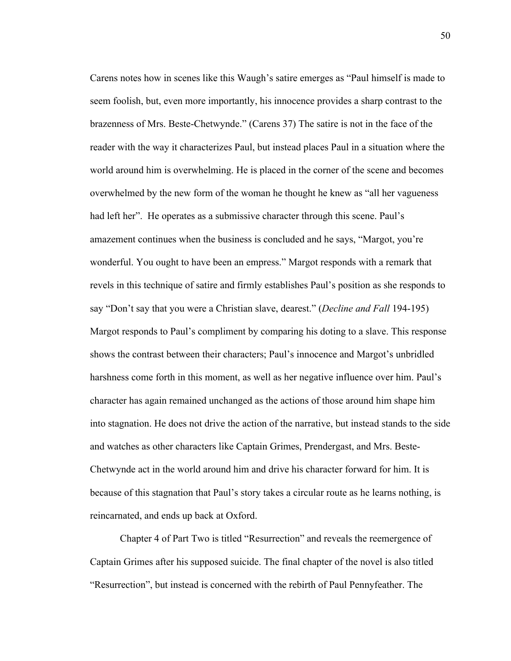Carens notes how in scenes like this Waugh's satire emerges as "Paul himself is made to seem foolish, but, even more importantly, his innocence provides a sharp contrast to the brazenness of Mrs. Beste-Chetwynde." (Carens 37) The satire is not in the face of the reader with the way it characterizes Paul, but instead places Paul in a situation where the world around him is overwhelming. He is placed in the corner of the scene and becomes overwhelmed by the new form of the woman he thought he knew as "all her vagueness had left her". He operates as a submissive character through this scene. Paul's amazement continues when the business is concluded and he says, "Margot, you're wonderful. You ought to have been an empress." Margot responds with a remark that revels in this technique of satire and firmly establishes Paul's position as she responds to say "Don't say that you were a Christian slave, dearest." (*Decline and Fall* 194-195) Margot responds to Paul's compliment by comparing his doting to a slave. This response shows the contrast between their characters; Paul's innocence and Margot's unbridled harshness come forth in this moment, as well as her negative influence over him. Paul's character has again remained unchanged as the actions of those around him shape him into stagnation. He does not drive the action of the narrative, but instead stands to the side and watches as other characters like Captain Grimes, Prendergast, and Mrs. Beste-Chetwynde act in the world around him and drive his character forward for him. It is because of this stagnation that Paul's story takes a circular route as he learns nothing, is reincarnated, and ends up back at Oxford.

Chapter 4 of Part Two is titled "Resurrection" and reveals the reemergence of Captain Grimes after his supposed suicide. The final chapter of the novel is also titled "Resurrection", but instead is concerned with the rebirth of Paul Pennyfeather. The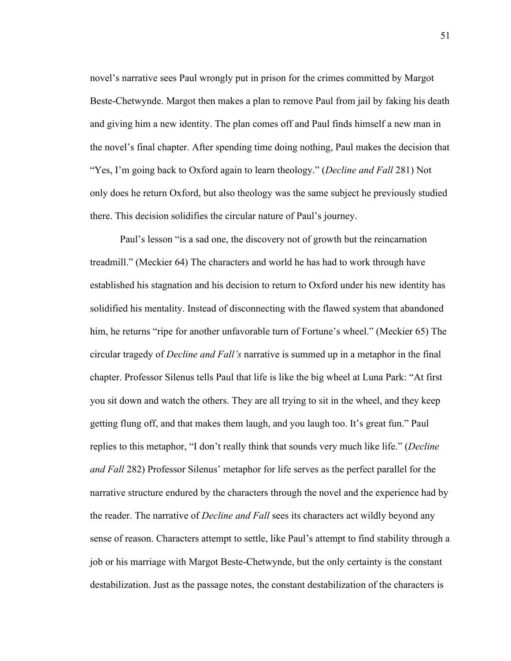novel's narrative sees Paul wrongly put in prison for the crimes committed by Margot Beste-Chetwynde. Margot then makes a plan to remove Paul from jail by faking his death and giving him a new identity. The plan comes off and Paul finds himself a new man in the novel's final chapter. After spending time doing nothing, Paul makes the decision that "Yes, I'm going back to Oxford again to learn theology." (*Decline and Fall* 281) Not only does he return Oxford, but also theology was the same subject he previously studied there. This decision solidifies the circular nature of Paul's journey.

Paul's lesson "is a sad one, the discovery not of growth but the reincarnation treadmill." (Meckier 64) The characters and world he has had to work through have established his stagnation and his decision to return to Oxford under his new identity has solidified his mentality. Instead of disconnecting with the flawed system that abandoned him, he returns "ripe for another unfavorable turn of Fortune's wheel." (Meckier 65) The circular tragedy of *Decline and Fall's* narrative is summed up in a metaphor in the final chapter. Professor Silenus tells Paul that life is like the big wheel at Luna Park: "At first you sit down and watch the others. They are all trying to sit in the wheel, and they keep getting flung off, and that makes them laugh, and you laugh too. It's great fun." Paul replies to this metaphor, "I don't really think that sounds very much like life." (*Decline and Fall* 282) Professor Silenus' metaphor for life serves as the perfect parallel for the narrative structure endured by the characters through the novel and the experience had by the reader. The narrative of *Decline and Fall* sees its characters act wildly beyond any sense of reason. Characters attempt to settle, like Paul's attempt to find stability through a job or his marriage with Margot Beste-Chetwynde, but the only certainty is the constant destabilization. Just as the passage notes, the constant destabilization of the characters is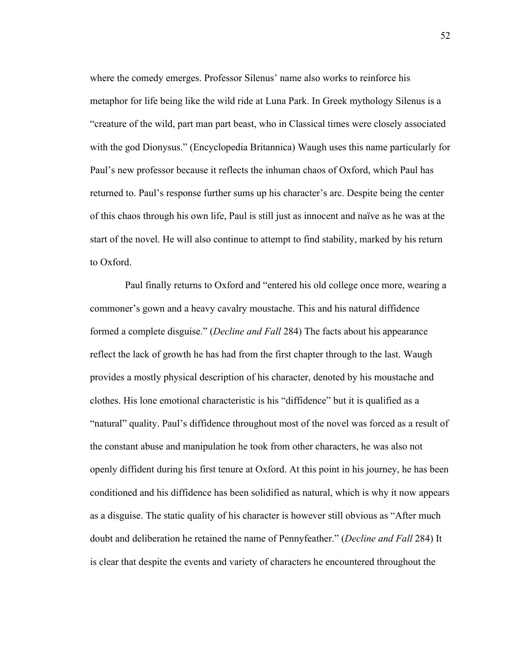where the comedy emerges. Professor Silenus' name also works to reinforce his metaphor for life being like the wild ride at Luna Park. In Greek mythology Silenus is a "creature of the wild, part man part beast, who in Classical times were closely associated with the god Dionysus." (Encyclopedia Britannica) Waugh uses this name particularly for Paul's new professor because it reflects the inhuman chaos of Oxford, which Paul has returned to. Paul's response further sums up his character's arc. Despite being the center of this chaos through his own life, Paul is still just as innocent and naïve as he was at the start of the novel. He will also continue to attempt to find stability, marked by his return to Oxford.

 Paul finally returns to Oxford and "entered his old college once more, wearing a commoner's gown and a heavy cavalry moustache. This and his natural diffidence formed a complete disguise." (*Decline and Fall* 284) The facts about his appearance reflect the lack of growth he has had from the first chapter through to the last. Waugh provides a mostly physical description of his character, denoted by his moustache and clothes. His lone emotional characteristic is his "diffidence" but it is qualified as a "natural" quality. Paul's diffidence throughout most of the novel was forced as a result of the constant abuse and manipulation he took from other characters, he was also not openly diffident during his first tenure at Oxford. At this point in his journey, he has been conditioned and his diffidence has been solidified as natural, which is why it now appears as a disguise. The static quality of his character is however still obvious as "After much doubt and deliberation he retained the name of Pennyfeather." (*Decline and Fall* 284) It is clear that despite the events and variety of characters he encountered throughout the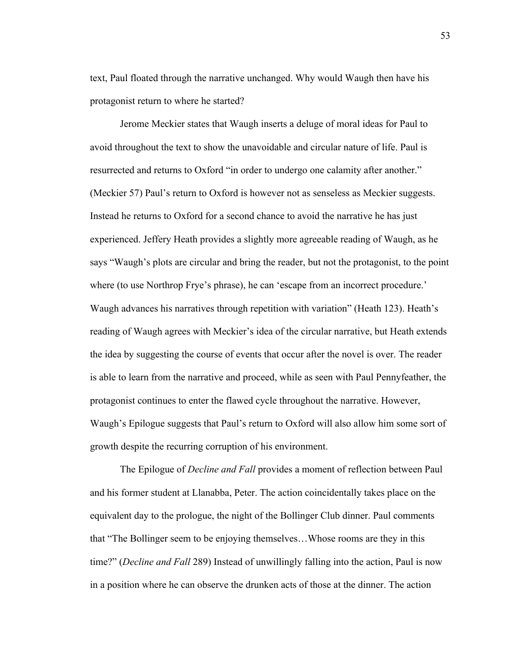text, Paul floated through the narrative unchanged. Why would Waugh then have his protagonist return to where he started?

Jerome Meckier states that Waugh inserts a deluge of moral ideas for Paul to avoid throughout the text to show the unavoidable and circular nature of life. Paul is resurrected and returns to Oxford "in order to undergo one calamity after another." (Meckier 57) Paul's return to Oxford is however not as senseless as Meckier suggests. Instead he returns to Oxford for a second chance to avoid the narrative he has just experienced. Jeffery Heath provides a slightly more agreeable reading of Waugh, as he says "Waugh's plots are circular and bring the reader, but not the protagonist, to the point where (to use Northrop Frye's phrase), he can 'escape from an incorrect procedure.' Waugh advances his narratives through repetition with variation" (Heath 123). Heath's reading of Waugh agrees with Meckier's idea of the circular narrative, but Heath extends the idea by suggesting the course of events that occur after the novel is over. The reader is able to learn from the narrative and proceed, while as seen with Paul Pennyfeather, the protagonist continues to enter the flawed cycle throughout the narrative. However, Waugh's Epilogue suggests that Paul's return to Oxford will also allow him some sort of growth despite the recurring corruption of his environment.

The Epilogue of *Decline and Fall* provides a moment of reflection between Paul and his former student at Llanabba, Peter. The action coincidentally takes place on the equivalent day to the prologue, the night of the Bollinger Club dinner. Paul comments that "The Bollinger seem to be enjoying themselves…Whose rooms are they in this time?" (*Decline and Fall* 289) Instead of unwillingly falling into the action, Paul is now in a position where he can observe the drunken acts of those at the dinner. The action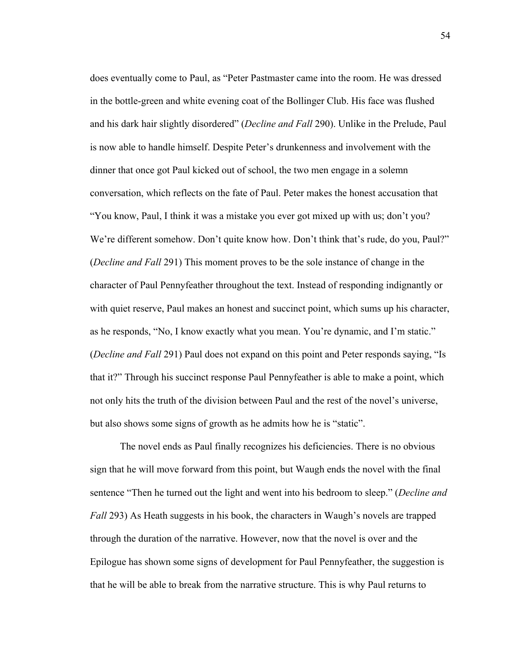does eventually come to Paul, as "Peter Pastmaster came into the room. He was dressed in the bottle-green and white evening coat of the Bollinger Club. His face was flushed and his dark hair slightly disordered" (*Decline and Fall* 290). Unlike in the Prelude, Paul is now able to handle himself. Despite Peter's drunkenness and involvement with the dinner that once got Paul kicked out of school, the two men engage in a solemn conversation, which reflects on the fate of Paul. Peter makes the honest accusation that "You know, Paul, I think it was a mistake you ever got mixed up with us; don't you? We're different somehow. Don't quite know how. Don't think that's rude, do you, Paul?" (*Decline and Fall* 291) This moment proves to be the sole instance of change in the character of Paul Pennyfeather throughout the text. Instead of responding indignantly or with quiet reserve, Paul makes an honest and succinct point, which sums up his character, as he responds, "No, I know exactly what you mean. You're dynamic, and I'm static." (*Decline and Fall* 291) Paul does not expand on this point and Peter responds saying, "Is that it?" Through his succinct response Paul Pennyfeather is able to make a point, which not only hits the truth of the division between Paul and the rest of the novel's universe, but also shows some signs of growth as he admits how he is "static".

The novel ends as Paul finally recognizes his deficiencies. There is no obvious sign that he will move forward from this point, but Waugh ends the novel with the final sentence "Then he turned out the light and went into his bedroom to sleep." (*Decline and Fall* 293) As Heath suggests in his book, the characters in Waugh's novels are trapped through the duration of the narrative. However, now that the novel is over and the Epilogue has shown some signs of development for Paul Pennyfeather, the suggestion is that he will be able to break from the narrative structure. This is why Paul returns to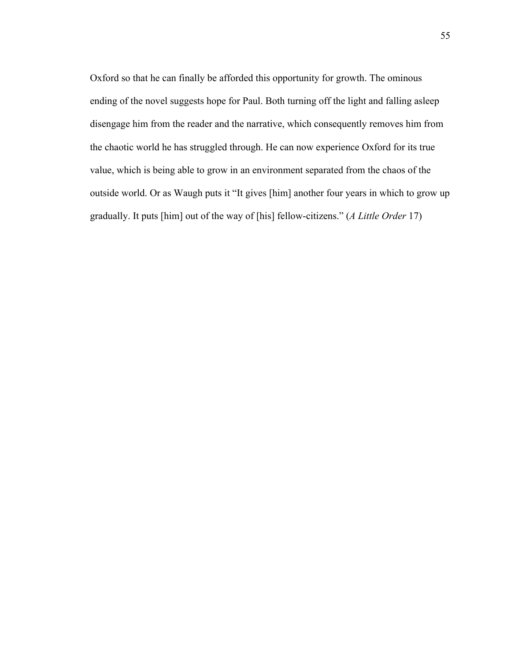Oxford so that he can finally be afforded this opportunity for growth. The ominous ending of the novel suggests hope for Paul. Both turning off the light and falling asleep disengage him from the reader and the narrative, which consequently removes him from the chaotic world he has struggled through. He can now experience Oxford for its true value, which is being able to grow in an environment separated from the chaos of the outside world. Or as Waugh puts it "It gives [him] another four years in which to grow up gradually. It puts [him] out of the way of [his] fellow-citizens." (*A Little Order* 17)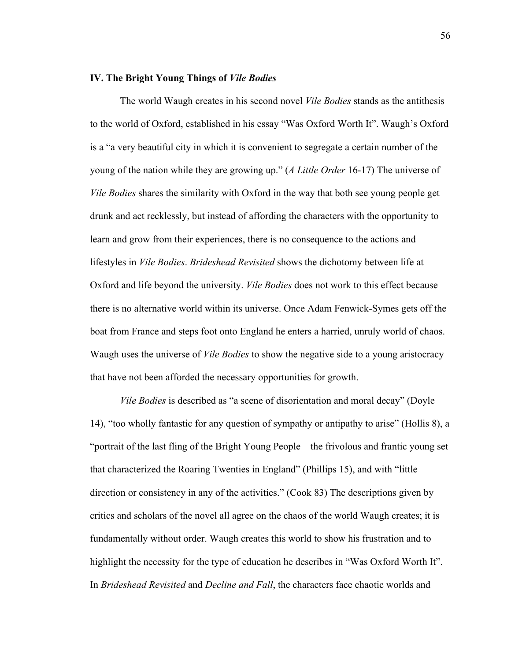## **IV. The Bright Young Things of** *Vile Bodies*

The world Waugh creates in his second novel *Vile Bodies* stands as the antithesis to the world of Oxford, established in his essay "Was Oxford Worth It". Waugh's Oxford is a "a very beautiful city in which it is convenient to segregate a certain number of the young of the nation while they are growing up." (*A Little Order* 16-17) The universe of *Vile Bodies* shares the similarity with Oxford in the way that both see young people get drunk and act recklessly, but instead of affording the characters with the opportunity to learn and grow from their experiences, there is no consequence to the actions and lifestyles in *Vile Bodies*. *Brideshead Revisited* shows the dichotomy between life at Oxford and life beyond the university. *Vile Bodies* does not work to this effect because there is no alternative world within its universe. Once Adam Fenwick-Symes gets off the boat from France and steps foot onto England he enters a harried, unruly world of chaos. Waugh uses the universe of *Vile Bodies* to show the negative side to a young aristocracy that have not been afforded the necessary opportunities for growth.

*Vile Bodies* is described as "a scene of disorientation and moral decay" (Doyle 14), "too wholly fantastic for any question of sympathy or antipathy to arise" (Hollis 8), a "portrait of the last fling of the Bright Young People – the frivolous and frantic young set that characterized the Roaring Twenties in England" (Phillips 15), and with "little direction or consistency in any of the activities." (Cook 83) The descriptions given by critics and scholars of the novel all agree on the chaos of the world Waugh creates; it is fundamentally without order. Waugh creates this world to show his frustration and to highlight the necessity for the type of education he describes in "Was Oxford Worth It". In *Brideshead Revisited* and *Decline and Fall*, the characters face chaotic worlds and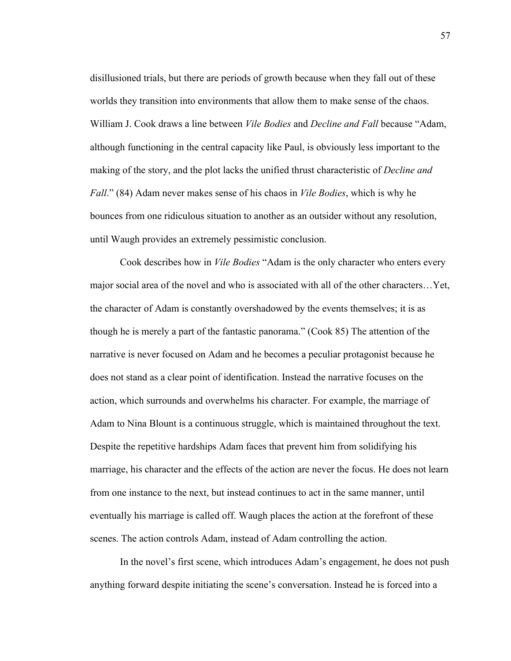disillusioned trials, but there are periods of growth because when they fall out of these worlds they transition into environments that allow them to make sense of the chaos. William J. Cook draws a line between *Vile Bodies* and *Decline and Fall* because "Adam, although functioning in the central capacity like Paul, is obviously less important to the making of the story, and the plot lacks the unified thrust characteristic of *Decline and Fall*." (84) Adam never makes sense of his chaos in *Vile Bodies*, which is why he bounces from one ridiculous situation to another as an outsider without any resolution, until Waugh provides an extremely pessimistic conclusion.

Cook describes how in *Vile Bodies* "Adam is the only character who enters every major social area of the novel and who is associated with all of the other characters…Yet, the character of Adam is constantly overshadowed by the events themselves; it is as though he is merely a part of the fantastic panorama." (Cook 85) The attention of the narrative is never focused on Adam and he becomes a peculiar protagonist because he does not stand as a clear point of identification. Instead the narrative focuses on the action, which surrounds and overwhelms his character. For example, the marriage of Adam to Nina Blount is a continuous struggle, which is maintained throughout the text. Despite the repetitive hardships Adam faces that prevent him from solidifying his marriage, his character and the effects of the action are never the focus. He does not learn from one instance to the next, but instead continues to act in the same manner, until eventually his marriage is called off. Waugh places the action at the forefront of these scenes. The action controls Adam, instead of Adam controlling the action.

In the novel's first scene, which introduces Adam's engagement, he does not push anything forward despite initiating the scene's conversation. Instead he is forced into a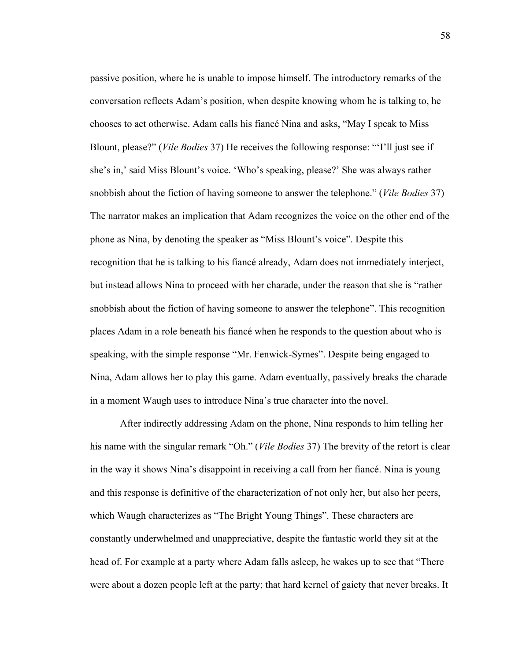passive position, where he is unable to impose himself. The introductory remarks of the conversation reflects Adam's position, when despite knowing whom he is talking to, he chooses to act otherwise. Adam calls his fiancé Nina and asks, "May I speak to Miss Blount, please?" (*Vile Bodies* 37) He receives the following response: "'I'll just see if she's in,' said Miss Blount's voice. 'Who's speaking, please?' She was always rather snobbish about the fiction of having someone to answer the telephone." (*Vile Bodies* 37) The narrator makes an implication that Adam recognizes the voice on the other end of the phone as Nina, by denoting the speaker as "Miss Blount's voice". Despite this recognition that he is talking to his fiancé already, Adam does not immediately interject, but instead allows Nina to proceed with her charade, under the reason that she is "rather snobbish about the fiction of having someone to answer the telephone". This recognition places Adam in a role beneath his fiancé when he responds to the question about who is speaking, with the simple response "Mr. Fenwick-Symes". Despite being engaged to Nina, Adam allows her to play this game. Adam eventually, passively breaks the charade in a moment Waugh uses to introduce Nina's true character into the novel.

After indirectly addressing Adam on the phone, Nina responds to him telling her his name with the singular remark "Oh." (*Vile Bodies* 37) The brevity of the retort is clear in the way it shows Nina's disappoint in receiving a call from her fiancé. Nina is young and this response is definitive of the characterization of not only her, but also her peers, which Waugh characterizes as "The Bright Young Things". These characters are constantly underwhelmed and unappreciative, despite the fantastic world they sit at the head of. For example at a party where Adam falls asleep, he wakes up to see that "There were about a dozen people left at the party; that hard kernel of gaiety that never breaks. It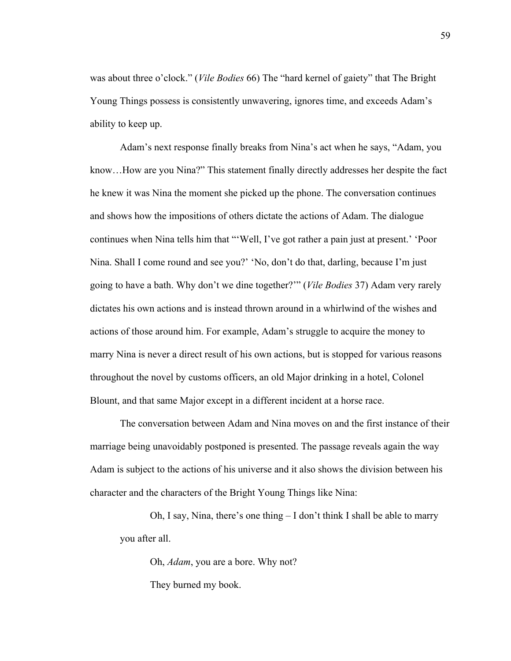was about three o'clock." (*Vile Bodies* 66) The "hard kernel of gaiety" that The Bright Young Things possess is consistently unwavering, ignores time, and exceeds Adam's ability to keep up.

Adam's next response finally breaks from Nina's act when he says, "Adam, you know…How are you Nina?" This statement finally directly addresses her despite the fact he knew it was Nina the moment she picked up the phone. The conversation continues and shows how the impositions of others dictate the actions of Adam. The dialogue continues when Nina tells him that "'Well, I've got rather a pain just at present.' 'Poor Nina. Shall I come round and see you?' 'No, don't do that, darling, because I'm just going to have a bath. Why don't we dine together?'" (*Vile Bodies* 37) Adam very rarely dictates his own actions and is instead thrown around in a whirlwind of the wishes and actions of those around him. For example, Adam's struggle to acquire the money to marry Nina is never a direct result of his own actions, but is stopped for various reasons throughout the novel by customs officers, an old Major drinking in a hotel, Colonel Blount, and that same Major except in a different incident at a horse race.

The conversation between Adam and Nina moves on and the first instance of their marriage being unavoidably postponed is presented. The passage reveals again the way Adam is subject to the actions of his universe and it also shows the division between his character and the characters of the Bright Young Things like Nina:

Oh, I say, Nina, there's one thing – I don't think I shall be able to marry you after all.

Oh, *Adam*, you are a bore. Why not? They burned my book.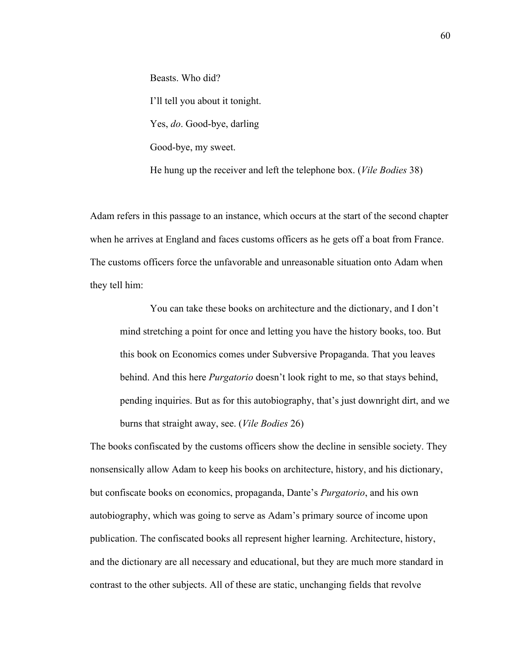Beasts. Who did? I'll tell you about it tonight. Yes, *do*. Good-bye, darling Good-bye, my sweet.

He hung up the receiver and left the telephone box. (*Vile Bodies* 38)

Adam refers in this passage to an instance, which occurs at the start of the second chapter when he arrives at England and faces customs officers as he gets off a boat from France. The customs officers force the unfavorable and unreasonable situation onto Adam when they tell him:

You can take these books on architecture and the dictionary, and I don't mind stretching a point for once and letting you have the history books, too. But this book on Economics comes under Subversive Propaganda. That you leaves behind. And this here *Purgatorio* doesn't look right to me, so that stays behind, pending inquiries. But as for this autobiography, that's just downright dirt, and we burns that straight away, see. (*Vile Bodies* 26)

The books confiscated by the customs officers show the decline in sensible society. They nonsensically allow Adam to keep his books on architecture, history, and his dictionary, but confiscate books on economics, propaganda, Dante's *Purgatorio*, and his own autobiography, which was going to serve as Adam's primary source of income upon publication. The confiscated books all represent higher learning. Architecture, history, and the dictionary are all necessary and educational, but they are much more standard in contrast to the other subjects. All of these are static, unchanging fields that revolve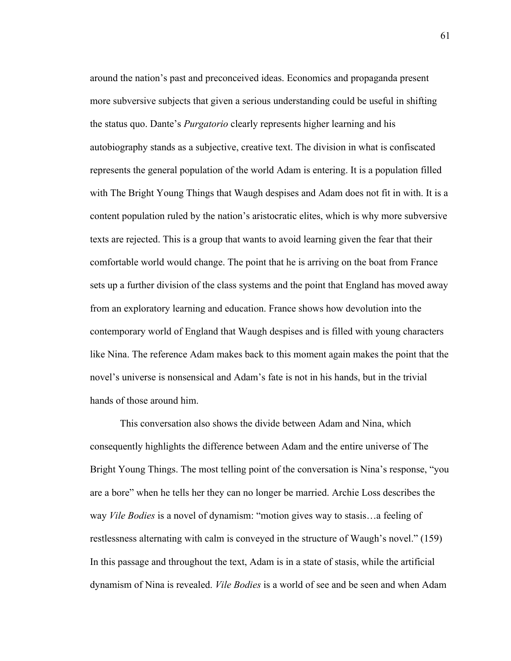around the nation's past and preconceived ideas. Economics and propaganda present more subversive subjects that given a serious understanding could be useful in shifting the status quo. Dante's *Purgatorio* clearly represents higher learning and his autobiography stands as a subjective, creative text. The division in what is confiscated represents the general population of the world Adam is entering. It is a population filled with The Bright Young Things that Waugh despises and Adam does not fit in with. It is a content population ruled by the nation's aristocratic elites, which is why more subversive texts are rejected. This is a group that wants to avoid learning given the fear that their comfortable world would change. The point that he is arriving on the boat from France sets up a further division of the class systems and the point that England has moved away from an exploratory learning and education. France shows how devolution into the contemporary world of England that Waugh despises and is filled with young characters like Nina. The reference Adam makes back to this moment again makes the point that the novel's universe is nonsensical and Adam's fate is not in his hands, but in the trivial hands of those around him.

This conversation also shows the divide between Adam and Nina, which consequently highlights the difference between Adam and the entire universe of The Bright Young Things. The most telling point of the conversation is Nina's response, "you are a bore" when he tells her they can no longer be married. Archie Loss describes the way *Vile Bodies* is a novel of dynamism: "motion gives way to stasis…a feeling of restlessness alternating with calm is conveyed in the structure of Waugh's novel." (159) In this passage and throughout the text, Adam is in a state of stasis, while the artificial dynamism of Nina is revealed. *Vile Bodies* is a world of see and be seen and when Adam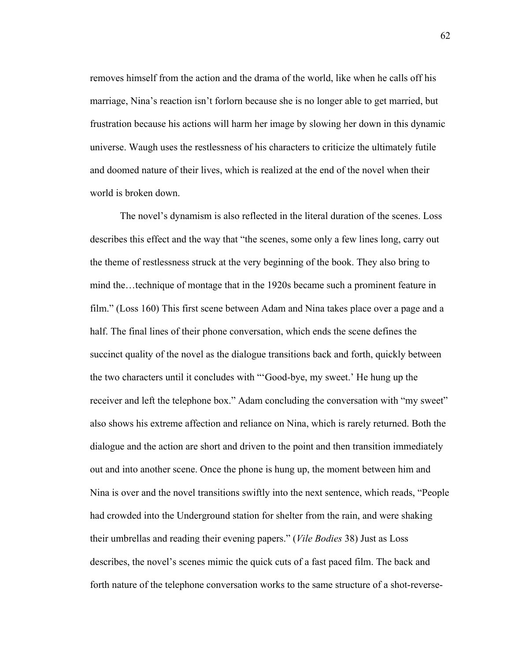removes himself from the action and the drama of the world, like when he calls off his marriage, Nina's reaction isn't forlorn because she is no longer able to get married, but frustration because his actions will harm her image by slowing her down in this dynamic universe. Waugh uses the restlessness of his characters to criticize the ultimately futile and doomed nature of their lives, which is realized at the end of the novel when their world is broken down.

The novel's dynamism is also reflected in the literal duration of the scenes. Loss describes this effect and the way that "the scenes, some only a few lines long, carry out the theme of restlessness struck at the very beginning of the book. They also bring to mind the…technique of montage that in the 1920s became such a prominent feature in film." (Loss 160) This first scene between Adam and Nina takes place over a page and a half. The final lines of their phone conversation, which ends the scene defines the succinct quality of the novel as the dialogue transitions back and forth, quickly between the two characters until it concludes with "'Good-bye, my sweet.' He hung up the receiver and left the telephone box." Adam concluding the conversation with "my sweet" also shows his extreme affection and reliance on Nina, which is rarely returned. Both the dialogue and the action are short and driven to the point and then transition immediately out and into another scene. Once the phone is hung up, the moment between him and Nina is over and the novel transitions swiftly into the next sentence, which reads, "People had crowded into the Underground station for shelter from the rain, and were shaking their umbrellas and reading their evening papers." (*Vile Bodies* 38) Just as Loss describes, the novel's scenes mimic the quick cuts of a fast paced film. The back and forth nature of the telephone conversation works to the same structure of a shot-reverse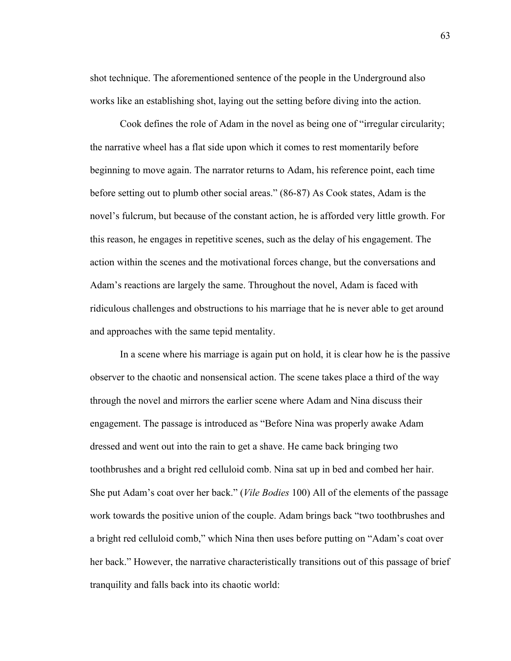shot technique. The aforementioned sentence of the people in the Underground also works like an establishing shot, laying out the setting before diving into the action.

Cook defines the role of Adam in the novel as being one of "irregular circularity; the narrative wheel has a flat side upon which it comes to rest momentarily before beginning to move again. The narrator returns to Adam, his reference point, each time before setting out to plumb other social areas." (86-87) As Cook states, Adam is the novel's fulcrum, but because of the constant action, he is afforded very little growth. For this reason, he engages in repetitive scenes, such as the delay of his engagement. The action within the scenes and the motivational forces change, but the conversations and Adam's reactions are largely the same. Throughout the novel, Adam is faced with ridiculous challenges and obstructions to his marriage that he is never able to get around and approaches with the same tepid mentality.

In a scene where his marriage is again put on hold, it is clear how he is the passive observer to the chaotic and nonsensical action. The scene takes place a third of the way through the novel and mirrors the earlier scene where Adam and Nina discuss their engagement. The passage is introduced as "Before Nina was properly awake Adam dressed and went out into the rain to get a shave. He came back bringing two toothbrushes and a bright red celluloid comb. Nina sat up in bed and combed her hair. She put Adam's coat over her back." (*Vile Bodies* 100) All of the elements of the passage work towards the positive union of the couple. Adam brings back "two toothbrushes and a bright red celluloid comb," which Nina then uses before putting on "Adam's coat over her back." However, the narrative characteristically transitions out of this passage of brief tranquility and falls back into its chaotic world: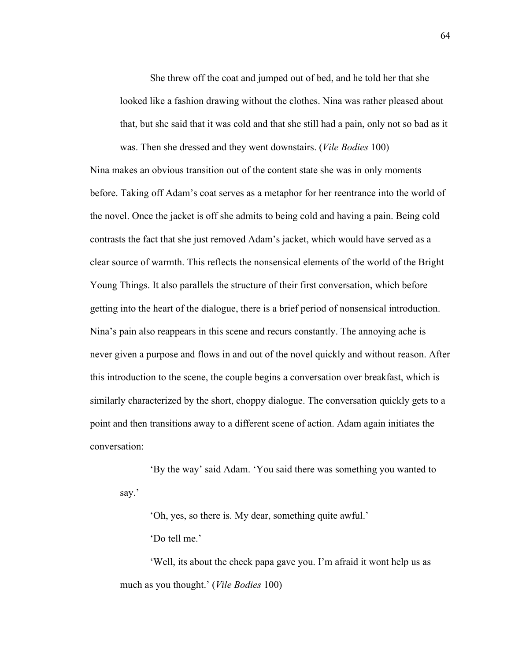She threw off the coat and jumped out of bed, and he told her that she looked like a fashion drawing without the clothes. Nina was rather pleased about that, but she said that it was cold and that she still had a pain, only not so bad as it was. Then she dressed and they went downstairs. (*Vile Bodies* 100)

Nina makes an obvious transition out of the content state she was in only moments before. Taking off Adam's coat serves as a metaphor for her reentrance into the world of the novel. Once the jacket is off she admits to being cold and having a pain. Being cold contrasts the fact that she just removed Adam's jacket, which would have served as a clear source of warmth. This reflects the nonsensical elements of the world of the Bright Young Things. It also parallels the structure of their first conversation, which before getting into the heart of the dialogue, there is a brief period of nonsensical introduction. Nina's pain also reappears in this scene and recurs constantly. The annoying ache is never given a purpose and flows in and out of the novel quickly and without reason. After this introduction to the scene, the couple begins a conversation over breakfast, which is similarly characterized by the short, choppy dialogue. The conversation quickly gets to a point and then transitions away to a different scene of action. Adam again initiates the conversation:

'By the way' said Adam. 'You said there was something you wanted to say.'

'Oh, yes, so there is. My dear, something quite awful.'

'Do tell me.'

'Well, its about the check papa gave you. I'm afraid it wont help us as much as you thought.' (*Vile Bodies* 100)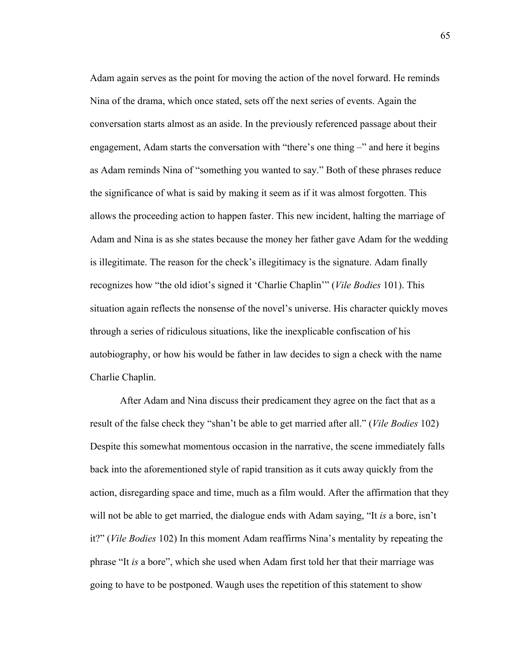Adam again serves as the point for moving the action of the novel forward. He reminds Nina of the drama, which once stated, sets off the next series of events. Again the conversation starts almost as an aside. In the previously referenced passage about their engagement, Adam starts the conversation with "there's one thing –" and here it begins as Adam reminds Nina of "something you wanted to say." Both of these phrases reduce the significance of what is said by making it seem as if it was almost forgotten. This allows the proceeding action to happen faster. This new incident, halting the marriage of Adam and Nina is as she states because the money her father gave Adam for the wedding is illegitimate. The reason for the check's illegitimacy is the signature. Adam finally recognizes how "the old idiot's signed it 'Charlie Chaplin'" (*Vile Bodies* 101). This situation again reflects the nonsense of the novel's universe. His character quickly moves through a series of ridiculous situations, like the inexplicable confiscation of his autobiography, or how his would be father in law decides to sign a check with the name Charlie Chaplin.

After Adam and Nina discuss their predicament they agree on the fact that as a result of the false check they "shan't be able to get married after all." (*Vile Bodies* 102) Despite this somewhat momentous occasion in the narrative, the scene immediately falls back into the aforementioned style of rapid transition as it cuts away quickly from the action, disregarding space and time, much as a film would. After the affirmation that they will not be able to get married, the dialogue ends with Adam saying, "It *is* a bore, isn't it?" (*Vile Bodies* 102) In this moment Adam reaffirms Nina's mentality by repeating the phrase "It *is* a bore", which she used when Adam first told her that their marriage was going to have to be postponed. Waugh uses the repetition of this statement to show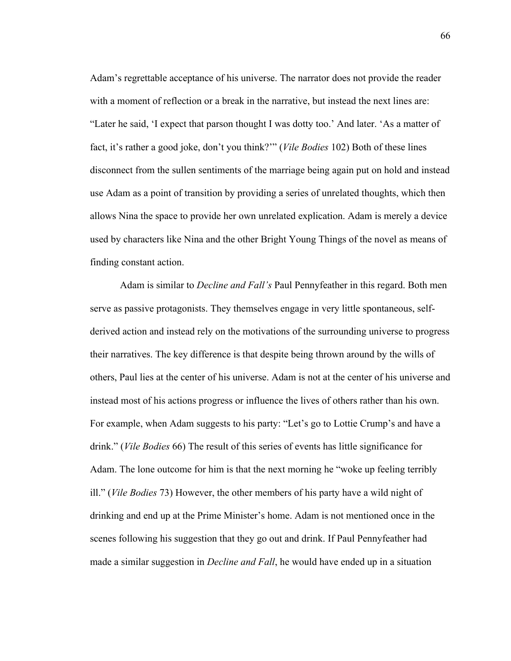Adam's regrettable acceptance of his universe. The narrator does not provide the reader with a moment of reflection or a break in the narrative, but instead the next lines are: "Later he said, 'I expect that parson thought I was dotty too.' And later. 'As a matter of fact, it's rather a good joke, don't you think?'" (*Vile Bodies* 102) Both of these lines disconnect from the sullen sentiments of the marriage being again put on hold and instead use Adam as a point of transition by providing a series of unrelated thoughts, which then allows Nina the space to provide her own unrelated explication. Adam is merely a device used by characters like Nina and the other Bright Young Things of the novel as means of finding constant action.

Adam is similar to *Decline and Fall's* Paul Pennyfeather in this regard. Both men serve as passive protagonists. They themselves engage in very little spontaneous, selfderived action and instead rely on the motivations of the surrounding universe to progress their narratives. The key difference is that despite being thrown around by the wills of others, Paul lies at the center of his universe. Adam is not at the center of his universe and instead most of his actions progress or influence the lives of others rather than his own. For example, when Adam suggests to his party: "Let's go to Lottie Crump's and have a drink." (*Vile Bodies* 66) The result of this series of events has little significance for Adam. The lone outcome for him is that the next morning he "woke up feeling terribly ill." (*Vile Bodies* 73) However, the other members of his party have a wild night of drinking and end up at the Prime Minister's home. Adam is not mentioned once in the scenes following his suggestion that they go out and drink. If Paul Pennyfeather had made a similar suggestion in *Decline and Fall*, he would have ended up in a situation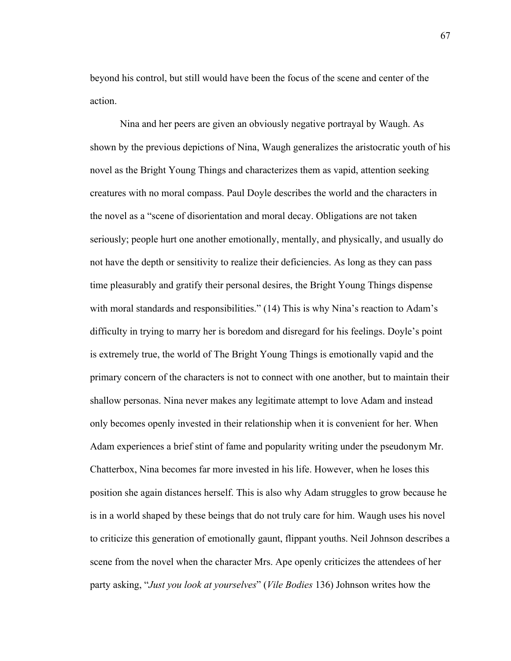beyond his control, but still would have been the focus of the scene and center of the action.

Nina and her peers are given an obviously negative portrayal by Waugh. As shown by the previous depictions of Nina, Waugh generalizes the aristocratic youth of his novel as the Bright Young Things and characterizes them as vapid, attention seeking creatures with no moral compass. Paul Doyle describes the world and the characters in the novel as a "scene of disorientation and moral decay. Obligations are not taken seriously; people hurt one another emotionally, mentally, and physically, and usually do not have the depth or sensitivity to realize their deficiencies. As long as they can pass time pleasurably and gratify their personal desires, the Bright Young Things dispense with moral standards and responsibilities." (14) This is why Nina's reaction to Adam's difficulty in trying to marry her is boredom and disregard for his feelings. Doyle's point is extremely true, the world of The Bright Young Things is emotionally vapid and the primary concern of the characters is not to connect with one another, but to maintain their shallow personas. Nina never makes any legitimate attempt to love Adam and instead only becomes openly invested in their relationship when it is convenient for her. When Adam experiences a brief stint of fame and popularity writing under the pseudonym Mr. Chatterbox, Nina becomes far more invested in his life. However, when he loses this position she again distances herself. This is also why Adam struggles to grow because he is in a world shaped by these beings that do not truly care for him. Waugh uses his novel to criticize this generation of emotionally gaunt, flippant youths. Neil Johnson describes a scene from the novel when the character Mrs. Ape openly criticizes the attendees of her party asking, "*Just you look at yourselves*" (*Vile Bodies* 136) Johnson writes how the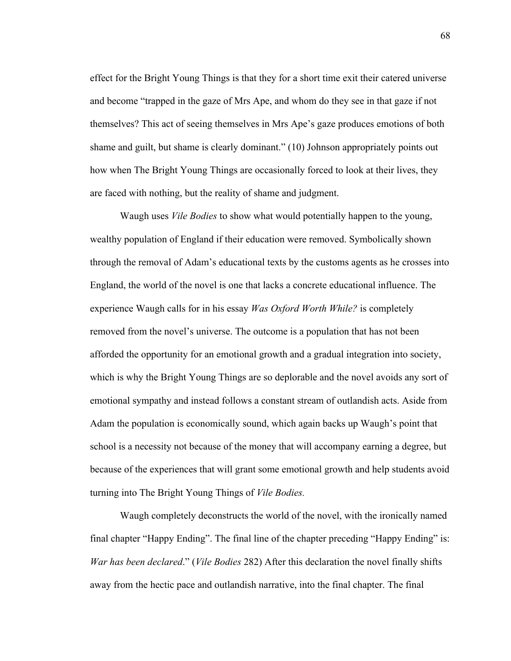effect for the Bright Young Things is that they for a short time exit their catered universe and become "trapped in the gaze of Mrs Ape, and whom do they see in that gaze if not themselves? This act of seeing themselves in Mrs Ape's gaze produces emotions of both shame and guilt, but shame is clearly dominant." (10) Johnson appropriately points out how when The Bright Young Things are occasionally forced to look at their lives, they are faced with nothing, but the reality of shame and judgment.

Waugh uses *Vile Bodies* to show what would potentially happen to the young, wealthy population of England if their education were removed. Symbolically shown through the removal of Adam's educational texts by the customs agents as he crosses into England, the world of the novel is one that lacks a concrete educational influence. The experience Waugh calls for in his essay *Was Oxford Worth While?* is completely removed from the novel's universe. The outcome is a population that has not been afforded the opportunity for an emotional growth and a gradual integration into society, which is why the Bright Young Things are so deplorable and the novel avoids any sort of emotional sympathy and instead follows a constant stream of outlandish acts. Aside from Adam the population is economically sound, which again backs up Waugh's point that school is a necessity not because of the money that will accompany earning a degree, but because of the experiences that will grant some emotional growth and help students avoid turning into The Bright Young Things of *Vile Bodies.* 

Waugh completely deconstructs the world of the novel, with the ironically named final chapter "Happy Ending". The final line of the chapter preceding "Happy Ending" is: *War has been declared*." (*Vile Bodies* 282) After this declaration the novel finally shifts away from the hectic pace and outlandish narrative, into the final chapter. The final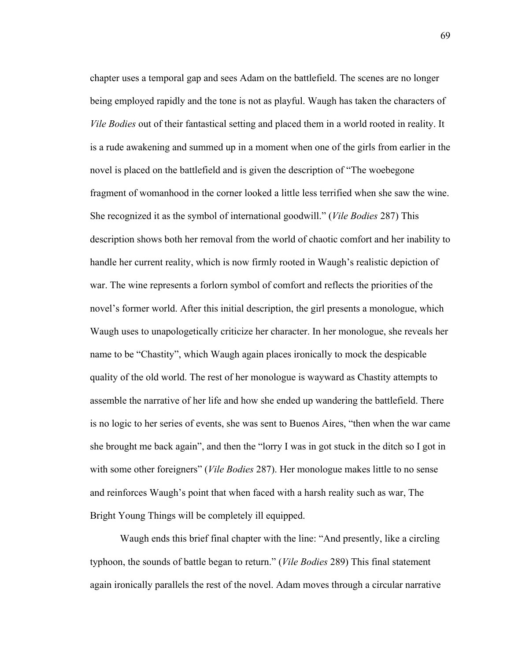chapter uses a temporal gap and sees Adam on the battlefield. The scenes are no longer being employed rapidly and the tone is not as playful. Waugh has taken the characters of *Vile Bodies* out of their fantastical setting and placed them in a world rooted in reality. It is a rude awakening and summed up in a moment when one of the girls from earlier in the novel is placed on the battlefield and is given the description of "The woebegone fragment of womanhood in the corner looked a little less terrified when she saw the wine. She recognized it as the symbol of international goodwill." (*Vile Bodies* 287) This description shows both her removal from the world of chaotic comfort and her inability to handle her current reality, which is now firmly rooted in Waugh's realistic depiction of war. The wine represents a forlorn symbol of comfort and reflects the priorities of the novel's former world. After this initial description, the girl presents a monologue, which Waugh uses to unapologetically criticize her character. In her monologue, she reveals her name to be "Chastity", which Waugh again places ironically to mock the despicable quality of the old world. The rest of her monologue is wayward as Chastity attempts to assemble the narrative of her life and how she ended up wandering the battlefield. There is no logic to her series of events, she was sent to Buenos Aires, "then when the war came she brought me back again", and then the "lorry I was in got stuck in the ditch so I got in with some other foreigners" (*Vile Bodies* 287). Her monologue makes little to no sense and reinforces Waugh's point that when faced with a harsh reality such as war, The Bright Young Things will be completely ill equipped.

Waugh ends this brief final chapter with the line: "And presently, like a circling typhoon, the sounds of battle began to return." (*Vile Bodies* 289) This final statement again ironically parallels the rest of the novel. Adam moves through a circular narrative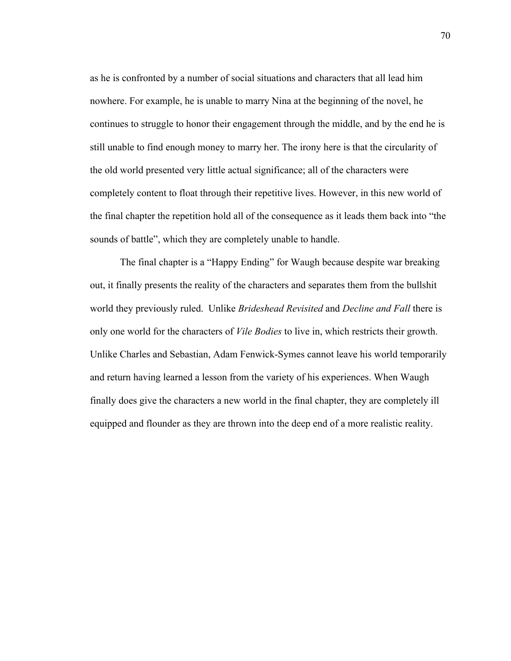as he is confronted by a number of social situations and characters that all lead him nowhere. For example, he is unable to marry Nina at the beginning of the novel, he continues to struggle to honor their engagement through the middle, and by the end he is still unable to find enough money to marry her. The irony here is that the circularity of the old world presented very little actual significance; all of the characters were completely content to float through their repetitive lives. However, in this new world of the final chapter the repetition hold all of the consequence as it leads them back into "the sounds of battle", which they are completely unable to handle.

The final chapter is a "Happy Ending" for Waugh because despite war breaking out, it finally presents the reality of the characters and separates them from the bullshit world they previously ruled. Unlike *Brideshead Revisited* and *Decline and Fall* there is only one world for the characters of *Vile Bodies* to live in, which restricts their growth. Unlike Charles and Sebastian, Adam Fenwick-Symes cannot leave his world temporarily and return having learned a lesson from the variety of his experiences. When Waugh finally does give the characters a new world in the final chapter, they are completely ill equipped and flounder as they are thrown into the deep end of a more realistic reality.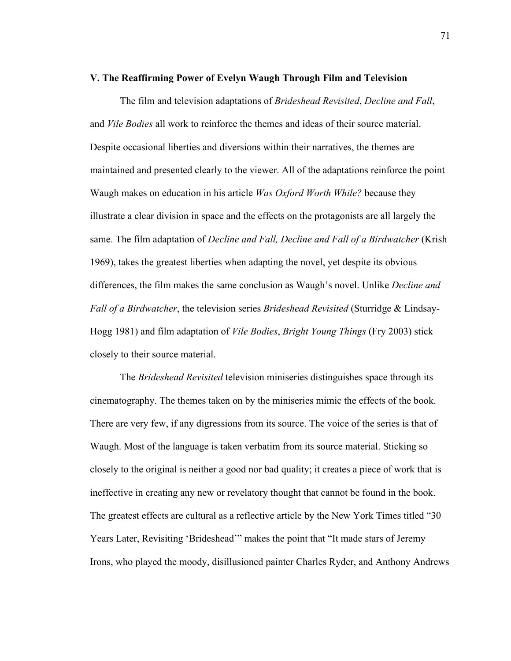## **V. The Reaffirming Power of Evelyn Waugh Through Film and Television**

The film and television adaptations of *Brideshead Revisited*, *Decline and Fall*, and *Vile Bodies* all work to reinforce the themes and ideas of their source material. Despite occasional liberties and diversions within their narratives, the themes are maintained and presented clearly to the viewer. All of the adaptations reinforce the point Waugh makes on education in his article *Was Oxford Worth While?* because they illustrate a clear division in space and the effects on the protagonists are all largely the same. The film adaptation of *Decline and Fall, Decline and Fall of a Birdwatcher* (Krish 1969), takes the greatest liberties when adapting the novel, yet despite its obvious differences, the film makes the same conclusion as Waugh's novel. Unlike *Decline and Fall of a Birdwatcher*, the television series *Brideshead Revisited* (Sturridge & Lindsay-Hogg 1981) and film adaptation of *Vile Bodies*, *Bright Young Things* (Fry 2003) stick closely to their source material.

The *Brideshead Revisited* television miniseries distinguishes space through its cinematography. The themes taken on by the miniseries mimic the effects of the book. There are very few, if any digressions from its source. The voice of the series is that of Waugh. Most of the language is taken verbatim from its source material. Sticking so closely to the original is neither a good nor bad quality; it creates a piece of work that is ineffective in creating any new or revelatory thought that cannot be found in the book. The greatest effects are cultural as a reflective article by the New York Times titled "30 Years Later, Revisiting 'Brideshead'" makes the point that "It made stars of Jeremy Irons, who played the moody, disillusioned painter Charles Ryder, and Anthony Andrews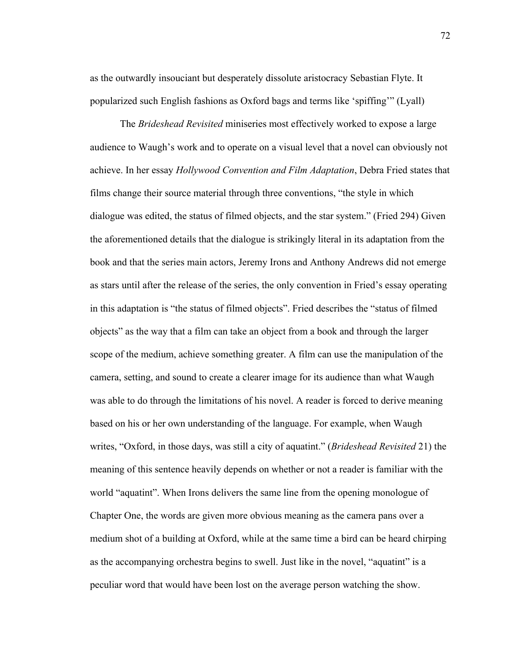as the outwardly insouciant but desperately dissolute aristocracy Sebastian Flyte. It popularized such English fashions as Oxford bags and terms like 'spiffing'" (Lyall)

The *Brideshead Revisited* miniseries most effectively worked to expose a large audience to Waugh's work and to operate on a visual level that a novel can obviously not achieve. In her essay *Hollywood Convention and Film Adaptation*, Debra Fried states that films change their source material through three conventions, "the style in which dialogue was edited, the status of filmed objects, and the star system." (Fried 294) Given the aforementioned details that the dialogue is strikingly literal in its adaptation from the book and that the series main actors, Jeremy Irons and Anthony Andrews did not emerge as stars until after the release of the series, the only convention in Fried's essay operating in this adaptation is "the status of filmed objects". Fried describes the "status of filmed objects" as the way that a film can take an object from a book and through the larger scope of the medium, achieve something greater. A film can use the manipulation of the camera, setting, and sound to create a clearer image for its audience than what Waugh was able to do through the limitations of his novel. A reader is forced to derive meaning based on his or her own understanding of the language. For example, when Waugh writes, "Oxford, in those days, was still a city of aquatint." (*Brideshead Revisited* 21) the meaning of this sentence heavily depends on whether or not a reader is familiar with the world "aquatint". When Irons delivers the same line from the opening monologue of Chapter One, the words are given more obvious meaning as the camera pans over a medium shot of a building at Oxford, while at the same time a bird can be heard chirping as the accompanying orchestra begins to swell. Just like in the novel, "aquatint" is a peculiar word that would have been lost on the average person watching the show.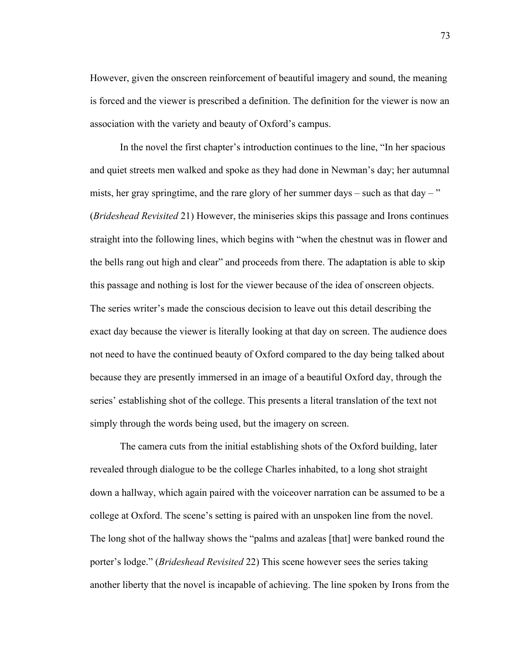However, given the onscreen reinforcement of beautiful imagery and sound, the meaning is forced and the viewer is prescribed a definition. The definition for the viewer is now an association with the variety and beauty of Oxford's campus.

In the novel the first chapter's introduction continues to the line, "In her spacious and quiet streets men walked and spoke as they had done in Newman's day; her autumnal mists, her gray springtime, and the rare glory of her summer days – such as that  $day -$ " (*Brideshead Revisited* 21) However, the miniseries skips this passage and Irons continues straight into the following lines, which begins with "when the chestnut was in flower and the bells rang out high and clear" and proceeds from there. The adaptation is able to skip this passage and nothing is lost for the viewer because of the idea of onscreen objects. The series writer's made the conscious decision to leave out this detail describing the exact day because the viewer is literally looking at that day on screen. The audience does not need to have the continued beauty of Oxford compared to the day being talked about because they are presently immersed in an image of a beautiful Oxford day, through the series' establishing shot of the college. This presents a literal translation of the text not simply through the words being used, but the imagery on screen.

The camera cuts from the initial establishing shots of the Oxford building, later revealed through dialogue to be the college Charles inhabited, to a long shot straight down a hallway, which again paired with the voiceover narration can be assumed to be a college at Oxford. The scene's setting is paired with an unspoken line from the novel. The long shot of the hallway shows the "palms and azaleas [that] were banked round the porter's lodge." (*Brideshead Revisited* 22) This scene however sees the series taking another liberty that the novel is incapable of achieving. The line spoken by Irons from the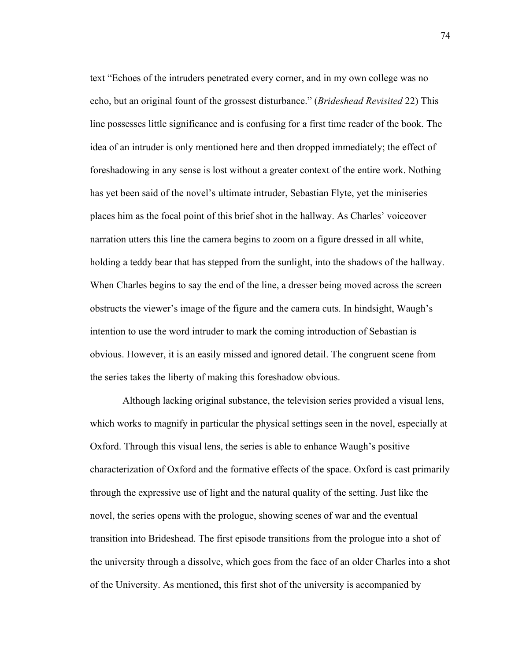text "Echoes of the intruders penetrated every corner, and in my own college was no echo, but an original fount of the grossest disturbance." (*Brideshead Revisited* 22) This line possesses little significance and is confusing for a first time reader of the book. The idea of an intruder is only mentioned here and then dropped immediately; the effect of foreshadowing in any sense is lost without a greater context of the entire work. Nothing has yet been said of the novel's ultimate intruder, Sebastian Flyte, yet the miniseries places him as the focal point of this brief shot in the hallway. As Charles' voiceover narration utters this line the camera begins to zoom on a figure dressed in all white, holding a teddy bear that has stepped from the sunlight, into the shadows of the hallway. When Charles begins to say the end of the line, a dresser being moved across the screen obstructs the viewer's image of the figure and the camera cuts. In hindsight, Waugh's intention to use the word intruder to mark the coming introduction of Sebastian is obvious. However, it is an easily missed and ignored detail. The congruent scene from the series takes the liberty of making this foreshadow obvious.

Although lacking original substance, the television series provided a visual lens, which works to magnify in particular the physical settings seen in the novel, especially at Oxford. Through this visual lens, the series is able to enhance Waugh's positive characterization of Oxford and the formative effects of the space. Oxford is cast primarily through the expressive use of light and the natural quality of the setting. Just like the novel, the series opens with the prologue, showing scenes of war and the eventual transition into Brideshead. The first episode transitions from the prologue into a shot of the university through a dissolve, which goes from the face of an older Charles into a shot of the University. As mentioned, this first shot of the university is accompanied by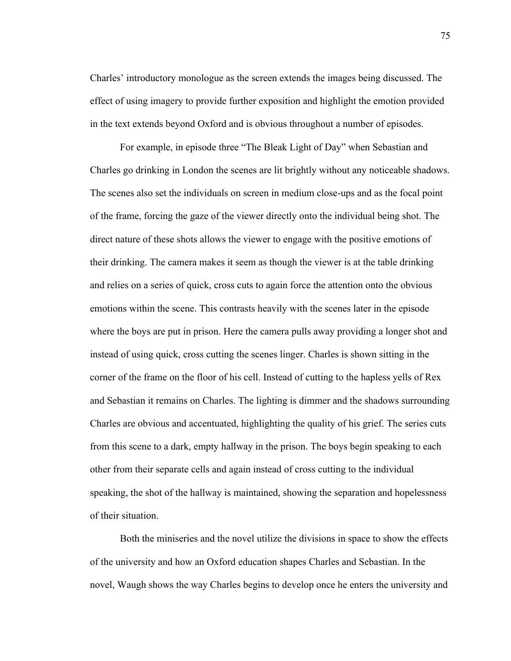Charles' introductory monologue as the screen extends the images being discussed. The effect of using imagery to provide further exposition and highlight the emotion provided in the text extends beyond Oxford and is obvious throughout a number of episodes.

For example, in episode three "The Bleak Light of Day" when Sebastian and Charles go drinking in London the scenes are lit brightly without any noticeable shadows. The scenes also set the individuals on screen in medium close-ups and as the focal point of the frame, forcing the gaze of the viewer directly onto the individual being shot. The direct nature of these shots allows the viewer to engage with the positive emotions of their drinking. The camera makes it seem as though the viewer is at the table drinking and relies on a series of quick, cross cuts to again force the attention onto the obvious emotions within the scene. This contrasts heavily with the scenes later in the episode where the boys are put in prison. Here the camera pulls away providing a longer shot and instead of using quick, cross cutting the scenes linger. Charles is shown sitting in the corner of the frame on the floor of his cell. Instead of cutting to the hapless yells of Rex and Sebastian it remains on Charles. The lighting is dimmer and the shadows surrounding Charles are obvious and accentuated, highlighting the quality of his grief. The series cuts from this scene to a dark, empty hallway in the prison. The boys begin speaking to each other from their separate cells and again instead of cross cutting to the individual speaking, the shot of the hallway is maintained, showing the separation and hopelessness of their situation.

Both the miniseries and the novel utilize the divisions in space to show the effects of the university and how an Oxford education shapes Charles and Sebastian. In the novel, Waugh shows the way Charles begins to develop once he enters the university and

75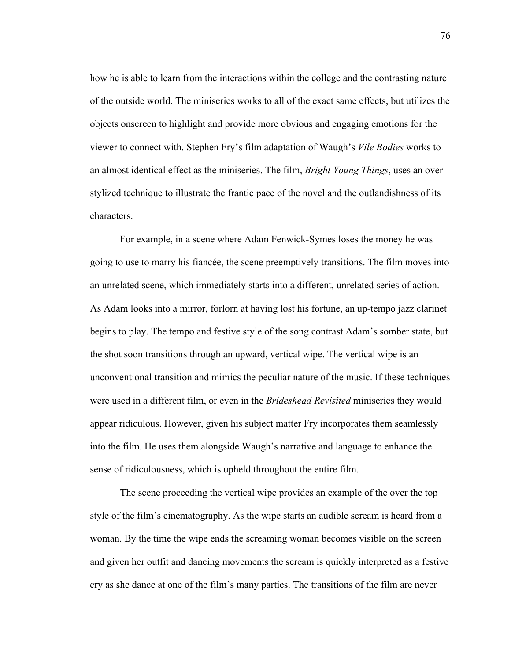how he is able to learn from the interactions within the college and the contrasting nature of the outside world. The miniseries works to all of the exact same effects, but utilizes the objects onscreen to highlight and provide more obvious and engaging emotions for the viewer to connect with. Stephen Fry's film adaptation of Waugh's *Vile Bodies* works to an almost identical effect as the miniseries. The film, *Bright Young Things*, uses an over stylized technique to illustrate the frantic pace of the novel and the outlandishness of its characters.

For example, in a scene where Adam Fenwick-Symes loses the money he was going to use to marry his fiancée, the scene preemptively transitions. The film moves into an unrelated scene, which immediately starts into a different, unrelated series of action. As Adam looks into a mirror, forlorn at having lost his fortune, an up-tempo jazz clarinet begins to play. The tempo and festive style of the song contrast Adam's somber state, but the shot soon transitions through an upward, vertical wipe. The vertical wipe is an unconventional transition and mimics the peculiar nature of the music. If these techniques were used in a different film, or even in the *Brideshead Revisited* miniseries they would appear ridiculous. However, given his subject matter Fry incorporates them seamlessly into the film. He uses them alongside Waugh's narrative and language to enhance the sense of ridiculousness, which is upheld throughout the entire film.

The scene proceeding the vertical wipe provides an example of the over the top style of the film's cinematography. As the wipe starts an audible scream is heard from a woman. By the time the wipe ends the screaming woman becomes visible on the screen and given her outfit and dancing movements the scream is quickly interpreted as a festive cry as she dance at one of the film's many parties. The transitions of the film are never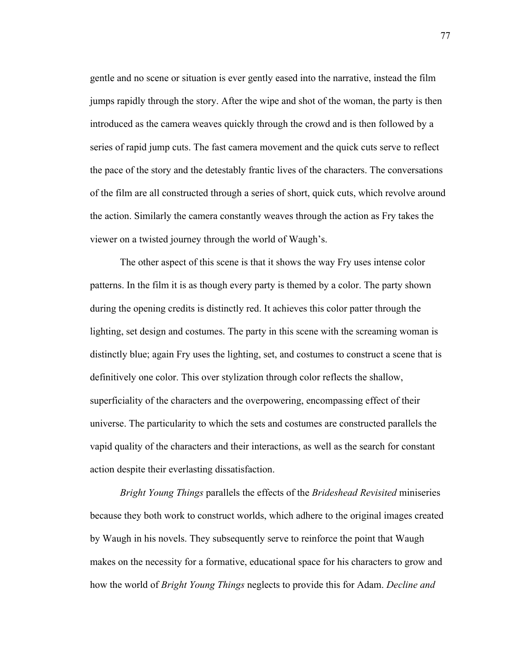gentle and no scene or situation is ever gently eased into the narrative, instead the film jumps rapidly through the story. After the wipe and shot of the woman, the party is then introduced as the camera weaves quickly through the crowd and is then followed by a series of rapid jump cuts. The fast camera movement and the quick cuts serve to reflect the pace of the story and the detestably frantic lives of the characters. The conversations of the film are all constructed through a series of short, quick cuts, which revolve around the action. Similarly the camera constantly weaves through the action as Fry takes the viewer on a twisted journey through the world of Waugh's.

The other aspect of this scene is that it shows the way Fry uses intense color patterns. In the film it is as though every party is themed by a color. The party shown during the opening credits is distinctly red. It achieves this color patter through the lighting, set design and costumes. The party in this scene with the screaming woman is distinctly blue; again Fry uses the lighting, set, and costumes to construct a scene that is definitively one color. This over stylization through color reflects the shallow, superficiality of the characters and the overpowering, encompassing effect of their universe. The particularity to which the sets and costumes are constructed parallels the vapid quality of the characters and their interactions, as well as the search for constant action despite their everlasting dissatisfaction.

*Bright Young Things* parallels the effects of the *Brideshead Revisited* miniseries because they both work to construct worlds, which adhere to the original images created by Waugh in his novels. They subsequently serve to reinforce the point that Waugh makes on the necessity for a formative, educational space for his characters to grow and how the world of *Bright Young Things* neglects to provide this for Adam. *Decline and*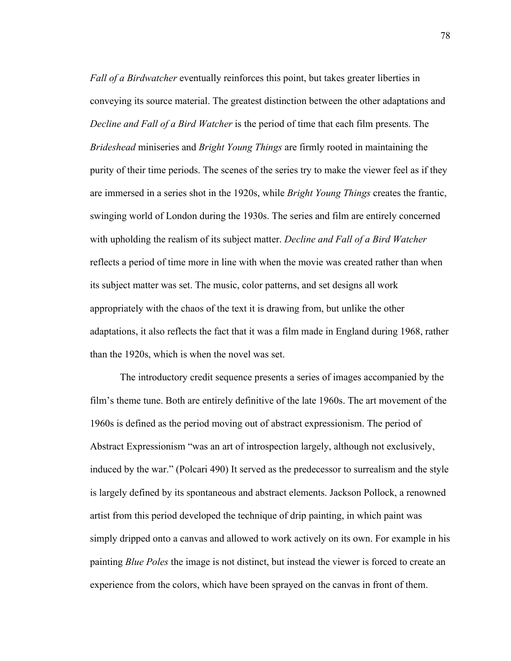*Fall of a Birdwatcher* eventually reinforces this point, but takes greater liberties in conveying its source material. The greatest distinction between the other adaptations and *Decline and Fall of a Bird Watcher* is the period of time that each film presents. The *Brideshead* miniseries and *Bright Young Things* are firmly rooted in maintaining the purity of their time periods. The scenes of the series try to make the viewer feel as if they are immersed in a series shot in the 1920s, while *Bright Young Things* creates the frantic, swinging world of London during the 1930s. The series and film are entirely concerned with upholding the realism of its subject matter. *Decline and Fall of a Bird Watcher* reflects a period of time more in line with when the movie was created rather than when its subject matter was set. The music, color patterns, and set designs all work appropriately with the chaos of the text it is drawing from, but unlike the other adaptations, it also reflects the fact that it was a film made in England during 1968, rather than the 1920s, which is when the novel was set.

The introductory credit sequence presents a series of images accompanied by the film's theme tune. Both are entirely definitive of the late 1960s. The art movement of the 1960s is defined as the period moving out of abstract expressionism. The period of Abstract Expressionism "was an art of introspection largely, although not exclusively, induced by the war." (Polcari 490) It served as the predecessor to surrealism and the style is largely defined by its spontaneous and abstract elements. Jackson Pollock, a renowned artist from this period developed the technique of drip painting, in which paint was simply dripped onto a canvas and allowed to work actively on its own. For example in his painting *Blue Poles* the image is not distinct, but instead the viewer is forced to create an experience from the colors, which have been sprayed on the canvas in front of them.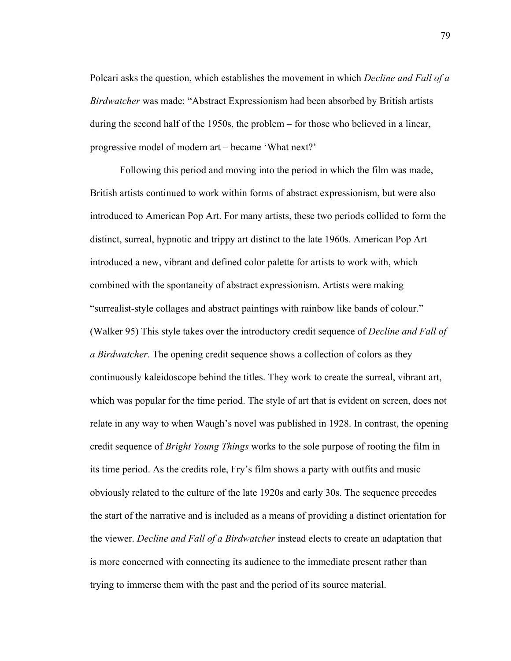Polcari asks the question, which establishes the movement in which *Decline and Fall of a Birdwatcher* was made: "Abstract Expressionism had been absorbed by British artists during the second half of the 1950s, the problem – for those who believed in a linear, progressive model of modern art – became 'What next?'

Following this period and moving into the period in which the film was made, British artists continued to work within forms of abstract expressionism, but were also introduced to American Pop Art. For many artists, these two periods collided to form the distinct, surreal, hypnotic and trippy art distinct to the late 1960s. American Pop Art introduced a new, vibrant and defined color palette for artists to work with, which combined with the spontaneity of abstract expressionism. Artists were making "surrealist-style collages and abstract paintings with rainbow like bands of colour." (Walker 95) This style takes over the introductory credit sequence of *Decline and Fall of a Birdwatcher*. The opening credit sequence shows a collection of colors as they continuously kaleidoscope behind the titles. They work to create the surreal, vibrant art, which was popular for the time period. The style of art that is evident on screen, does not relate in any way to when Waugh's novel was published in 1928. In contrast, the opening credit sequence of *Bright Young Things* works to the sole purpose of rooting the film in its time period. As the credits role, Fry's film shows a party with outfits and music obviously related to the culture of the late 1920s and early 30s. The sequence precedes the start of the narrative and is included as a means of providing a distinct orientation for the viewer. *Decline and Fall of a Birdwatcher* instead elects to create an adaptation that is more concerned with connecting its audience to the immediate present rather than trying to immerse them with the past and the period of its source material.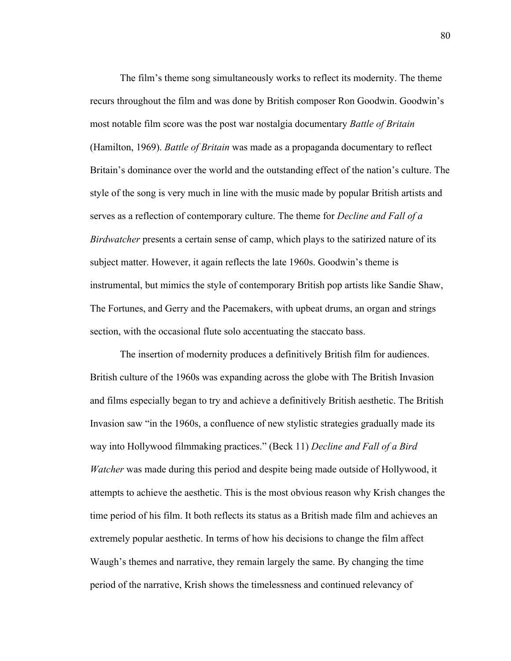The film's theme song simultaneously works to reflect its modernity. The theme recurs throughout the film and was done by British composer Ron Goodwin. Goodwin's most notable film score was the post war nostalgia documentary *Battle of Britain*  (Hamilton, 1969). *Battle of Britain* was made as a propaganda documentary to reflect Britain's dominance over the world and the outstanding effect of the nation's culture. The style of the song is very much in line with the music made by popular British artists and serves as a reflection of contemporary culture. The theme for *Decline and Fall of a Birdwatcher* presents a certain sense of camp, which plays to the satirized nature of its subject matter. However, it again reflects the late 1960s. Goodwin's theme is instrumental, but mimics the style of contemporary British pop artists like Sandie Shaw, The Fortunes, and Gerry and the Pacemakers, with upbeat drums, an organ and strings section, with the occasional flute solo accentuating the staccato bass.

The insertion of modernity produces a definitively British film for audiences. British culture of the 1960s was expanding across the globe with The British Invasion and films especially began to try and achieve a definitively British aesthetic. The British Invasion saw "in the 1960s, a confluence of new stylistic strategies gradually made its way into Hollywood filmmaking practices." (Beck 11) *Decline and Fall of a Bird Watcher* was made during this period and despite being made outside of Hollywood, it attempts to achieve the aesthetic. This is the most obvious reason why Krish changes the time period of his film. It both reflects its status as a British made film and achieves an extremely popular aesthetic. In terms of how his decisions to change the film affect Waugh's themes and narrative, they remain largely the same. By changing the time period of the narrative, Krish shows the timelessness and continued relevancy of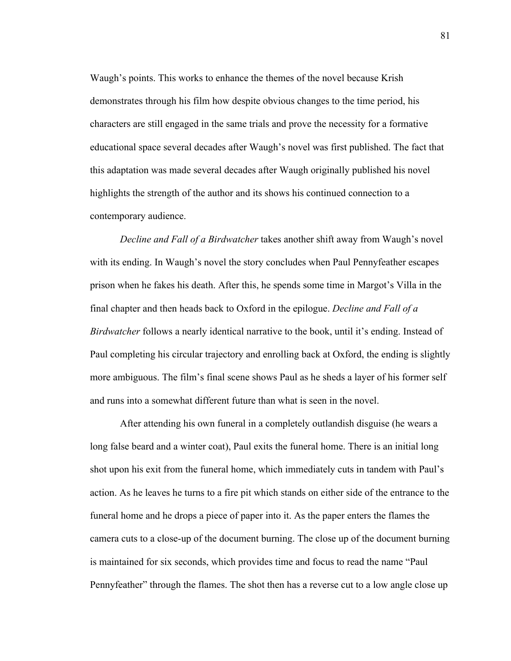Waugh's points. This works to enhance the themes of the novel because Krish demonstrates through his film how despite obvious changes to the time period, his characters are still engaged in the same trials and prove the necessity for a formative educational space several decades after Waugh's novel was first published. The fact that this adaptation was made several decades after Waugh originally published his novel highlights the strength of the author and its shows his continued connection to a contemporary audience.

*Decline and Fall of a Birdwatcher* takes another shift away from Waugh's novel with its ending. In Waugh's novel the story concludes when Paul Pennyfeather escapes prison when he fakes his death. After this, he spends some time in Margot's Villa in the final chapter and then heads back to Oxford in the epilogue. *Decline and Fall of a Birdwatcher* follows a nearly identical narrative to the book, until it's ending. Instead of Paul completing his circular trajectory and enrolling back at Oxford, the ending is slightly more ambiguous. The film's final scene shows Paul as he sheds a layer of his former self and runs into a somewhat different future than what is seen in the novel.

After attending his own funeral in a completely outlandish disguise (he wears a long false beard and a winter coat), Paul exits the funeral home. There is an initial long shot upon his exit from the funeral home, which immediately cuts in tandem with Paul's action. As he leaves he turns to a fire pit which stands on either side of the entrance to the funeral home and he drops a piece of paper into it. As the paper enters the flames the camera cuts to a close-up of the document burning. The close up of the document burning is maintained for six seconds, which provides time and focus to read the name "Paul Pennyfeather" through the flames. The shot then has a reverse cut to a low angle close up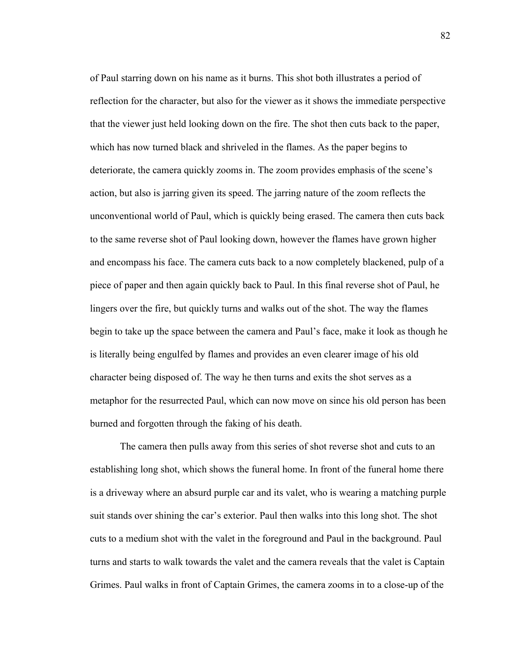of Paul starring down on his name as it burns. This shot both illustrates a period of reflection for the character, but also for the viewer as it shows the immediate perspective that the viewer just held looking down on the fire. The shot then cuts back to the paper, which has now turned black and shriveled in the flames. As the paper begins to deteriorate, the camera quickly zooms in. The zoom provides emphasis of the scene's action, but also is jarring given its speed. The jarring nature of the zoom reflects the unconventional world of Paul, which is quickly being erased. The camera then cuts back to the same reverse shot of Paul looking down, however the flames have grown higher and encompass his face. The camera cuts back to a now completely blackened, pulp of a piece of paper and then again quickly back to Paul. In this final reverse shot of Paul, he lingers over the fire, but quickly turns and walks out of the shot. The way the flames begin to take up the space between the camera and Paul's face, make it look as though he is literally being engulfed by flames and provides an even clearer image of his old character being disposed of. The way he then turns and exits the shot serves as a metaphor for the resurrected Paul, which can now move on since his old person has been burned and forgotten through the faking of his death.

The camera then pulls away from this series of shot reverse shot and cuts to an establishing long shot, which shows the funeral home. In front of the funeral home there is a driveway where an absurd purple car and its valet, who is wearing a matching purple suit stands over shining the car's exterior. Paul then walks into this long shot. The shot cuts to a medium shot with the valet in the foreground and Paul in the background. Paul turns and starts to walk towards the valet and the camera reveals that the valet is Captain Grimes. Paul walks in front of Captain Grimes, the camera zooms in to a close-up of the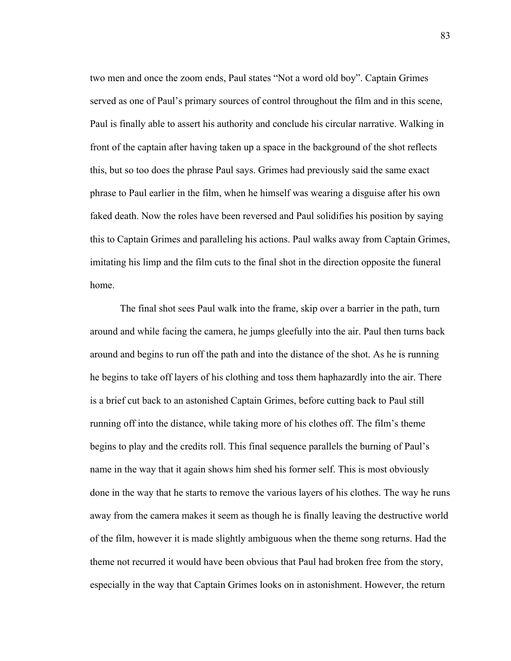two men and once the zoom ends, Paul states "Not a word old boy". Captain Grimes served as one of Paul's primary sources of control throughout the film and in this scene, Paul is finally able to assert his authority and conclude his circular narrative. Walking in front of the captain after having taken up a space in the background of the shot reflects this, but so too does the phrase Paul says. Grimes had previously said the same exact phrase to Paul earlier in the film, when he himself was wearing a disguise after his own faked death. Now the roles have been reversed and Paul solidifies his position by saying this to Captain Grimes and paralleling his actions. Paul walks away from Captain Grimes, imitating his limp and the film cuts to the final shot in the direction opposite the funeral home.

The final shot sees Paul walk into the frame, skip over a barrier in the path, turn around and while facing the camera, he jumps gleefully into the air. Paul then turns back around and begins to run off the path and into the distance of the shot. As he is running he begins to take off layers of his clothing and toss them haphazardly into the air. There is a brief cut back to an astonished Captain Grimes, before cutting back to Paul still running off into the distance, while taking more of his clothes off. The film's theme begins to play and the credits roll. This final sequence parallels the burning of Paul's name in the way that it again shows him shed his former self. This is most obviously done in the way that he starts to remove the various layers of his clothes. The way he runs away from the camera makes it seem as though he is finally leaving the destructive world of the film, however it is made slightly ambiguous when the theme song returns. Had the theme not recurred it would have been obvious that Paul had broken free from the story, especially in the way that Captain Grimes looks on in astonishment. However, the return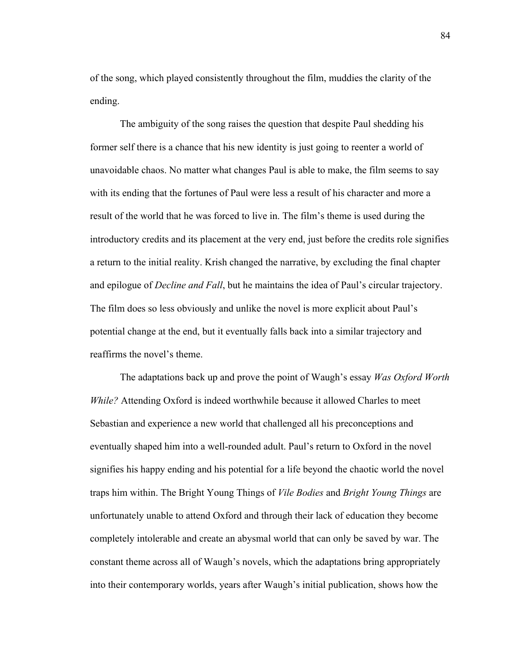of the song, which played consistently throughout the film, muddies the clarity of the ending.

The ambiguity of the song raises the question that despite Paul shedding his former self there is a chance that his new identity is just going to reenter a world of unavoidable chaos. No matter what changes Paul is able to make, the film seems to say with its ending that the fortunes of Paul were less a result of his character and more a result of the world that he was forced to live in. The film's theme is used during the introductory credits and its placement at the very end, just before the credits role signifies a return to the initial reality. Krish changed the narrative, by excluding the final chapter and epilogue of *Decline and Fall*, but he maintains the idea of Paul's circular trajectory. The film does so less obviously and unlike the novel is more explicit about Paul's potential change at the end, but it eventually falls back into a similar trajectory and reaffirms the novel's theme.

The adaptations back up and prove the point of Waugh's essay *Was Oxford Worth While?* Attending Oxford is indeed worthwhile because it allowed Charles to meet Sebastian and experience a new world that challenged all his preconceptions and eventually shaped him into a well-rounded adult. Paul's return to Oxford in the novel signifies his happy ending and his potential for a life beyond the chaotic world the novel traps him within. The Bright Young Things of *Vile Bodies* and *Bright Young Things* are unfortunately unable to attend Oxford and through their lack of education they become completely intolerable and create an abysmal world that can only be saved by war. The constant theme across all of Waugh's novels, which the adaptations bring appropriately into their contemporary worlds, years after Waugh's initial publication, shows how the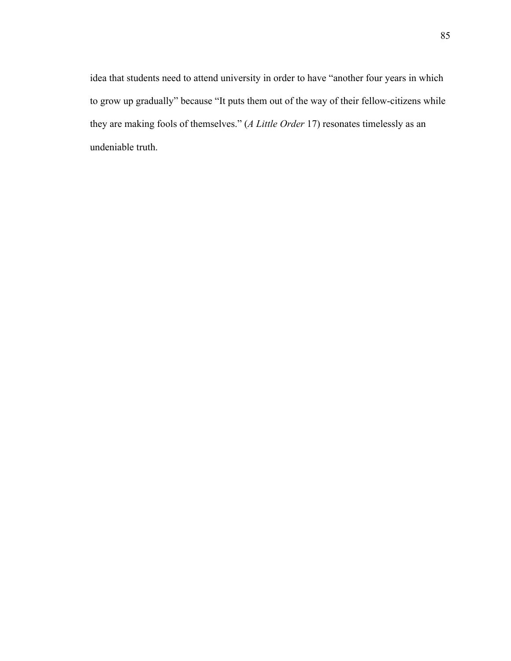idea that students need to attend university in order to have "another four years in which to grow up gradually" because "It puts them out of the way of their fellow-citizens while they are making fools of themselves." (*A Little Order* 17) resonates timelessly as an undeniable truth.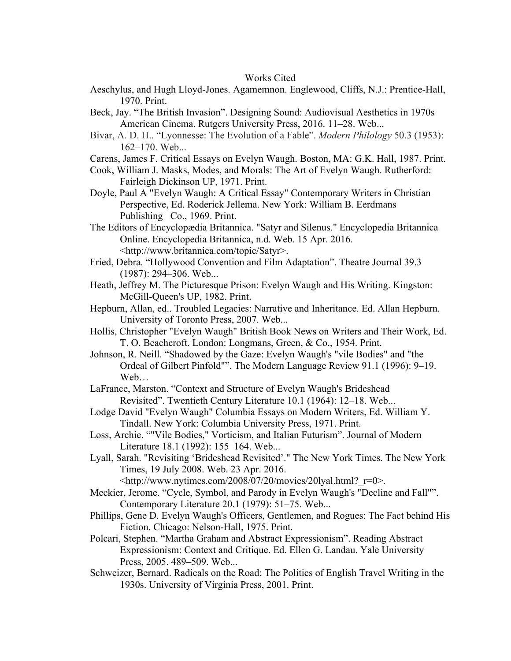## Works Cited

- Aeschylus, and Hugh Lloyd-Jones. Agamemnon. Englewood, Cliffs, N.J.: Prentice-Hall, 1970. Print.
- Beck, Jay. "The British Invasion". Designing Sound: Audiovisual Aesthetics in 1970s American Cinema. Rutgers University Press, 2016. 11–28. Web...
- Bivar, A. D. H.. "Lyonnesse: The Evolution of a Fable". *Modern Philology* 50.3 (1953): 162–170. Web...
- Carens, James F. Critical Essays on Evelyn Waugh. Boston, MA: G.K. Hall, 1987. Print.
- Cook, William J. Masks, Modes, and Morals: The Art of Evelyn Waugh. Rutherford: Fairleigh Dickinson UP, 1971. Print.
- Doyle, Paul A "Evelyn Waugh: A Critical Essay" Contemporary Writers in Christian Perspective, Ed. Roderick Jellema. New York: William B. Eerdmans Publishing Co., 1969. Print.
- The Editors of Encyclopædia Britannica. "Satyr and Silenus." Encyclopedia Britannica Online. Encyclopedia Britannica, n.d. Web. 15 Apr. 2016. <http://www.britannica.com/topic/Satyr>.
- Fried, Debra. "Hollywood Convention and Film Adaptation". Theatre Journal 39.3 (1987): 294–306. Web...
- Heath, Jeffrey M. The Picturesque Prison: Evelyn Waugh and His Writing. Kingston: McGill-Queen's UP, 1982. Print.
- Hepburn, Allan, ed.. Troubled Legacies: Narrative and Inheritance. Ed. Allan Hepburn. University of Toronto Press, 2007. Web...
- Hollis, Christopher "Evelyn Waugh" British Book News on Writers and Their Work, Ed. T. O. Beachcroft. London: Longmans, Green, & Co., 1954. Print.
- Johnson, R. Neill. "Shadowed by the Gaze: Evelyn Waugh's "vile Bodies" and "the Ordeal of Gilbert Pinfold"". The Modern Language Review 91.1 (1996): 9–19. Web…
- LaFrance, Marston. "Context and Structure of Evelyn Waugh's Brideshead Revisited". Twentieth Century Literature 10.1 (1964): 12–18. Web...
- Lodge David "Evelyn Waugh" Columbia Essays on Modern Writers, Ed. William Y. Tindall. New York: Columbia University Press, 1971. Print.
- Loss, Archie. ""Vile Bodies," Vorticism, and Italian Futurism". Journal of Modern Literature 18.1 (1992): 155–164. Web...
- Lyall, Sarah. "Revisiting 'Brideshead Revisited'." The New York Times. The New York Times, 19 July 2008. Web. 23 Apr. 2016.
	- $\lt$ http://www.nytimes.com/2008/07/20/movies/20lyal.html? $r=0$ >.
- Meckier, Jerome. "Cycle, Symbol, and Parody in Evelyn Waugh's "Decline and Fall"". Contemporary Literature 20.1 (1979): 51–75. Web...
- Phillips, Gene D. Evelyn Waugh's Officers, Gentlemen, and Rogues: The Fact behind His Fiction. Chicago: Nelson-Hall, 1975. Print.
- Polcari, Stephen. "Martha Graham and Abstract Expressionism". Reading Abstract Expressionism: Context and Critique. Ed. Ellen G. Landau. Yale University Press, 2005. 489–509. Web...
- Schweizer, Bernard. Radicals on the Road: The Politics of English Travel Writing in the 1930s. University of Virginia Press, 2001. Print.